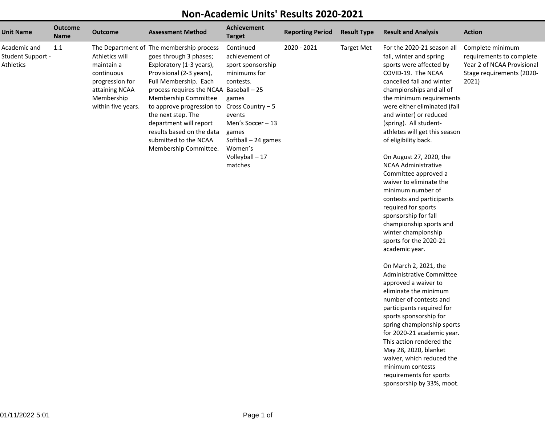## **Non-Academic Units' Results 2020-2021**

|                                                       |                               |                                                                                                                     |                                                                                                                                                                                                                                                                                                                                                                                    | on <del>Acaac</del> hiic Onico                                                                                                                                                                                      | יעשים טוועטיו           |                    |                                                                                                                                                                                                                                                                                                                                                                                                                                                                                                                                                                                                                                                                                                                                                                                                                                                                                                                                    |                                                                                                                  |
|-------------------------------------------------------|-------------------------------|---------------------------------------------------------------------------------------------------------------------|------------------------------------------------------------------------------------------------------------------------------------------------------------------------------------------------------------------------------------------------------------------------------------------------------------------------------------------------------------------------------------|---------------------------------------------------------------------------------------------------------------------------------------------------------------------------------------------------------------------|-------------------------|--------------------|------------------------------------------------------------------------------------------------------------------------------------------------------------------------------------------------------------------------------------------------------------------------------------------------------------------------------------------------------------------------------------------------------------------------------------------------------------------------------------------------------------------------------------------------------------------------------------------------------------------------------------------------------------------------------------------------------------------------------------------------------------------------------------------------------------------------------------------------------------------------------------------------------------------------------------|------------------------------------------------------------------------------------------------------------------|
| <b>Unit Name</b>                                      | <b>Outcome</b><br><b>Name</b> | <b>Outcome</b>                                                                                                      | <b>Assessment Method</b>                                                                                                                                                                                                                                                                                                                                                           | <b>Achievement</b><br><b>Target</b>                                                                                                                                                                                 | <b>Reporting Period</b> | <b>Result Type</b> | <b>Result and Analysis</b>                                                                                                                                                                                                                                                                                                                                                                                                                                                                                                                                                                                                                                                                                                                                                                                                                                                                                                         | <b>Action</b>                                                                                                    |
| Academic and<br>Student Support -<br><b>Athletics</b> | 1.1                           | Athletics will<br>maintain a<br>continuous<br>progression for<br>attaining NCAA<br>Membership<br>within five years. | The Department of The membership process<br>goes through 3 phases;<br>Exploratory (1-3 years),<br>Provisional (2-3 years),<br>Full Membership. Each<br>process requires the NCAA Baseball - 25<br>Membership Committee<br>to approve progression to<br>the next step. The<br>department will report<br>results based on the data<br>submitted to the NCAA<br>Membership Committee. | Continued<br>achievement of<br>sport sponsorship<br>minimums for<br>contests.<br>games<br>Cross Country - 5<br>events<br>Men's Soccer - 13<br>games<br>Softball - 24 games<br>Women's<br>Volleyball - 17<br>matches | 2020 - 2021             | <b>Target Met</b>  | For the 2020-21 season all<br>fall, winter and spring<br>sports were affected by<br>COVID-19. The NCAA<br>cancelled fall and winter<br>championships and all of<br>the minimum requirements<br>were either eliminated (fall<br>and winter) or reduced<br>(spring). All student-<br>athletes will get this season<br>of eligibility back.<br>On August 27, 2020, the<br><b>NCAA Administrative</b><br>Committee approved a<br>waiver to eliminate the<br>minimum number of<br>contests and participants<br>required for sports<br>sponsorship for fall<br>championship sports and<br>winter championship<br>sports for the 2020-21<br>academic year.<br>On March 2, 2021, the<br>Administrative Committee<br>approved a waiver to<br>eliminate the minimum<br>number of contests and<br>participants required for<br>sports sponsorship for<br>spring championship sports<br>for 2020-21 academic year.<br>This action rendered the | Complete minimum<br>requirements to complete<br>Year 2 of NCAA Provisional<br>Stage requirements (2020-<br>2021) |
|                                                       |                               |                                                                                                                     |                                                                                                                                                                                                                                                                                                                                                                                    |                                                                                                                                                                                                                     |                         |                    | May 28, 2020, blanket<br>waiver, which reduced the                                                                                                                                                                                                                                                                                                                                                                                                                                                                                                                                                                                                                                                                                                                                                                                                                                                                                 |                                                                                                                  |

minimum contests requirements for sportssponsorship by 33%, moot.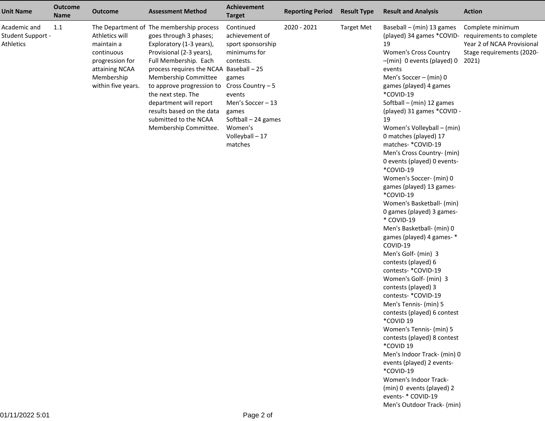| <b>Unit Name</b>                               | <b>Outcome</b><br><b>Name</b> | <b>Outcome</b>                                                                                                      | <b>Assessment Method</b>                                                                                                                                                                                                                                                                                                                                                           | <b>Achievement</b><br><b>Target</b>                                                                                                                                                                                 | <b>Reporting Period</b> | <b>Result Type</b> | <b>Result and Analysis</b>                                                                                                                                                                                                                                                                                                                                                                                                                                                                                                                                                                                                                                                                                                                                                                                                                                                                                                                                                                                                                                                                                         | <b>Action</b>                                                                                                    |
|------------------------------------------------|-------------------------------|---------------------------------------------------------------------------------------------------------------------|------------------------------------------------------------------------------------------------------------------------------------------------------------------------------------------------------------------------------------------------------------------------------------------------------------------------------------------------------------------------------------|---------------------------------------------------------------------------------------------------------------------------------------------------------------------------------------------------------------------|-------------------------|--------------------|--------------------------------------------------------------------------------------------------------------------------------------------------------------------------------------------------------------------------------------------------------------------------------------------------------------------------------------------------------------------------------------------------------------------------------------------------------------------------------------------------------------------------------------------------------------------------------------------------------------------------------------------------------------------------------------------------------------------------------------------------------------------------------------------------------------------------------------------------------------------------------------------------------------------------------------------------------------------------------------------------------------------------------------------------------------------------------------------------------------------|------------------------------------------------------------------------------------------------------------------|
| Academic and<br>Student Support -<br>Athletics | 1.1                           | Athletics will<br>maintain a<br>continuous<br>progression for<br>attaining NCAA<br>Membership<br>within five years. | The Department of The membership process<br>goes through 3 phases;<br>Exploratory (1-3 years),<br>Provisional (2-3 years),<br>Full Membership. Each<br>process requires the NCAA Baseball - 25<br>Membership Committee<br>to approve progression to<br>the next step. The<br>department will report<br>results based on the data<br>submitted to the NCAA<br>Membership Committee. | Continued<br>achievement of<br>sport sponsorship<br>minimums for<br>contests.<br>games<br>Cross Country - 5<br>events<br>Men's Soccer - 13<br>games<br>Softball - 24 games<br>Women's<br>Volleyball - 17<br>matches | 2020 - 2021             | <b>Target Met</b>  | Baseball - (min) 13 games<br>(played) 34 games *COVID-<br>19<br>Women's Cross Country<br>-(min) 0 events (played) 0<br>events<br>Men's Soccer - (min) 0<br>games (played) 4 games<br>*COVID-19<br>Softball - (min) 12 games<br>(played) 31 games *COVID -<br>19<br>Women's Volleyball - (min)<br>0 matches (played) 17<br>matches- *COVID-19<br>Men's Cross Country- (min)<br>0 events (played) 0 events-<br>*COVID-19<br>Women's Soccer- (min) 0<br>games (played) 13 games-<br>*COVID-19<br>Women's Basketball- (min)<br>O games (played) 3 games-<br>* COVID-19<br>Men's Basketball- (min) 0<br>games (played) 4 games-*<br>COVID-19<br>Men's Golf- (min) 3<br>contests (played) 6<br>contests- *COVID-19<br>Women's Golf- (min) 3<br>contests (played) 3<br>contests- *COVID-19<br>Men's Tennis- (min) 5<br>contests (played) 6 contest<br>*COVID 19<br>Women's Tennis- (min) 5<br>contests (played) 8 contest<br>*COVID 19<br>Men's Indoor Track- (min) 0<br>events (played) 2 events-<br>*COVID-19<br>Women's Indoor Track-<br>(min) 0 events (played) 2<br>events- * COVID-19<br>Men's Outdoor Track- (min) | Complete minimum<br>requirements to complete<br>Year 2 of NCAA Provisional<br>Stage requirements (2020-<br>2021) |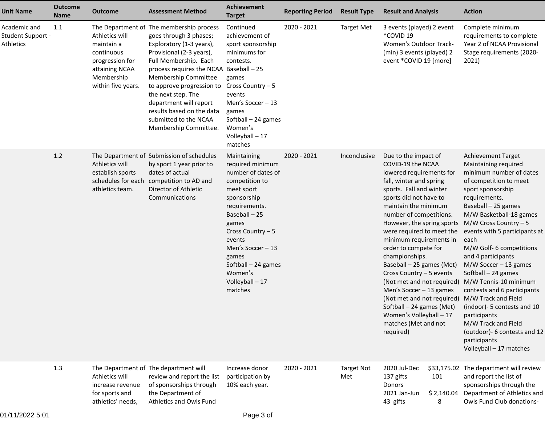| <b>Unit Name</b>                                      | <b>Outcome</b><br><b>Name</b> | <b>Outcome</b>                                                                                                      | <b>Assessment Method</b>                                                                                                                                                                                                                                                                                                                                                           | Achievement<br><b>Target</b>                                                                                                                                                                                                                                                | <b>Reporting Period</b> | <b>Result Type</b>       | <b>Result and Analysis</b>                                                                                                                                                                                                                                                                                                                                                                                                                                                                                                                                                            |                           | <b>Action</b>                                                                                                                                                                                                                                                                                                                                                                                                                                                                                                                                                                                  |
|-------------------------------------------------------|-------------------------------|---------------------------------------------------------------------------------------------------------------------|------------------------------------------------------------------------------------------------------------------------------------------------------------------------------------------------------------------------------------------------------------------------------------------------------------------------------------------------------------------------------------|-----------------------------------------------------------------------------------------------------------------------------------------------------------------------------------------------------------------------------------------------------------------------------|-------------------------|--------------------------|---------------------------------------------------------------------------------------------------------------------------------------------------------------------------------------------------------------------------------------------------------------------------------------------------------------------------------------------------------------------------------------------------------------------------------------------------------------------------------------------------------------------------------------------------------------------------------------|---------------------------|------------------------------------------------------------------------------------------------------------------------------------------------------------------------------------------------------------------------------------------------------------------------------------------------------------------------------------------------------------------------------------------------------------------------------------------------------------------------------------------------------------------------------------------------------------------------------------------------|
| Academic and<br><b>Student Support -</b><br>Athletics | 1.1                           | Athletics will<br>maintain a<br>continuous<br>progression for<br>attaining NCAA<br>Membership<br>within five years. | The Department of The membership process<br>goes through 3 phases;<br>Exploratory (1-3 years),<br>Provisional (2-3 years),<br>Full Membership. Each<br>process requires the NCAA Baseball - 25<br>Membership Committee<br>to approve progression to<br>the next step. The<br>department will report<br>results based on the data<br>submitted to the NCAA<br>Membership Committee. | Continued<br>achievement of<br>sport sponsorship<br>minimums for<br>contests.<br>games<br>Cross Country - 5<br>events<br>Men's Soccer - 13<br>games<br>Softball - 24 games<br>Women's<br>Volleyball - 17<br>matches                                                         | 2020 - 2021             | <b>Target Met</b>        | 3 events (played) 2 event<br>*COVID 19<br>Women's Outdoor Track-<br>(min) 3 events (played) 2<br>event *COVID 19 [more]                                                                                                                                                                                                                                                                                                                                                                                                                                                               |                           | Complete minimum<br>requirements to complete<br>Year 2 of NCAA Provisional<br>Stage requirements (2020-<br>2021)                                                                                                                                                                                                                                                                                                                                                                                                                                                                               |
|                                                       | 1.2                           | Athletics will<br>establish sports<br>schedules for each<br>athletics team.                                         | The Department of Submission of schedules<br>by sport 1 year prior to<br>dates of actual<br>competition to AD and<br>Director of Athletic<br>Communications                                                                                                                                                                                                                        | Maintaining<br>required minimum<br>number of dates of<br>competition to<br>meet sport<br>sponsorship<br>requirements.<br>Baseball-25<br>games<br>Cross Country $-5$<br>events<br>Men's Soccer - 13<br>games<br>Softball - 24 games<br>Women's<br>Volleyball - 17<br>matches | 2020 - 2021             | Inconclusive             | Due to the impact of<br>COVID-19 the NCAA<br>lowered requirements for<br>fall, winter and spring<br>sports. Fall and winter<br>sports did not have to<br>maintain the minimum<br>number of competitions.<br>However, the spring sports<br>were required to meet the<br>minimum requirements in<br>order to compete for<br>championships.<br>Baseball - 25 games (Met)<br>Cross Country - 5 events<br>(Not met and not required)<br>Men's Soccer - 13 games<br>(Not met and not required)<br>Softball - 24 games (Met)<br>Women's Volleyball - 17<br>matches (Met and not<br>required) |                           | Achievement Target<br>Maintaining required<br>minimum number of dates<br>of competition to meet<br>sport sponsorship<br>requirements.<br>Baseball - 25 games<br>M/W Basketball-18 games<br>M/W Cross Country $-5$<br>events with 5 participants at<br>each<br>M/W Golf- 6 competitions<br>and 4 participants<br>$M/W$ Soccer - 13 games<br>Softball - 24 games<br>M/W Tennis-10 minimum<br>contests and 6 participants<br>M/W Track and Field<br>(indoor)- 5 contests and 10<br>participants<br>M/W Track and Field<br>(outdoor)- 6 contests and 12<br>participants<br>Volleyball - 17 matches |
|                                                       | 1.3                           | Athletics will<br>increase revenue<br>for sports and<br>athletics' needs,                                           | The Department of The department will<br>review and report the list<br>of sponsorships through<br>the Department of<br>Athletics and Owls Fund                                                                                                                                                                                                                                     | Increase donor<br>participation by<br>10% each year.                                                                                                                                                                                                                        | 2020 - 2021             | <b>Target Not</b><br>Met | 2020 Jul-Dec<br>137 gifts<br>101<br>Donors<br>2021 Jan-Jun<br>43 gifts<br>8                                                                                                                                                                                                                                                                                                                                                                                                                                                                                                           | \$33,175.02<br>\$2,140.04 | The department will review<br>and report the list of<br>sponsorships through the<br>Department of Athletics and<br>Owls Fund Club donations-                                                                                                                                                                                                                                                                                                                                                                                                                                                   |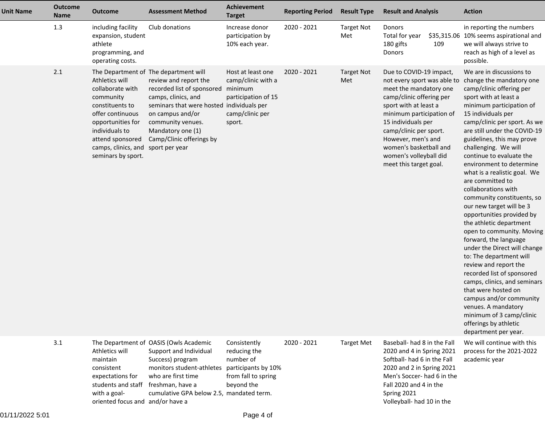| <b>Unit Name</b> | <b>Outcome</b><br><b>Name</b> | <b>Outcome</b>                                                                                                                                                                                                | <b>Assessment Method</b>                                                                                                                                                                                                                                   | Achievement<br><b>Target</b>                                                                           | <b>Reporting Period</b> | <b>Result Type</b>       | <b>Result and Analysis</b>                                                                                                                                                                                                                                                                                            |     | <b>Action</b>                                                                                                                                                                                                                                                                                                                                                                                                                                                                                                                                                                                                                                                                                                                                                                                                                                                                                        |
|------------------|-------------------------------|---------------------------------------------------------------------------------------------------------------------------------------------------------------------------------------------------------------|------------------------------------------------------------------------------------------------------------------------------------------------------------------------------------------------------------------------------------------------------------|--------------------------------------------------------------------------------------------------------|-------------------------|--------------------------|-----------------------------------------------------------------------------------------------------------------------------------------------------------------------------------------------------------------------------------------------------------------------------------------------------------------------|-----|------------------------------------------------------------------------------------------------------------------------------------------------------------------------------------------------------------------------------------------------------------------------------------------------------------------------------------------------------------------------------------------------------------------------------------------------------------------------------------------------------------------------------------------------------------------------------------------------------------------------------------------------------------------------------------------------------------------------------------------------------------------------------------------------------------------------------------------------------------------------------------------------------|
|                  | 1.3                           | including facility<br>expansion, student<br>athlete<br>programming, and<br>operating costs.                                                                                                                   | Club donations                                                                                                                                                                                                                                             | Increase donor<br>participation by<br>10% each year.                                                   | 2020 - 2021             | <b>Target Not</b><br>Met | Donors<br>Total for year<br>180 gifts<br>Donors                                                                                                                                                                                                                                                                       | 109 | in reporting the numbers<br>\$35,315.06 10% seems aspirational and<br>we will always strive to<br>reach as high of a level as<br>possible.                                                                                                                                                                                                                                                                                                                                                                                                                                                                                                                                                                                                                                                                                                                                                           |
|                  | 2.1                           | Athletics will<br>collaborate with<br>community<br>constituents to<br>offer continuous<br>opportunities for<br>individuals to<br>attend sponsored<br>camps, clinics, and sport per year<br>seminars by sport. | The Department of The department will<br>review and report the<br>recorded list of sponsored<br>camps, clinics, and<br>seminars that were hosted individuals per<br>on campus and/or<br>community venues.<br>Mandatory one (1)<br>Camp/Clinic offerings by | Host at least one<br>camp/clinic with a<br>minimum<br>participation of 15<br>camp/clinic per<br>sport. | 2020 - 2021             | <b>Target Not</b><br>Met | Due to COVID-19 impact,<br>not every sport was able to<br>meet the mandatory one<br>camp/clinic offering per<br>sport with at least a<br>minimum participation of<br>15 individuals per<br>camp/clinic per sport.<br>However, men's and<br>women's basketball and<br>women's volleyball did<br>meet this target goal. |     | We are in discussions to<br>change the mandatory one<br>camp/clinic offering per<br>sport with at least a<br>minimum participation of<br>15 individuals per<br>camp/clinic per sport. As we<br>are still under the COVID-19<br>guidelines, this may prove<br>challenging. We will<br>continue to evaluate the<br>environment to determine<br>what is a realistic goal. We<br>are committed to<br>collaborations with<br>community constituents, so<br>our new target will be 3<br>opportunities provided by<br>the athletic department<br>open to community. Moving<br>forward, the language<br>under the Direct will change<br>to: The department will<br>review and report the<br>recorded list of sponsored<br>camps, clinics, and seminars<br>that were hosted on<br>campus and/or community<br>venues. A mandatory<br>minimum of 3 camp/clinic<br>offerings by athletic<br>department per year. |
|                  | 3.1                           | Athletics will<br>maintain<br>consistent<br>expectations for<br>students and staff<br>with a goal-                                                                                                            | The Department of OASIS (Owls Academic<br>Support and Individual<br>Success) program<br>monitors student-athletes<br>who are first time<br>freshman, have a<br>cumulative GPA below 2.5, mandated term.                                                    | Consistently<br>reducing the<br>number of<br>participants by 10%<br>from fall to spring<br>beyond the  | 2020 - 2021             | <b>Target Met</b>        | Baseball- had 8 in the Fall<br>2020 and 4 in Spring 2021<br>Softball- had 6 in the Fall<br>2020 and 2 in Spring 2021<br>Men's Soccer-had 6 in the<br>Fall 2020 and 4 in the<br>Spring 2021                                                                                                                            |     | We will continue with this<br>process for the 2021-2022<br>academic year                                                                                                                                                                                                                                                                                                                                                                                                                                                                                                                                                                                                                                                                                                                                                                                                                             |

oriented focus and and/or have a

Volleyball- had 10 in the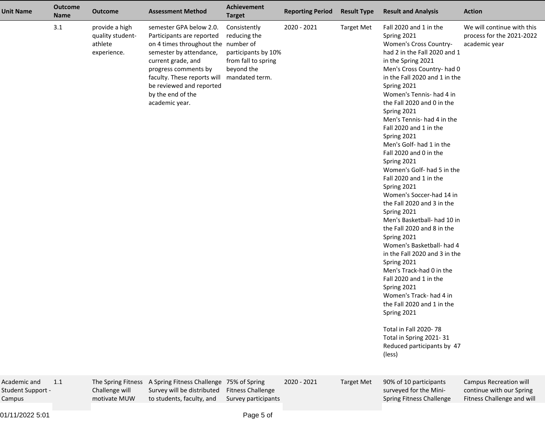| <b>Unit Name</b>                            | <b>Outcome</b><br>Name | <b>Outcome</b>                                               | <b>Assessment Method</b>                                                                                                                                                                                                                                               | Achievement<br><b>Target</b>                                                                               | <b>Reporting Period</b> | <b>Result Type</b> | <b>Result and Analysis</b>                                                                                                                                                                                                                                                                                                                                                                                                                                                                                                                                                                                                                                                                                                                                                                                                                                                                                                                                                 | <b>Action</b>                                                                           |
|---------------------------------------------|------------------------|--------------------------------------------------------------|------------------------------------------------------------------------------------------------------------------------------------------------------------------------------------------------------------------------------------------------------------------------|------------------------------------------------------------------------------------------------------------|-------------------------|--------------------|----------------------------------------------------------------------------------------------------------------------------------------------------------------------------------------------------------------------------------------------------------------------------------------------------------------------------------------------------------------------------------------------------------------------------------------------------------------------------------------------------------------------------------------------------------------------------------------------------------------------------------------------------------------------------------------------------------------------------------------------------------------------------------------------------------------------------------------------------------------------------------------------------------------------------------------------------------------------------|-----------------------------------------------------------------------------------------|
|                                             | 3.1                    | provide a high<br>quality student-<br>athlete<br>experience. | semester GPA below 2.0.<br>Participants are reported<br>on 4 times throughout the number of<br>semester by attendance,<br>current grade, and<br>progress comments by<br>faculty. These reports will<br>be reviewed and reported<br>by the end of the<br>academic year. | Consistently<br>reducing the<br>participants by 10%<br>from fall to spring<br>beyond the<br>mandated term. | 2020 - 2021             | <b>Target Met</b>  | Fall 2020 and 1 in the<br>Spring 2021<br>Women's Cross Country-<br>had 2 in the Fall 2020 and 1<br>in the Spring 2021<br>Men's Cross Country- had 0<br>in the Fall 2020 and 1 in the<br>Spring 2021<br>Women's Tennis- had 4 in<br>the Fall 2020 and 0 in the<br>Spring 2021<br>Men's Tennis- had 4 in the<br>Fall 2020 and 1 in the<br>Spring 2021<br>Men's Golf- had 1 in the<br>Fall 2020 and 0 in the<br>Spring 2021<br>Women's Golf- had 5 in the<br>Fall 2020 and 1 in the<br>Spring 2021<br>Women's Soccer-had 14 in<br>the Fall 2020 and 3 in the<br>Spring 2021<br>Men's Basketball- had 10 in<br>the Fall 2020 and 8 in the<br>Spring 2021<br>Women's Basketball- had 4<br>in the Fall 2020 and 3 in the<br>Spring 2021<br>Men's Track-had 0 in the<br>Fall 2020 and 1 in the<br>Spring 2021<br>Women's Track- had 4 in<br>the Fall 2020 and 1 in the<br>Spring 2021<br>Total in Fall 2020-78<br>Total in Spring 2021-31<br>Reduced participants by 47<br>(less) | We will continue with this<br>process for the 2021-2022<br>academic year                |
| Academic and<br>Student Support -<br>Campus | 1.1                    | The Spring Fitness<br>Challenge will<br>motivate MUW         | A Spring Fitness Challenge 75% of Spring<br>Survey will be distributed<br>to students, faculty, and                                                                                                                                                                    | <b>Fitness Challenge</b><br>Survey participants                                                            | 2020 - 2021             | <b>Target Met</b>  | 90% of 10 participants<br>surveyed for the Mini-<br>Spring Fitness Challenge                                                                                                                                                                                                                                                                                                                                                                                                                                                                                                                                                                                                                                                                                                                                                                                                                                                                                               | <b>Campus Recreation will</b><br>continue with our Spring<br>Fitness Challenge and will |

01/11/2022 5:01

Page 5 of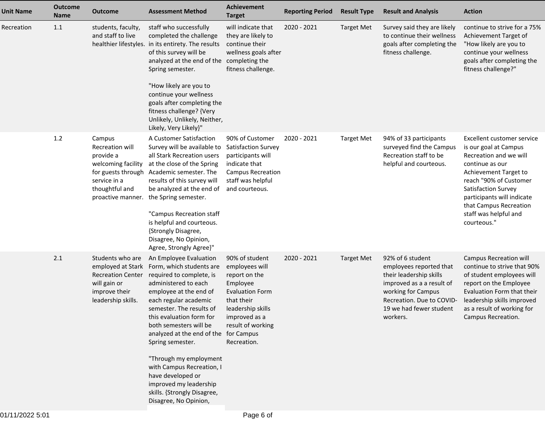| <b>Unit Name</b> | <b>Outcome</b><br>Name | <b>Outcome</b>                                                                                                                            | <b>Assessment Method</b>                                                                                                                                                                                                                                                                                                                                                                                                                                               | <b>Achievement</b><br><b>Target</b>                                                                                                                                             | <b>Reporting Period</b> | <b>Result Type</b> | <b>Result and Analysis</b>                                                                                                                                                                    | <b>Action</b>                                                                                                                                                                                                                                                              |
|------------------|------------------------|-------------------------------------------------------------------------------------------------------------------------------------------|------------------------------------------------------------------------------------------------------------------------------------------------------------------------------------------------------------------------------------------------------------------------------------------------------------------------------------------------------------------------------------------------------------------------------------------------------------------------|---------------------------------------------------------------------------------------------------------------------------------------------------------------------------------|-------------------------|--------------------|-----------------------------------------------------------------------------------------------------------------------------------------------------------------------------------------------|----------------------------------------------------------------------------------------------------------------------------------------------------------------------------------------------------------------------------------------------------------------------------|
| Recreation       | 1.1                    | students, faculty,<br>and staff to live                                                                                                   | staff who successfully<br>completed the challenge<br>healthier lifestyles. in its entirety. The results<br>of this survey will be<br>analyzed at the end of the completing the<br>Spring semester.<br>"How likely are you to<br>continue your wellness<br>goals after completing the<br>fitness challenge? {Very<br>Unlikely, Unlikely, Neither,<br>Likely, Very Likely}"                                                                                              | will indicate that<br>they are likely to<br>continue their<br>wellness goals after<br>fitness challenge.                                                                        | 2020 - 2021             | <b>Target Met</b>  | Survey said they are likely<br>to continue their wellness<br>goals after completing the<br>fitness challenge.                                                                                 | continue to strive for a 75%<br>Achievement Target of<br>"How likely are you to<br>continue your wellness<br>goals after completing the<br>fitness challenge?"                                                                                                             |
|                  | 1.2                    | Campus<br>Recreation will<br>provide a<br>welcoming facility<br>for guests through<br>service in a<br>thoughtful and<br>proactive manner. | A Customer Satisfaction<br>Survey will be available to<br>all Stark Recreation users<br>at the close of the Spring<br>Academic semester. The<br>results of this survey will<br>be analyzed at the end of<br>the Spring semester.<br>"Campus Recreation staff<br>is helpful and courteous.<br>{Strongly Disagree,<br>Disagree, No Opinion,<br>Agree, Strongly Agree}"                                                                                                   | 90% of Customer<br><b>Satisfaction Survey</b><br>participants will<br>indicate that<br><b>Campus Recreation</b><br>staff was helpful<br>and courteous.                          | 2020 - 2021             | <b>Target Met</b>  | 94% of 33 participants<br>surveyed find the Campus<br>Recreation staff to be<br>helpful and courteous.                                                                                        | Excellent customer service<br>is our goal at Campus<br>Recreation and we will<br>continue as our<br>Achievement Target to<br>reach "90% of Customer<br>Satisfaction Survey<br>participants will indicate<br>that Campus Recreation<br>staff was helpful and<br>courteous." |
|                  | 2.1                    | Students who are<br>employed at Stark<br><b>Recreation Center</b><br>will gain or<br>improve their<br>leadership skills.                  | An Employee Evaluation<br>Form, which students are<br>required to complete, is<br>administered to each<br>employee at the end of<br>each regular academic<br>semester. The results of<br>this evaluation form for<br>both semesters will be<br>analyzed at the end of the for Campus<br>Spring semester.<br>"Through my employment<br>with Campus Recreation, I<br>have developed or<br>improved my leadership<br>skills. {Strongly Disagree,<br>Disagree, No Opinion, | 90% of student<br>employees will<br>report on the<br>Employee<br><b>Evaluation Form</b><br>that their<br>leadership skills<br>improved as a<br>result of working<br>Recreation. | 2020 - 2021             | <b>Target Met</b>  | 92% of 6 student<br>employees reported that<br>their leadership skills<br>improved as a a result of<br>working for Campus<br>Recreation. Due to COVID-<br>19 we had fewer student<br>workers. | <b>Campus Recreation will</b><br>continue to strive that 90%<br>of student employees will<br>report on the Employee<br>Evaluation Form that their<br>leadership skills improved<br>as a result of working for<br>Campus Recreation.                                        |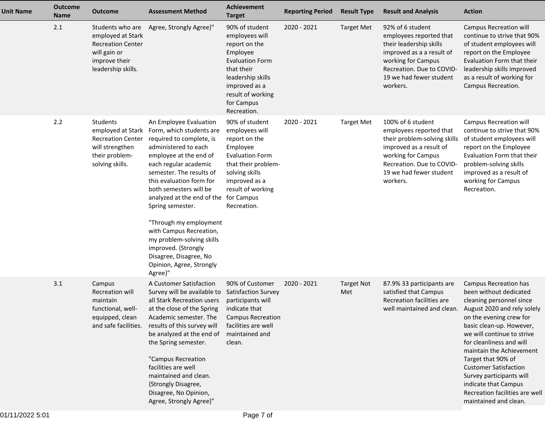| <b>Unit Name</b> | <b>Outcome</b><br><b>Name</b> | <b>Outcome</b>                                                                                                           | <b>Assessment Method</b>                                                                                                                                                                                                                                                                                                                                                                                                                                                           | Achievement<br><b>Target</b>                                                                                                                                                                  | <b>Reporting Period</b> | <b>Result Type</b>       | <b>Result and Analysis</b>                                                                                                                                                                        | <b>Action</b>                                                                                                                                                                                                                                                                                                                                                                                                                |
|------------------|-------------------------------|--------------------------------------------------------------------------------------------------------------------------|------------------------------------------------------------------------------------------------------------------------------------------------------------------------------------------------------------------------------------------------------------------------------------------------------------------------------------------------------------------------------------------------------------------------------------------------------------------------------------|-----------------------------------------------------------------------------------------------------------------------------------------------------------------------------------------------|-------------------------|--------------------------|---------------------------------------------------------------------------------------------------------------------------------------------------------------------------------------------------|------------------------------------------------------------------------------------------------------------------------------------------------------------------------------------------------------------------------------------------------------------------------------------------------------------------------------------------------------------------------------------------------------------------------------|
|                  | 2.1                           | Students who are<br>employed at Stark<br><b>Recreation Center</b><br>will gain or<br>improve their<br>leadership skills. | Agree, Strongly Agree}"                                                                                                                                                                                                                                                                                                                                                                                                                                                            | 90% of student<br>employees will<br>report on the<br>Employee<br><b>Evaluation Form</b><br>that their<br>leadership skills<br>improved as a<br>result of working<br>for Campus<br>Recreation. | 2020 - 2021             | <b>Target Met</b>        | 92% of 6 student<br>employees reported that<br>their leadership skills<br>improved as a a result of<br>working for Campus<br>Recreation. Due to COVID-<br>19 we had fewer student<br>workers.     | <b>Campus Recreation will</b><br>continue to strive that 90%<br>of student employees will<br>report on the Employee<br>Evaluation Form that their<br>leadership skills improved<br>as a result of working for<br>Campus Recreation.                                                                                                                                                                                          |
|                  | 2.2                           | Students<br>employed at Stark<br><b>Recreation Center</b><br>will strengthen<br>their problem-<br>solving skills.        | An Employee Evaluation<br>Form, which students are<br>required to complete, is<br>administered to each<br>employee at the end of<br>each regular academic<br>semester. The results of<br>this evaluation form for<br>both semesters will be<br>analyzed at the end of the for Campus<br>Spring semester.<br>"Through my employment<br>with Campus Recreation,<br>my problem-solving skills<br>improved. {Strongly<br>Disagree, Disagree, No<br>Opinion, Agree, Strongly<br>Agree}" | 90% of student<br>employees will<br>report on the<br>Employee<br><b>Evaluation Form</b><br>that their problem-<br>solving skills<br>improved as a<br>result of working<br>Recreation.         | 2020 - 2021             | <b>Target Met</b>        | 100% of 6 student<br>employees reported that<br>their problem-solving skills<br>improved as a result of<br>working for Campus<br>Recreation. Due to COVID-<br>19 we had fewer student<br>workers. | <b>Campus Recreation will</b><br>continue to strive that 90%<br>of student employees will<br>report on the Employee<br>Evaluation Form that their<br>problem-solving skills<br>improved as a result of<br>working for Campus<br>Recreation.                                                                                                                                                                                  |
|                  | 3.1                           | Campus<br><b>Recreation will</b><br>maintain<br>functional, well-<br>equipped, clean<br>and safe facilities.             | A Customer Satisfaction<br>Survey will be available to<br>all Stark Recreation users<br>at the close of the Spring<br>Academic semester. The<br>results of this survey will<br>be analyzed at the end of<br>the Spring semester.<br>"Campus Recreation<br>facilities are well<br>maintained and clean.<br>{Strongly Disagree,<br>Disagree, No Opinion,<br>Agree, Strongly Agree}"                                                                                                  | 90% of Customer<br><b>Satisfaction Survey</b><br>participants will<br>indicate that<br><b>Campus Recreation</b><br>facilities are well<br>maintained and<br>clean.                            | 2020 - 2021             | <b>Target Not</b><br>Met | 87.9% 33 participants are<br>satisfied that Campus<br>Recreation facilities are<br>well maintained and clean.                                                                                     | Campus Recreation has<br>been without dedicated<br>cleaning personnel since<br>August 2020 and rely solely<br>on the evening crew for<br>basic clean-up. However,<br>we will continue to strive<br>for cleanliness and will<br>maintain the Achievement<br>Target that 90% of<br><b>Customer Satisfaction</b><br>Survey participants will<br>indicate that Campus<br>Recreation facilities are well<br>maintained and clean. |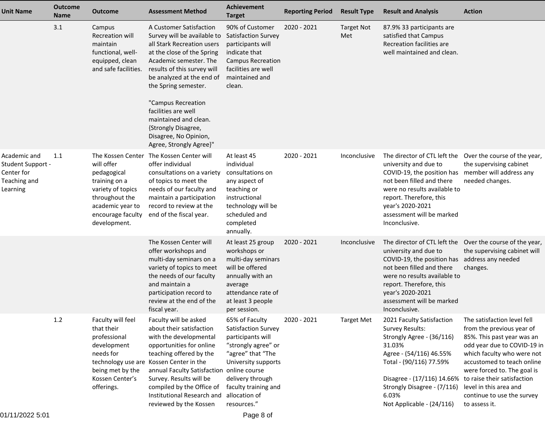| <b>Unit Name</b>                                                            | <b>Outcome</b><br>Name | <b>Outcome</b>                                                                                                                             | <b>Assessment Method</b>                                                                                                                                                                                                                                                                                                                                                          | <b>Achievement</b><br><b>Target</b>                                                                                                                                                                       | <b>Reporting Period</b> | <b>Result Type</b>       | <b>Result and Analysis</b>                                                                                                                                                                                                                    | <b>Action</b>                                                                                                                                                                                                                                                                                                            |
|-----------------------------------------------------------------------------|------------------------|--------------------------------------------------------------------------------------------------------------------------------------------|-----------------------------------------------------------------------------------------------------------------------------------------------------------------------------------------------------------------------------------------------------------------------------------------------------------------------------------------------------------------------------------|-----------------------------------------------------------------------------------------------------------------------------------------------------------------------------------------------------------|-------------------------|--------------------------|-----------------------------------------------------------------------------------------------------------------------------------------------------------------------------------------------------------------------------------------------|--------------------------------------------------------------------------------------------------------------------------------------------------------------------------------------------------------------------------------------------------------------------------------------------------------------------------|
|                                                                             | 3.1                    | Campus<br>Recreation will<br>maintain<br>functional, well-<br>equipped, clean<br>and safe facilities.                                      | A Customer Satisfaction<br>Survey will be available to<br>all Stark Recreation users<br>at the close of the Spring<br>Academic semester. The<br>results of this survey will<br>be analyzed at the end of<br>the Spring semester.<br>"Campus Recreation<br>facilities are well<br>maintained and clean.<br>{Strongly Disagree,<br>Disagree, No Opinion,<br>Agree, Strongly Agree}" | 90% of Customer<br><b>Satisfaction Survey</b><br>participants will<br>indicate that<br><b>Campus Recreation</b><br>facilities are well<br>maintained and<br>clean.                                        | 2020 - 2021             | <b>Target Not</b><br>Met | 87.9% 33 participants are<br>satisfied that Campus<br>Recreation facilities are<br>well maintained and clean.                                                                                                                                 |                                                                                                                                                                                                                                                                                                                          |
| Academic and<br>Student Support -<br>Center for<br>Teaching and<br>Learning | 1.1                    | will offer<br>pedagogical<br>training on a<br>variety of topics<br>throughout the<br>academic year to<br>encourage faculty<br>development. | The Kossen Center The Kossen Center will<br>offer individual<br>consultations on a variety<br>of topics to meet the<br>needs of our faculty and<br>maintain a participation<br>record to review at the<br>end of the fiscal year.                                                                                                                                                 | At least 45<br>individual<br>consultations on<br>any aspect of<br>teaching or<br>instructional<br>technology will be<br>scheduled and<br>completed<br>annually.                                           | 2020 - 2021             | Inconclusive             | The director of CTL left the<br>university and due to<br>COVID-19, the position has<br>not been filled and there<br>were no results available to<br>report. Therefore, this<br>year's 2020-2021<br>assessment will be marked<br>Inconclusive. | Over the course of the year,<br>the supervising cabinet<br>member will address any<br>needed changes.                                                                                                                                                                                                                    |
|                                                                             |                        |                                                                                                                                            | The Kossen Center will<br>offer workshops and<br>multi-day seminars on a<br>variety of topics to meet<br>the needs of our faculty<br>and maintain a<br>participation record to<br>review at the end of the<br>fiscal year.                                                                                                                                                        | At least 25 group<br>workshops or<br>multi-day seminars<br>will be offered<br>annually with an<br>average<br>attendance rate of<br>at least 3 people<br>per session.                                      | 2020 - 2021             | Inconclusive             | The director of CTL left the<br>university and due to<br>COVID-19, the position has<br>not been filled and there<br>were no results available to<br>report. Therefore, this<br>year's 2020-2021<br>assessment will be marked<br>Inconclusive. | Over the course of the year,<br>the supervising cabinet will<br>address any needed<br>changes.                                                                                                                                                                                                                           |
|                                                                             | 1.2                    | Faculty will feel<br>that their<br>professional<br>development<br>needs for<br>being met by the<br>Kossen Center's<br>offerings.           | Faculty will be asked<br>about their satisfaction<br>with the developmental<br>opportunities for online<br>teaching offered by the<br>technology use are Kossen Center in the<br>annual Faculty Satisfaction online course<br>Survey. Results will be<br>compiled by the Office of<br>Institutional Research and<br>reviewed by the Kossen                                        | 65% of Faculty<br>Satisfaction Survey<br>participants will<br>"strongly agree" or<br>"agree" that "The<br>University supports<br>delivery through<br>faculty training and<br>allocation of<br>resources." | 2020 - 2021             | <b>Target Met</b>        | 2021 Faculty Satisfaction<br>Survey Results:<br>Strongly Agree - (36/116)<br>31.03%<br>Agree - (54/116) 46.55%<br>Total - (90/116) 77.59%<br>Disagree - (17/116) 14.66%<br>Strongly Disagree - (7/116)<br>6.03%<br>Not Applicable - (24/116)  | The satisfaction level fell<br>from the previous year of<br>85%. This past year was an<br>odd year due to COVID-19 in<br>which faculty who were not<br>accustomed to teach online<br>were forced to. The goal is<br>to raise their satisfaction<br>level in this area and<br>continue to use the survey<br>to assess it. |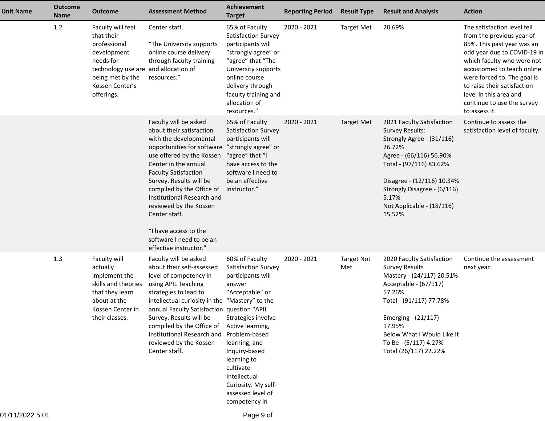| <b>Unit Name</b> | <b>Outcome</b><br><b>Name</b> | <b>Outcome</b>                                                                                                                                                           | <b>Assessment Method</b>                                                                                                                                                                                                                                                                                                                                                                                      | <b>Achievement</b><br><b>Target</b>                                                                                                                                                                                                                                                                               | <b>Reporting Period</b> | <b>Result Type</b>       | <b>Result and Analysis</b>                                                                                                                                                                                                                                     | <b>Action</b>                                                                                                                                                                                                                                                                                                            |
|------------------|-------------------------------|--------------------------------------------------------------------------------------------------------------------------------------------------------------------------|---------------------------------------------------------------------------------------------------------------------------------------------------------------------------------------------------------------------------------------------------------------------------------------------------------------------------------------------------------------------------------------------------------------|-------------------------------------------------------------------------------------------------------------------------------------------------------------------------------------------------------------------------------------------------------------------------------------------------------------------|-------------------------|--------------------------|----------------------------------------------------------------------------------------------------------------------------------------------------------------------------------------------------------------------------------------------------------------|--------------------------------------------------------------------------------------------------------------------------------------------------------------------------------------------------------------------------------------------------------------------------------------------------------------------------|
|                  | 1.2                           | Faculty will feel<br>that their<br>professional<br>development<br>needs for<br>technology use are and allocation of<br>being met by the<br>Kossen Center's<br>offerings. | Center staff.<br>"The University supports<br>online course delivery<br>through faculty training<br>resources."                                                                                                                                                                                                                                                                                                | 65% of Faculty<br>Satisfaction Survey<br>participants will<br>"strongly agree" or<br>"agree" that "The<br>University supports<br>online course<br>delivery through<br>faculty training and<br>allocation of<br>resources."                                                                                        | 2020 - 2021             | <b>Target Met</b>        | 20.69%                                                                                                                                                                                                                                                         | The satisfaction level fell<br>from the previous year of<br>85%. This past year was an<br>odd year due to COVID-19 in<br>which faculty who were not<br>accustomed to teach online<br>were forced to. The goal is<br>to raise their satisfaction<br>level in this area and<br>continue to use the survey<br>to assess it. |
|                  |                               |                                                                                                                                                                          | Faculty will be asked<br>about their satisfaction<br>with the developmental<br>opportunities for software<br>use offered by the Kossen<br>Center in the annual<br><b>Faculty Satisfaction</b><br>Survey. Results will be<br>compiled by the Office of<br>Institutional Research and<br>reviewed by the Kossen<br>Center staff.<br>"I have access to the<br>software I need to be an<br>effective instructor." | 65% of Faculty<br>Satisfaction Survey<br>participants will<br>"strongly agree" or<br>"agree" that "I<br>have access to the<br>software I need to<br>be an effective<br>instructor."                                                                                                                               | 2020 - 2021             | <b>Target Met</b>        | 2021 Faculty Satisfaction<br><b>Survey Results:</b><br>Strongly Agree - (31/116)<br>26.72%<br>Agree - (66/116) 56.90%<br>Total - (97/116) 83.62%<br>Disagree - (12/116) 10.34%<br>Strongly Disagree - (6/116)<br>5.17%<br>Not Applicable - (18/116)<br>15.52%  | Continue to assess the<br>satisfaction level of faculty.                                                                                                                                                                                                                                                                 |
|                  | 1.3                           | Faculty will<br>actually<br>implement the<br>skills and theories<br>that they learn<br>about at the<br>Kossen Center in<br>their classes.                                | Faculty will be asked<br>about their self-assessed<br>level of competency in<br>using APIL Teaching<br>strategies to lead to<br>intellectual curiosity in the<br>annual Faculty Satisfaction question "APIL<br>Survey. Results will be<br>compiled by the Office of<br>Institutional Research and<br>reviewed by the Kossen<br>Center staff.                                                                  | 60% of Faculty<br>Satisfaction Survey<br>participants will<br>answer<br>"Acceptable" or<br>"Mastery" to the<br>Strategies involve<br>Active learning,<br>Problem-based<br>learning, and<br>Inquiry-based<br>learning to<br>cultivate<br>Intellectual<br>Curiosity. My self-<br>assessed level of<br>competency in | 2020 - 2021             | <b>Target Not</b><br>Met | 2020 Faculty Satisfaction<br><b>Survey Results</b><br>Mastery - (24/117) 20.51%<br>Acceptable - (67/117)<br>57.26%<br>Total - (91/117) 77.78%<br>Emerging - (21/117)<br>17.95%<br>Below What I Would Like It<br>To Be - (5/117) 4.27%<br>Total (26/117) 22.22% | Continue the assessment<br>next year.                                                                                                                                                                                                                                                                                    |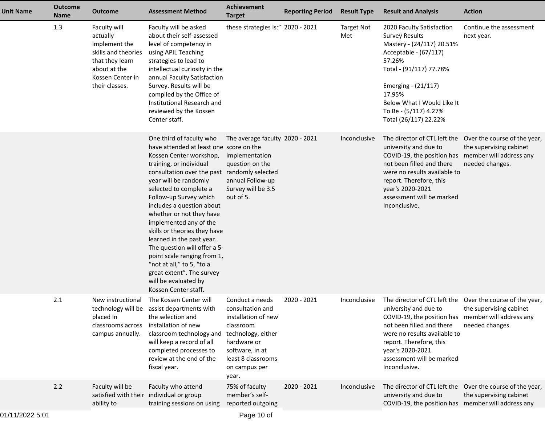| <b>Unit Name</b> | <b>Outcome</b><br><b>Name</b> | <b>Outcome</b>                                                                                                                            | <b>Assessment Method</b>                                                                                                                                                                                                                                                                                                                                                                                                                                                                                                                                                        | Achievement<br><b>Target</b>                                                                                                                                                    | <b>Reporting Period</b> | <b>Result Type</b>       | <b>Result and Analysis</b>                                                                                                                                                                                                                                            | <b>Action</b>                                                                                           |
|------------------|-------------------------------|-------------------------------------------------------------------------------------------------------------------------------------------|---------------------------------------------------------------------------------------------------------------------------------------------------------------------------------------------------------------------------------------------------------------------------------------------------------------------------------------------------------------------------------------------------------------------------------------------------------------------------------------------------------------------------------------------------------------------------------|---------------------------------------------------------------------------------------------------------------------------------------------------------------------------------|-------------------------|--------------------------|-----------------------------------------------------------------------------------------------------------------------------------------------------------------------------------------------------------------------------------------------------------------------|---------------------------------------------------------------------------------------------------------|
|                  | 1.3                           | Faculty will<br>actually<br>implement the<br>skills and theories<br>that they learn<br>about at the<br>Kossen Center in<br>their classes. | Faculty will be asked<br>about their self-assessed<br>level of competency in<br>using APIL Teaching<br>strategies to lead to<br>intellectual curiosity in the<br>annual Faculty Satisfaction<br>Survey. Results will be<br>compiled by the Office of<br>Institutional Research and<br>reviewed by the Kossen<br>Center staff.                                                                                                                                                                                                                                                   | these strategies is:" 2020 - 2021                                                                                                                                               |                         | <b>Target Not</b><br>Met | 2020 Faculty Satisfaction<br><b>Survey Results</b><br>Mastery - (24/117) 20.51%<br>Acceptable - (67/117)<br>57.26%<br>Total - (91/117) 77.78%<br>Emerging - (21/117)<br>17.95%<br>Below What I Would Like It<br>To Be - (5/117) 4.27%<br>Total (26/117) 22.22%        | Continue the assessment<br>next year.                                                                   |
|                  |                               |                                                                                                                                           | One third of faculty who<br>have attended at least one score on the<br>Kossen Center workshop,<br>training, or individual<br>consultation over the past randomly selected<br>year will be randomly<br>selected to complete a<br>Follow-up Survey which<br>includes a question about<br>whether or not they have<br>implemented any of the<br>skills or theories they have<br>learned in the past year.<br>The question will offer a 5-<br>point scale ranging from 1,<br>"not at all," to 5, "to a<br>great extent". The survey<br>will be evaluated by<br>Kossen Center staff. | The average faculty 2020 - 2021<br>implementation<br>question on the<br>annual Follow-up<br>Survey will be 3.5<br>out of 5.                                                     |                         | Inconclusive             | university and due to<br>COVID-19, the position has member will address any<br>not been filled and there<br>were no results available to<br>report. Therefore, this<br>year's 2020-2021<br>assessment will be marked<br>Inconclusive.                                 | The director of CTL left the Over the course of the year,<br>the supervising cabinet<br>needed changes. |
|                  | 2.1                           | New instructional<br>placed in<br>classrooms across<br>campus annually.                                                                   | The Kossen Center will<br>technology will be assist departments with<br>the selection and<br>installation of new<br>classroom technology and<br>will keep a record of all<br>completed processes to<br>review at the end of the<br>fiscal year.                                                                                                                                                                                                                                                                                                                                 | Conduct a needs<br>consultation and<br>installation of new<br>classroom<br>technology, either<br>hardware or<br>software, in at<br>least 8 classrooms<br>on campus per<br>year. | 2020 - 2021             | Inconclusive             | The director of CTL left the<br>university and due to<br>COVID-19, the position has member will address any<br>not been filled and there<br>were no results available to<br>report. Therefore, this<br>year's 2020-2021<br>assessment will be marked<br>Inconclusive. | Over the course of the year,<br>the supervising cabinet<br>needed changes.                              |
|                  | 2.2                           | Faculty will be<br>ability to                                                                                                             | Faculty who attend<br>satisfied with their individual or group<br>training sessions on using                                                                                                                                                                                                                                                                                                                                                                                                                                                                                    | 75% of faculty<br>member's self-<br>reported outgoing                                                                                                                           | 2020 - 2021             | Inconclusive             | university and due to<br>COVID-19, the position has member will address any                                                                                                                                                                                           | The director of CTL left the Over the course of the year,<br>the supervising cabinet                    |
|                  |                               |                                                                                                                                           |                                                                                                                                                                                                                                                                                                                                                                                                                                                                                                                                                                                 |                                                                                                                                                                                 |                         |                          |                                                                                                                                                                                                                                                                       |                                                                                                         |

Page 10 of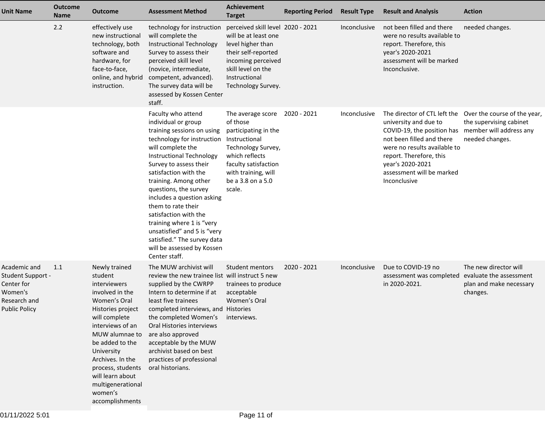| <b>Unit Name</b>                                                                                   | <b>Outcome</b><br><b>Name</b> | <b>Outcome</b>                                                                                                                                                                                                                                                                                           | <b>Assessment Method</b>                                                                                                                                                                                                                                                                                                                                                                                                                                                                         | <b>Achievement</b><br><b>Target</b>                                                                                                                                                      | <b>Reporting Period</b> | <b>Result Type</b> | <b>Result and Analysis</b>                                                                                                                                                                                                                                                | <b>Action</b>                                                                           |
|----------------------------------------------------------------------------------------------------|-------------------------------|----------------------------------------------------------------------------------------------------------------------------------------------------------------------------------------------------------------------------------------------------------------------------------------------------------|--------------------------------------------------------------------------------------------------------------------------------------------------------------------------------------------------------------------------------------------------------------------------------------------------------------------------------------------------------------------------------------------------------------------------------------------------------------------------------------------------|------------------------------------------------------------------------------------------------------------------------------------------------------------------------------------------|-------------------------|--------------------|---------------------------------------------------------------------------------------------------------------------------------------------------------------------------------------------------------------------------------------------------------------------------|-----------------------------------------------------------------------------------------|
|                                                                                                    | 2.2                           | effectively use<br>new instructional<br>technology, both<br>software and<br>hardware, for<br>face-to-face,<br>online, and hybrid<br>instruction.                                                                                                                                                         | technology for instruction<br>will complete the<br>Instructional Technology<br>Survey to assess their<br>perceived skill level<br>(novice, intermediate,<br>competent, advanced).<br>The survey data will be<br>assessed by Kossen Center<br>staff.                                                                                                                                                                                                                                              | perceived skill level 2020 - 2021<br>will be at least one<br>level higher than<br>their self-reported<br>incoming perceived<br>skill level on the<br>Instructional<br>Technology Survey. |                         | Inconclusive       | not been filled and there<br>were no results available to<br>report. Therefore, this<br>year's 2020-2021<br>assessment will be marked<br>Inconclusive.                                                                                                                    | needed changes.                                                                         |
|                                                                                                    |                               |                                                                                                                                                                                                                                                                                                          | Faculty who attend<br>individual or group<br>training sessions on using<br>technology for instruction Instructional<br>will complete the<br>Instructional Technology<br>Survey to assess their<br>satisfaction with the<br>training. Among other<br>questions, the survey<br>includes a question asking<br>them to rate their<br>satisfaction with the<br>training where 1 is "very<br>unsatisfied" and 5 is "very<br>satisfied." The survey data<br>will be assessed by Kossen<br>Center staff. | The average score 2020 - 2021<br>of those<br>participating in the<br>Technology Survey,<br>which reflects<br>faculty satisfaction<br>with training, will<br>be a 3.8 on a 5.0<br>scale.  |                         | Inconclusive       | The director of CTL left the Over the course of the year,<br>university and due to<br>COVID-19, the position has<br>not been filled and there<br>were no results available to<br>report. Therefore, this<br>year's 2020-2021<br>assessment will be marked<br>Inconclusive | the supervising cabinet<br>member will address any<br>needed changes.                   |
| Academic and<br>Student Support -<br>Center for<br>Women's<br>Research and<br><b>Public Policy</b> | 1.1                           | Newly trained<br>student<br>interviewers<br>involved in the<br>Women's Oral<br>Histories project<br>will complete<br>interviews of an<br>MUW alumnae to<br>be added to the<br>University<br>Archives. In the<br>process, students<br>will learn about<br>multigenerational<br>women's<br>accomplishments | The MUW archivist will<br>review the new trainee list will instruct 5 new<br>supplied by the CWRPP<br>Intern to determine if at<br>least five trainees<br>completed interviews, and Histories<br>the completed Women's interviews.<br>Oral Histories interviews<br>are also approved<br>acceptable by the MUW<br>archivist based on best<br>practices of professional<br>oral historians.                                                                                                        | Student mentors<br>trainees to produce<br>acceptable<br>Women's Oral                                                                                                                     | 2020 - 2021             | Inconclusive       | Due to COVID-19 no<br>assessment was completed<br>in 2020-2021.                                                                                                                                                                                                           | The new director will<br>evaluate the assessment<br>plan and make necessary<br>changes. |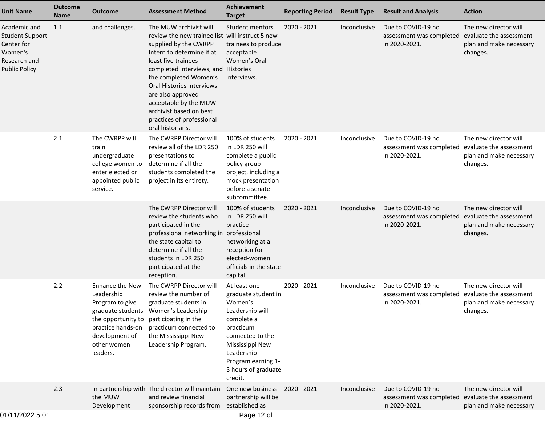| <b>Unit Name</b>                                                                                   | <b>Outcome</b><br><b>Name</b> | <b>Outcome</b>                                                                                                                                                | <b>Assessment Method</b>                                                                                                                                                                                                                                                                                                                                                      | <b>Achievement</b><br><b>Target</b>                                                                                                                                                                       | <b>Reporting Period</b> | <b>Result Type</b> | <b>Result and Analysis</b>                                      | <b>Action</b>                                                                           |
|----------------------------------------------------------------------------------------------------|-------------------------------|---------------------------------------------------------------------------------------------------------------------------------------------------------------|-------------------------------------------------------------------------------------------------------------------------------------------------------------------------------------------------------------------------------------------------------------------------------------------------------------------------------------------------------------------------------|-----------------------------------------------------------------------------------------------------------------------------------------------------------------------------------------------------------|-------------------------|--------------------|-----------------------------------------------------------------|-----------------------------------------------------------------------------------------|
| Academic and<br>Student Support -<br>Center for<br>Women's<br>Research and<br><b>Public Policy</b> | 1.1                           | and challenges.                                                                                                                                               | The MUW archivist will<br>review the new trainee list will instruct 5 new<br>supplied by the CWRPP<br>Intern to determine if at<br>least five trainees<br>completed interviews, and Histories<br>the completed Women's<br>Oral Histories interviews<br>are also approved<br>acceptable by the MUW<br>archivist based on best<br>practices of professional<br>oral historians. | <b>Student mentors</b><br>trainees to produce<br>acceptable<br>Women's Oral<br>interviews.                                                                                                                | $2020 - 2021$           | Inconclusive       | Due to COVID-19 no<br>assessment was completed<br>in 2020-2021. | The new director will<br>evaluate the assessment<br>plan and make necessary<br>changes. |
|                                                                                                    | 2.1                           | The CWRPP will<br>train<br>undergraduate<br>college women to<br>enter elected or<br>appointed public<br>service.                                              | The CWRPP Director will<br>review all of the LDR 250<br>presentations to<br>determine if all the<br>students completed the<br>project in its entirety.                                                                                                                                                                                                                        | 100% of students<br>in LDR 250 will<br>complete a public<br>policy group<br>project, including a<br>mock presentation<br>before a senate<br>subcommittee.                                                 | 2020 - 2021             | Inconclusive       | Due to COVID-19 no<br>assessment was completed<br>in 2020-2021. | The new director will<br>evaluate the assessment<br>plan and make necessary<br>changes. |
|                                                                                                    |                               |                                                                                                                                                               | The CWRPP Director will<br>review the students who<br>participated in the<br>professional networking in<br>the state capital to<br>determine if all the<br>students in LDR 250<br>participated at the<br>reception.                                                                                                                                                           | 100% of students<br>in LDR 250 will<br>practice<br>professional<br>networking at a<br>reception for<br>elected-women<br>officials in the state<br>capital.                                                | 2020 - 2021             | Inconclusive       | Due to COVID-19 no<br>assessment was completed<br>in 2020-2021. | The new director will<br>evaluate the assessment<br>plan and make necessary<br>changes. |
|                                                                                                    | 2.2                           | Enhance the New<br>Leadership<br>Program to give<br>the opportunity to participating in the<br>practice hands-on<br>development of<br>other women<br>leaders. | The CWRPP Director will<br>review the number of<br>graduate students in<br>graduate students Women's Leadership<br>practicum connected to<br>the Mississippi New<br>Leadership Program.                                                                                                                                                                                       | At least one<br>graduate student in<br>Women's<br>Leadership will<br>complete a<br>practicum<br>connected to the<br>Mississippi New<br>Leadership<br>Program earning 1-<br>3 hours of graduate<br>credit. | 2020 - 2021             | Inconclusive       | Due to COVID-19 no<br>assessment was completed<br>in 2020-2021. | The new director will<br>evaluate the assessment<br>plan and make necessary<br>changes. |
|                                                                                                    | 2.3                           | the MUW<br>Development                                                                                                                                        | In partnership with The director will maintain<br>and review financial<br>sponsorship records from established as                                                                                                                                                                                                                                                             | One new business<br>partnership will be                                                                                                                                                                   | 2020 - 2021             | Inconclusive       | Due to COVID-19 no<br>assessment was completed<br>in 2020-2021. | The new director will<br>evaluate the assessment<br>plan and make necessary             |
| 0.41410000000                                                                                      |                               |                                                                                                                                                               |                                                                                                                                                                                                                                                                                                                                                                               |                                                                                                                                                                                                           |                         |                    |                                                                 |                                                                                         |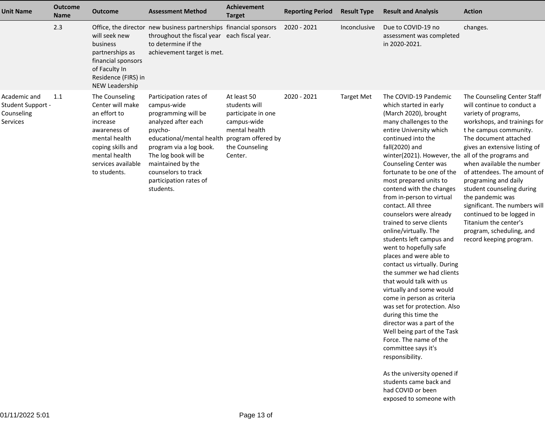| <b>Unit Name</b>                                            | <b>Outcome</b><br><b>Name</b> | <b>Outcome</b>                                                                                                                                                              | <b>Assessment Method</b>                                                                                                                                                                                                                                                             | Achievement<br><b>Target</b>                                                                                    | <b>Reporting Period</b> | <b>Result Type</b> | <b>Result and Analysis</b>                                                                                                                                                                                                                                                                                                                                                                                                                                                                                                                                                                                                                                                                                                                                                                                                                                                                                                                                       | <b>Action</b>                                                                                                                                                                                                                                                                                                                                                                                                                                                                            |
|-------------------------------------------------------------|-------------------------------|-----------------------------------------------------------------------------------------------------------------------------------------------------------------------------|--------------------------------------------------------------------------------------------------------------------------------------------------------------------------------------------------------------------------------------------------------------------------------------|-----------------------------------------------------------------------------------------------------------------|-------------------------|--------------------|------------------------------------------------------------------------------------------------------------------------------------------------------------------------------------------------------------------------------------------------------------------------------------------------------------------------------------------------------------------------------------------------------------------------------------------------------------------------------------------------------------------------------------------------------------------------------------------------------------------------------------------------------------------------------------------------------------------------------------------------------------------------------------------------------------------------------------------------------------------------------------------------------------------------------------------------------------------|------------------------------------------------------------------------------------------------------------------------------------------------------------------------------------------------------------------------------------------------------------------------------------------------------------------------------------------------------------------------------------------------------------------------------------------------------------------------------------------|
|                                                             | 2.3                           | will seek new<br>business<br>partnerships as<br>financial sponsors<br>of Faculty In<br>Residence (FIRS) in<br>NEW Leadership                                                | Office, the director new business partnerships financial sponsors<br>throughout the fiscal year each fiscal year.<br>to determine if the<br>achievement target is met.                                                                                                               |                                                                                                                 | 2020 - 2021             | Inconclusive       | Due to COVID-19 no<br>assessment was completed<br>in 2020-2021.                                                                                                                                                                                                                                                                                                                                                                                                                                                                                                                                                                                                                                                                                                                                                                                                                                                                                                  | changes.                                                                                                                                                                                                                                                                                                                                                                                                                                                                                 |
| Academic and<br>Student Support -<br>Counseling<br>Services | 1.1                           | The Counseling<br>Center will make<br>an effort to<br>increase<br>awareness of<br>mental health<br>coping skills and<br>mental health<br>services available<br>to students. | Participation rates of<br>campus-wide<br>programming will be<br>analyzed after each<br>psycho-<br>educational/mental health program offered by<br>program via a log book.<br>The log book will be<br>maintained by the<br>counselors to track<br>participation rates of<br>students. | At least 50<br>students will<br>participate in one<br>campus-wide<br>mental health<br>the Counseling<br>Center. | 2020 - 2021             | <b>Target Met</b>  | The COVID-19 Pandemic<br>which started in early<br>(March 2020), brought<br>many challenges to the<br>entire University which<br>continued into the<br>fall(2020) and<br>winter(2021). However, the all of the programs and<br>Counseling Center was<br>fortunate to be one of the<br>most prepared units to<br>contend with the changes<br>from in-person to virtual<br>contact. All three<br>counselors were already<br>trained to serve clients<br>online/virtually. The<br>students left campus and<br>went to hopefully safe<br>places and were able to<br>contact us virtually. During<br>the summer we had clients<br>that would talk with us<br>virtually and some would<br>come in person as criteria<br>was set for protection. Also<br>during this time the<br>director was a part of the<br>Well being part of the Task<br>Force. The name of the<br>committee says it's<br>responsibility.<br>As the university opened if<br>students came back and | The Counseling Center Staff<br>will continue to conduct a<br>variety of programs,<br>workshops, and trainings for<br>t he campus community.<br>The document attached<br>gives an extensive listing of<br>when available the number<br>of attendees. The amount of<br>programing and daily<br>student counseling during<br>the pandemic was<br>significant. The numbers will<br>continued to be logged in<br>Titanium the center's<br>program, scheduling, and<br>record keeping program. |
|                                                             |                               |                                                                                                                                                                             |                                                                                                                                                                                                                                                                                      |                                                                                                                 |                         |                    | had COVID or been                                                                                                                                                                                                                                                                                                                                                                                                                                                                                                                                                                                                                                                                                                                                                                                                                                                                                                                                                |                                                                                                                                                                                                                                                                                                                                                                                                                                                                                          |

exposed to someone with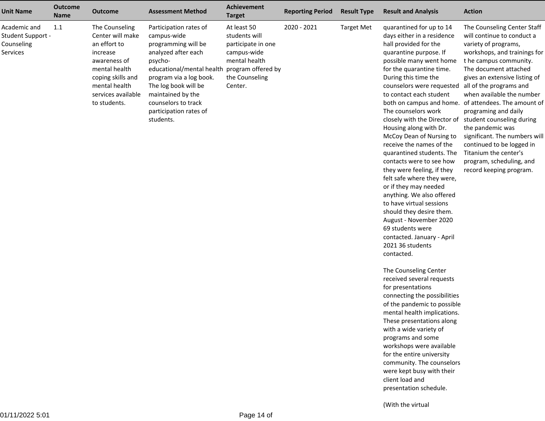| <b>Unit Name</b>                                            | <b>Outcome</b><br><b>Name</b> | <b>Outcome</b>                                                                                                                                                              | <b>Assessment Method</b>                                                                                                                                                                                                                                                             | <b>Achievement</b><br><b>Target</b>                                                                             | <b>Reporting Period</b> | <b>Result Type</b> | <b>Result and Analysis</b>                                                                                                                                                                                                                                                                                                                                                                                                                                                                                                                                                                                                                                                                                                                                                                                                                                                                                                                                                                                                                                                                                                                                                                  | <b>Action</b>                                                                                                                                                                                                                                                                                                                                                                                                                                                                                                       |
|-------------------------------------------------------------|-------------------------------|-----------------------------------------------------------------------------------------------------------------------------------------------------------------------------|--------------------------------------------------------------------------------------------------------------------------------------------------------------------------------------------------------------------------------------------------------------------------------------|-----------------------------------------------------------------------------------------------------------------|-------------------------|--------------------|---------------------------------------------------------------------------------------------------------------------------------------------------------------------------------------------------------------------------------------------------------------------------------------------------------------------------------------------------------------------------------------------------------------------------------------------------------------------------------------------------------------------------------------------------------------------------------------------------------------------------------------------------------------------------------------------------------------------------------------------------------------------------------------------------------------------------------------------------------------------------------------------------------------------------------------------------------------------------------------------------------------------------------------------------------------------------------------------------------------------------------------------------------------------------------------------|---------------------------------------------------------------------------------------------------------------------------------------------------------------------------------------------------------------------------------------------------------------------------------------------------------------------------------------------------------------------------------------------------------------------------------------------------------------------------------------------------------------------|
| Academic and<br>Student Support -<br>Counseling<br>Services | 1.1                           | The Counseling<br>Center will make<br>an effort to<br>increase<br>awareness of<br>mental health<br>coping skills and<br>mental health<br>services available<br>to students. | Participation rates of<br>campus-wide<br>programming will be<br>analyzed after each<br>psycho-<br>educational/mental health program offered by<br>program via a log book.<br>The log book will be<br>maintained by the<br>counselors to track<br>participation rates of<br>students. | At least 50<br>students will<br>participate in one<br>campus-wide<br>mental health<br>the Counseling<br>Center. | 2020 - 2021             | <b>Target Met</b>  | quarantined for up to 14<br>days either in a residence<br>hall provided for the<br>quarantine purpose. If<br>possible many went home<br>for the quarantine time.<br>During this time the<br>counselors were requested<br>to contact each student<br>both on campus and home.<br>The counselors work<br>closely with the Director of<br>Housing along with Dr.<br>McCoy Dean of Nursing to<br>receive the names of the<br>quarantined students. The<br>contacts were to see how<br>they were feeling, if they<br>felt safe where they were,<br>or if they may needed<br>anything. We also offered<br>to have virtual sessions<br>should they desire them.<br>August - November 2020<br>69 students were<br>contacted. January - April<br>2021 36 students<br>contacted.<br>The Counseling Center<br>received several requests<br>for presentations<br>connecting the possibilities<br>of the pandemic to possible<br>mental health implications.<br>These presentations along<br>with a wide variety of<br>programs and some<br>workshops were available<br>for the entire university<br>community. The counselors<br>were kept busy with their<br>client load and<br>presentation schedule. | The Counseling Center Staff<br>will continue to conduct a<br>variety of programs,<br>workshops, and trainings for<br>t he campus community.<br>The document attached<br>gives an extensive listing of<br>all of the programs and<br>when available the number<br>of attendees. The amount of<br>programing and daily<br>student counseling during<br>the pandemic was<br>significant. The numbers will<br>continued to be logged in<br>Titanium the center's<br>program, scheduling, and<br>record keeping program. |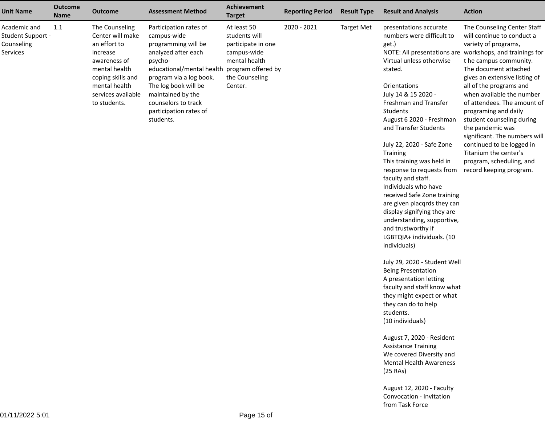| <b>Unit Name</b>                                            | <b>Outcome</b><br><b>Name</b> | <b>Outcome</b>                                                                                                                                                              | <b>Assessment Method</b>                                                                                                                                                                                                                                                             | Achievement<br><b>Target</b>                                                                                    | <b>Reporting Period</b> | <b>Result Type</b> | <b>Result and Analysis</b>                                                                                                                                                                                                                                                                                                                                                                                                                                                                                                                                                                                                                                                                                                                                                                                                                                                                                                                                                                   | <b>Action</b>                                                                                                                                                                                                                                                                                                                                                                                                                                                                                                                                   |
|-------------------------------------------------------------|-------------------------------|-----------------------------------------------------------------------------------------------------------------------------------------------------------------------------|--------------------------------------------------------------------------------------------------------------------------------------------------------------------------------------------------------------------------------------------------------------------------------------|-----------------------------------------------------------------------------------------------------------------|-------------------------|--------------------|----------------------------------------------------------------------------------------------------------------------------------------------------------------------------------------------------------------------------------------------------------------------------------------------------------------------------------------------------------------------------------------------------------------------------------------------------------------------------------------------------------------------------------------------------------------------------------------------------------------------------------------------------------------------------------------------------------------------------------------------------------------------------------------------------------------------------------------------------------------------------------------------------------------------------------------------------------------------------------------------|-------------------------------------------------------------------------------------------------------------------------------------------------------------------------------------------------------------------------------------------------------------------------------------------------------------------------------------------------------------------------------------------------------------------------------------------------------------------------------------------------------------------------------------------------|
| Academic and<br>Student Support -<br>Counseling<br>Services | 1.1                           | The Counseling<br>Center will make<br>an effort to<br>increase<br>awareness of<br>mental health<br>coping skills and<br>mental health<br>services available<br>to students. | Participation rates of<br>campus-wide<br>programming will be<br>analyzed after each<br>psycho-<br>educational/mental health program offered by<br>program via a log book.<br>The log book will be<br>maintained by the<br>counselors to track<br>participation rates of<br>students. | At least 50<br>students will<br>participate in one<br>campus-wide<br>mental health<br>the Counseling<br>Center. | 2020 - 2021             | <b>Target Met</b>  | presentations accurate<br>numbers were difficult to<br>get.)<br>Virtual unless otherwise<br>stated.<br>Orientations<br>July 14 & 15 2020 -<br>Freshman and Transfer<br>Students<br>August 6 2020 - Freshman<br>and Transfer Students<br>July 22, 2020 - Safe Zone<br>Training<br>This training was held in<br>response to requests from<br>faculty and staff.<br>Individuals who have<br>received Safe Zone training<br>are given placqrds they can<br>display signifying they are<br>understanding, supportive,<br>and trustworthy if<br>LGBTQIA+ individuals. (10<br>individuals)<br>July 29, 2020 - Student Well<br><b>Being Presentation</b><br>A presentation letting<br>faculty and staff know what<br>they might expect or what<br>they can do to help<br>students.<br>(10 individuals)<br>August 7, 2020 - Resident<br><b>Assistance Training</b><br>We covered Diversity and<br><b>Mental Health Awareness</b><br>(25 RAs)<br>August 12, 2020 - Faculty<br>Convocation - Invitation | The Counseling Center Staff<br>will continue to conduct a<br>variety of programs,<br>NOTE: All presentations are workshops, and trainings for<br>t he campus community.<br>The document attached<br>gives an extensive listing of<br>all of the programs and<br>when available the number<br>of attendees. The amount of<br>programing and daily<br>student counseling during<br>the pandemic was<br>significant. The numbers will<br>continued to be logged in<br>Titanium the center's<br>program, scheduling, and<br>record keeping program. |

from Task Force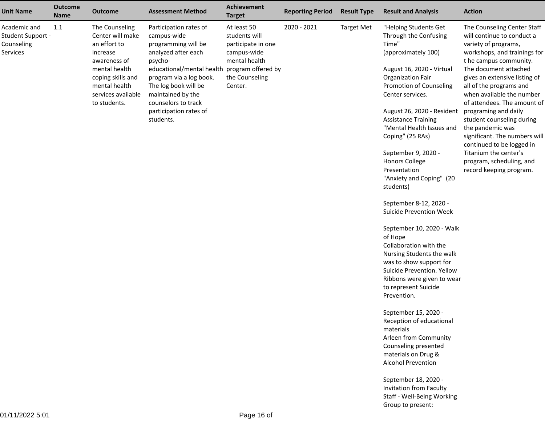| <b>Unit Name</b>                                            | <b>Outcome</b><br><b>Name</b> | <b>Outcome</b>                                                                                                                                                              | <b>Assessment Method</b>                                                                                                                                                                                                                                                             | <b>Achievement</b><br><b>Target</b>                                                                             | <b>Reporting Period</b> | <b>Result Type</b> | <b>Result and Analysis</b>                                                                                                                                                                                                                                                                                                                                                                                                                                                                                                                                                                                                                                                                                                                                                                                                                                                                                                                                                        | <b>Action</b>                                                                                                                                                                                                                                                                                                                                                                                                                                                                                                       |
|-------------------------------------------------------------|-------------------------------|-----------------------------------------------------------------------------------------------------------------------------------------------------------------------------|--------------------------------------------------------------------------------------------------------------------------------------------------------------------------------------------------------------------------------------------------------------------------------------|-----------------------------------------------------------------------------------------------------------------|-------------------------|--------------------|-----------------------------------------------------------------------------------------------------------------------------------------------------------------------------------------------------------------------------------------------------------------------------------------------------------------------------------------------------------------------------------------------------------------------------------------------------------------------------------------------------------------------------------------------------------------------------------------------------------------------------------------------------------------------------------------------------------------------------------------------------------------------------------------------------------------------------------------------------------------------------------------------------------------------------------------------------------------------------------|---------------------------------------------------------------------------------------------------------------------------------------------------------------------------------------------------------------------------------------------------------------------------------------------------------------------------------------------------------------------------------------------------------------------------------------------------------------------------------------------------------------------|
| Academic and<br>Student Support -<br>Counseling<br>Services | 1.1                           | The Counseling<br>Center will make<br>an effort to<br>increase<br>awareness of<br>mental health<br>coping skills and<br>mental health<br>services available<br>to students. | Participation rates of<br>campus-wide<br>programming will be<br>analyzed after each<br>psycho-<br>educational/mental health program offered by<br>program via a log book.<br>The log book will be<br>maintained by the<br>counselors to track<br>participation rates of<br>students. | At least 50<br>students will<br>participate in one<br>campus-wide<br>mental health<br>the Counseling<br>Center. | 2020 - 2021             | <b>Target Met</b>  | "Helping Students Get<br>Through the Confusing<br>Time"<br>(approximately 100)<br>August 16, 2020 - Virtual<br><b>Organization Fair</b><br>Promotion of Counseling<br>Center services.<br>August 26, 2020 - Resident<br><b>Assistance Training</b><br>"Mental Health Issues and<br>Coping" (25 RAs)<br>September 9, 2020 -<br><b>Honors College</b><br>Presentation<br>"Anxiety and Coping" (20<br>students)<br>September 8-12, 2020 -<br><b>Suicide Prevention Week</b><br>September 10, 2020 - Walk<br>of Hope<br>Collaboration with the<br>Nursing Students the walk<br>was to show support for<br>Suicide Prevention. Yellow<br>Ribbons were given to wear<br>to represent Suicide<br>Prevention.<br>September 15, 2020 -<br>Reception of educational<br>materials<br>Arleen from Community<br>Counseling presented<br>materials on Drug &<br><b>Alcohol Prevention</b><br>September 18, 2020 -<br>Invitation from Faculty<br>Staff - Well-Being Working<br>Group to present: | The Counseling Center Staff<br>will continue to conduct a<br>variety of programs,<br>workshops, and trainings for<br>t he campus community.<br>The document attached<br>gives an extensive listing of<br>all of the programs and<br>when available the number<br>of attendees. The amount of<br>programing and daily<br>student counseling during<br>the pandemic was<br>significant. The numbers will<br>continued to be logged in<br>Titanium the center's<br>program, scheduling, and<br>record keeping program. |
|                                                             |                               |                                                                                                                                                                             |                                                                                                                                                                                                                                                                                      |                                                                                                                 |                         |                    |                                                                                                                                                                                                                                                                                                                                                                                                                                                                                                                                                                                                                                                                                                                                                                                                                                                                                                                                                                                   |                                                                                                                                                                                                                                                                                                                                                                                                                                                                                                                     |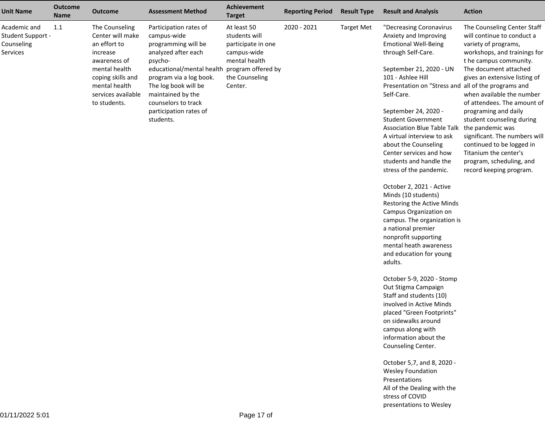| <b>Unit Name</b>                                            | <b>Outcome</b><br><b>Name</b> | <b>Outcome</b>                                                                                                                                                              | <b>Assessment Method</b>                                                                                                                                                                                                                                                             | <b>Achievement</b><br><b>Target</b>                                                                             | <b>Reporting Period</b> | <b>Result Type</b> | <b>Result and Analysis</b>                                                                                                                                                                                                                                                                                                                                                                                                                                                                                                                                                                                                                                                                                                                                                                                                                                                                                                                                                                                                                                                           | <b>Action</b>                                                                                                                                                                                                                                                                                                                                                                                                                                                                            |
|-------------------------------------------------------------|-------------------------------|-----------------------------------------------------------------------------------------------------------------------------------------------------------------------------|--------------------------------------------------------------------------------------------------------------------------------------------------------------------------------------------------------------------------------------------------------------------------------------|-----------------------------------------------------------------------------------------------------------------|-------------------------|--------------------|--------------------------------------------------------------------------------------------------------------------------------------------------------------------------------------------------------------------------------------------------------------------------------------------------------------------------------------------------------------------------------------------------------------------------------------------------------------------------------------------------------------------------------------------------------------------------------------------------------------------------------------------------------------------------------------------------------------------------------------------------------------------------------------------------------------------------------------------------------------------------------------------------------------------------------------------------------------------------------------------------------------------------------------------------------------------------------------|------------------------------------------------------------------------------------------------------------------------------------------------------------------------------------------------------------------------------------------------------------------------------------------------------------------------------------------------------------------------------------------------------------------------------------------------------------------------------------------|
| Academic and<br>Student Support -<br>Counseling<br>Services | 1.1                           | The Counseling<br>Center will make<br>an effort to<br>increase<br>awareness of<br>mental health<br>coping skills and<br>mental health<br>services available<br>to students. | Participation rates of<br>campus-wide<br>programming will be<br>analyzed after each<br>psycho-<br>educational/mental health program offered by<br>program via a log book.<br>The log book will be<br>maintained by the<br>counselors to track<br>participation rates of<br>students. | At least 50<br>students will<br>participate in one<br>campus-wide<br>mental health<br>the Counseling<br>Center. | 2020 - 2021             | <b>Target Met</b>  | "Decreasing Coronavirus<br>Anxiety and Improving<br><b>Emotional Well-Being</b><br>through Self-Care.<br>September 21, 2020 - UN<br>101 - Ashlee Hill<br>Presentation on "Stress and all of the programs and<br>Self-Care.<br>September 24, 2020 -<br><b>Student Government</b><br><b>Association Blue Table Talk</b><br>A virtual interview to ask<br>about the Counseling<br>Center services and how<br>students and handle the<br>stress of the pandemic.<br>October 2, 2021 - Active<br>Minds (10 students)<br>Restoring the Active Minds<br>Campus Organization on<br>campus. The organization is<br>a national premier<br>nonprofit supporting<br>mental heath awareness<br>and education for young<br>adults.<br>October 5-9, 2020 - Stomp<br>Out Stigma Campaign<br>Staff and students (10)<br>involved in Active Minds<br>placed "Green Footprints"<br>on sidewalks around<br>campus along with<br>information about the<br>Counseling Center.<br>October 5,7, and 8, 2020 -<br><b>Wesley Foundation</b><br>Presentations<br>All of the Dealing with the<br>stress of COVID | The Counseling Center Staff<br>will continue to conduct a<br>variety of programs,<br>workshops, and trainings for<br>t he campus community.<br>The document attached<br>gives an extensive listing of<br>when available the number<br>of attendees. The amount of<br>programing and daily<br>student counseling during<br>the pandemic was<br>significant. The numbers will<br>continued to be logged in<br>Titanium the center's<br>program, scheduling, and<br>record keeping program. |
|                                                             |                               |                                                                                                                                                                             |                                                                                                                                                                                                                                                                                      |                                                                                                                 |                         |                    | presentations to Wesley                                                                                                                                                                                                                                                                                                                                                                                                                                                                                                                                                                                                                                                                                                                                                                                                                                                                                                                                                                                                                                                              |                                                                                                                                                                                                                                                                                                                                                                                                                                                                                          |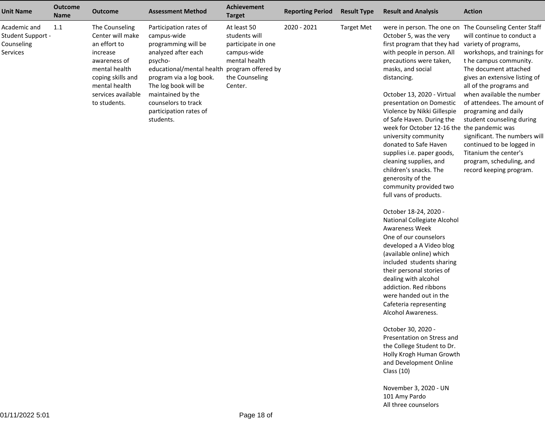| <b>Unit Name</b>                                            | <b>Outcome</b><br>Name | <b>Outcome</b>                                                                                                                                                              | <b>Assessment Method</b>                                                                                                                                                                                                                                                             | <b>Achievement</b><br><b>Target</b>                                                                             | <b>Reporting Period</b> | <b>Result Type</b> | <b>Result and Analysis</b>                                                                                                                                                                                                                                                                                                                                                                                                                                                                                                                                                                                                                                                                                                                                                                                                                                                                                                                                                                                                                                                              | <b>Action</b>                                                                                                                                                                                                                                                                                                                                                                                                                                                                                                              |
|-------------------------------------------------------------|------------------------|-----------------------------------------------------------------------------------------------------------------------------------------------------------------------------|--------------------------------------------------------------------------------------------------------------------------------------------------------------------------------------------------------------------------------------------------------------------------------------|-----------------------------------------------------------------------------------------------------------------|-------------------------|--------------------|-----------------------------------------------------------------------------------------------------------------------------------------------------------------------------------------------------------------------------------------------------------------------------------------------------------------------------------------------------------------------------------------------------------------------------------------------------------------------------------------------------------------------------------------------------------------------------------------------------------------------------------------------------------------------------------------------------------------------------------------------------------------------------------------------------------------------------------------------------------------------------------------------------------------------------------------------------------------------------------------------------------------------------------------------------------------------------------------|----------------------------------------------------------------------------------------------------------------------------------------------------------------------------------------------------------------------------------------------------------------------------------------------------------------------------------------------------------------------------------------------------------------------------------------------------------------------------------------------------------------------------|
| Academic and<br>Student Support -<br>Counseling<br>Services | 1.1                    | The Counseling<br>Center will make<br>an effort to<br>increase<br>awareness of<br>mental health<br>coping skills and<br>mental health<br>services available<br>to students. | Participation rates of<br>campus-wide<br>programming will be<br>analyzed after each<br>psycho-<br>educational/mental health program offered by<br>program via a log book.<br>The log book will be<br>maintained by the<br>counselors to track<br>participation rates of<br>students. | At least 50<br>students will<br>participate in one<br>campus-wide<br>mental health<br>the Counseling<br>Center. | 2020 - 2021             | <b>Target Met</b>  | October 5, was the very<br>first program that they had<br>with people in person. All<br>precautions were taken,<br>masks, and social<br>distancing.<br>October 13, 2020 - Virtual<br>presentation on Domestic<br>Violence by Nikki Gillespie<br>of Safe Haven. During the<br>week for October 12-16 the the pandemic was<br>university community<br>donated to Safe Haven<br>supplies i.e. paper goods,<br>cleaning supplies, and<br>children's snacks. The<br>generosity of the<br>community provided two<br>full vans of products.<br>October 18-24, 2020 -<br>National Collegiate Alcohol<br>Awareness Week<br>One of our counselors<br>developed a A Video blog<br>(available online) which<br>included students sharing<br>their personal stories of<br>dealing with alcohol<br>addiction. Red ribbons<br>were handed out in the<br>Cafeteria representing<br>Alcohol Awareness.<br>October 30, 2020 -<br>Presentation on Stress and<br>the College Student to Dr.<br>Holly Krogh Human Growth<br>and Development Online<br>Class $(10)$<br>November 3, 2020 - UN<br>101 Amy Pardo | were in person. The one on The Counseling Center Staff<br>will continue to conduct a<br>variety of programs,<br>workshops, and trainings for<br>t he campus community.<br>The document attached<br>gives an extensive listing of<br>all of the programs and<br>when available the number<br>of attendees. The amount of<br>programing and daily<br>student counseling during<br>significant. The numbers will<br>continued to be logged in<br>Titanium the center's<br>program, scheduling, and<br>record keeping program. |
|                                                             |                        |                                                                                                                                                                             |                                                                                                                                                                                                                                                                                      |                                                                                                                 |                         |                    |                                                                                                                                                                                                                                                                                                                                                                                                                                                                                                                                                                                                                                                                                                                                                                                                                                                                                                                                                                                                                                                                                         |                                                                                                                                                                                                                                                                                                                                                                                                                                                                                                                            |

All three counselors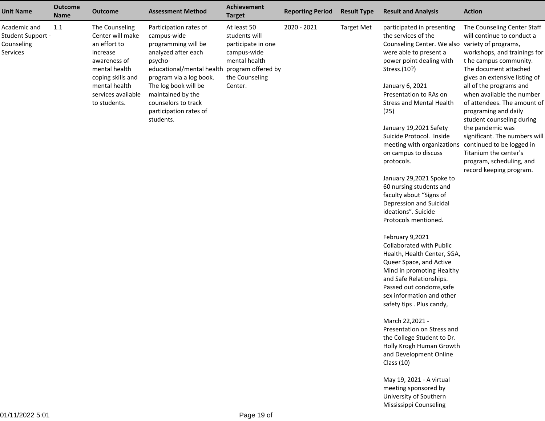| <b>Unit Name</b>                                            | <b>Outcome</b><br><b>Name</b> | <b>Outcome</b>                                                                                                                                                              | <b>Assessment Method</b>                                                                                                                                                                                                                                                             | <b>Achievement</b><br><b>Target</b>                                                                             | <b>Reporting Period</b> | <b>Result Type</b> | <b>Result and Analysis</b>                                                                                                                                                                                                                                                                                                                                                                                                                                                                                                                                                                                                                                                                                                                                                                                                                                                                                                                                                                                                                              | <b>Action</b>                                                                                                                                                                                                                                                                                                                                                                                                                                                                                                       |
|-------------------------------------------------------------|-------------------------------|-----------------------------------------------------------------------------------------------------------------------------------------------------------------------------|--------------------------------------------------------------------------------------------------------------------------------------------------------------------------------------------------------------------------------------------------------------------------------------|-----------------------------------------------------------------------------------------------------------------|-------------------------|--------------------|---------------------------------------------------------------------------------------------------------------------------------------------------------------------------------------------------------------------------------------------------------------------------------------------------------------------------------------------------------------------------------------------------------------------------------------------------------------------------------------------------------------------------------------------------------------------------------------------------------------------------------------------------------------------------------------------------------------------------------------------------------------------------------------------------------------------------------------------------------------------------------------------------------------------------------------------------------------------------------------------------------------------------------------------------------|---------------------------------------------------------------------------------------------------------------------------------------------------------------------------------------------------------------------------------------------------------------------------------------------------------------------------------------------------------------------------------------------------------------------------------------------------------------------------------------------------------------------|
| Academic and<br>Student Support -<br>Counseling<br>Services | 1.1                           | The Counseling<br>Center will make<br>an effort to<br>increase<br>awareness of<br>mental health<br>coping skills and<br>mental health<br>services available<br>to students. | Participation rates of<br>campus-wide<br>programming will be<br>analyzed after each<br>psycho-<br>educational/mental health program offered by<br>program via a log book.<br>The log book will be<br>maintained by the<br>counselors to track<br>participation rates of<br>students. | At least 50<br>students will<br>participate in one<br>campus-wide<br>mental health<br>the Counseling<br>Center. | 2020 - 2021             | <b>Target Met</b>  | participated in presenting<br>the services of the<br>Counseling Center. We also<br>were able to present a<br>power point dealing with<br>Stress.(10?)<br>January 6, 2021<br>Presentation to RAs on<br><b>Stress and Mental Health</b><br>(25)<br>January 19,2021 Safety<br>Suicide Protocol. Inside<br>meeting with organizations<br>on campus to discuss<br>protocols.<br>January 29,2021 Spoke to<br>60 nursing students and<br>faculty about "Signs of<br>Depression and Suicidal<br>ideations". Suicide<br>Protocols mentioned.<br>February 9,2021<br>Collaborated with Public<br>Health, Health Center, SGA,<br>Queer Space, and Active<br>Mind in promoting Healthy<br>and Safe Relationships.<br>Passed out condoms, safe<br>sex information and other<br>safety tips . Plus candy,<br>March 22,2021 -<br>Presentation on Stress and<br>the College Student to Dr.<br>Holly Krogh Human Growth<br>and Development Online<br>Class $(10)$<br>May 19, 2021 - A virtual<br>meeting sponsored by<br>University of Southern<br>Mississippi Counseling | The Counseling Center Staff<br>will continue to conduct a<br>variety of programs,<br>workshops, and trainings for<br>t he campus community.<br>The document attached<br>gives an extensive listing of<br>all of the programs and<br>when available the number<br>of attendees. The amount of<br>programing and daily<br>student counseling during<br>the pandemic was<br>significant. The numbers will<br>continued to be logged in<br>Titanium the center's<br>program, scheduling, and<br>record keeping program. |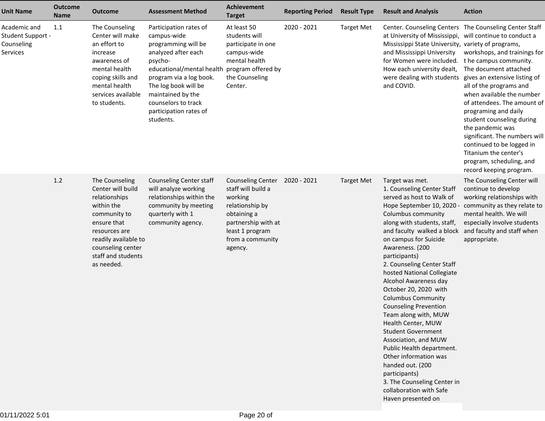| <b>Unit Name</b>                                            | <b>Outcome</b><br><b>Name</b> | <b>Outcome</b>                                                                                                                                                                                      | <b>Assessment Method</b>                                                                                                                                                                                                                                          | <b>Achievement</b><br><b>Target</b>                                                                                                                                  | <b>Reporting Period</b> | <b>Result Type</b> | <b>Result and Analysis</b>                                                                                                                                                                                                                                                                                                                                                                                                                                                                                                                                                                                                                                                                                       | <b>Action</b>                                                                                                                                                                                                                                                                                                                                                                                                                                                                            |
|-------------------------------------------------------------|-------------------------------|-----------------------------------------------------------------------------------------------------------------------------------------------------------------------------------------------------|-------------------------------------------------------------------------------------------------------------------------------------------------------------------------------------------------------------------------------------------------------------------|----------------------------------------------------------------------------------------------------------------------------------------------------------------------|-------------------------|--------------------|------------------------------------------------------------------------------------------------------------------------------------------------------------------------------------------------------------------------------------------------------------------------------------------------------------------------------------------------------------------------------------------------------------------------------------------------------------------------------------------------------------------------------------------------------------------------------------------------------------------------------------------------------------------------------------------------------------------|------------------------------------------------------------------------------------------------------------------------------------------------------------------------------------------------------------------------------------------------------------------------------------------------------------------------------------------------------------------------------------------------------------------------------------------------------------------------------------------|
| Academic and<br>Student Support -<br>Counseling<br>Services | 1.1                           | The Counseling<br>Center will make<br>an effort to<br>increase<br>awareness of<br>mental health<br>coping skills and<br>mental health<br>services available<br>to students.                         | Participation rates of<br>campus-wide<br>programming will be<br>analyzed after each<br>psycho-<br>educational/mental health<br>program via a log book.<br>The log book will be<br>maintained by the<br>counselors to track<br>participation rates of<br>students. | At least 50<br>students will<br>participate in one<br>campus-wide<br>mental health<br>program offered by<br>the Counseling<br>Center.                                | 2020 - 2021             | <b>Target Met</b>  | at University of Mississippi, will continue to conduct a<br>Mississippi State University, variety of programs,<br>and Mississippi University<br>for Women were included.<br>How each university dealt,<br>were dealing with students<br>and COVID.                                                                                                                                                                                                                                                                                                                                                                                                                                                               | Center. Counseling Centers The Counseling Center Staff<br>workshops, and trainings for<br>t he campus community.<br>The document attached<br>gives an extensive listing of<br>all of the programs and<br>when available the number<br>of attendees. The amount of<br>programing and daily<br>student counseling during<br>the pandemic was<br>significant. The numbers will<br>continued to be logged in<br>Titanium the center's<br>program, scheduling, and<br>record keeping program. |
|                                                             | 1.2                           | The Counseling<br>Center will build<br>relationships<br>within the<br>community to<br>ensure that<br>resources are<br>readily available to<br>counseling center<br>staff and students<br>as needed. | <b>Counseling Center staff</b><br>will analyze working<br>relationships within the<br>community by meeting<br>quarterly with 1<br>community agency.                                                                                                               | <b>Counseling Center</b><br>staff will build a<br>working<br>relationship by<br>obtaining a<br>partnership with at<br>least 1 program<br>from a community<br>agency. | 2020 - 2021             | <b>Target Met</b>  | Target was met.<br>1. Counseling Center Staff<br>served as host to Walk of<br>Hope September 10, 2020 -<br>Columbus community<br>along with students, staff,<br>and faculty walked a block<br>on campus for Suicide<br>Awareness. (200<br>participants)<br>2. Counseling Center Staff<br>hosted National Collegiate<br>Alcohol Awareness day<br>October 20, 2020 with<br><b>Columbus Community</b><br><b>Counseling Prevention</b><br>Team along with, MUW<br>Health Center, MUW<br><b>Student Government</b><br>Association, and MUW<br>Public Health department.<br>Other information was<br>handed out. (200<br>participants)<br>3. The Counseling Center in<br>collaboration with Safe<br>Haven presented on | The Counseling Center will<br>continue to develop<br>working relationships with<br>community as they relate to<br>mental health. We will<br>especially involve students<br>and faculty and staff when<br>appropriate.                                                                                                                                                                                                                                                                    |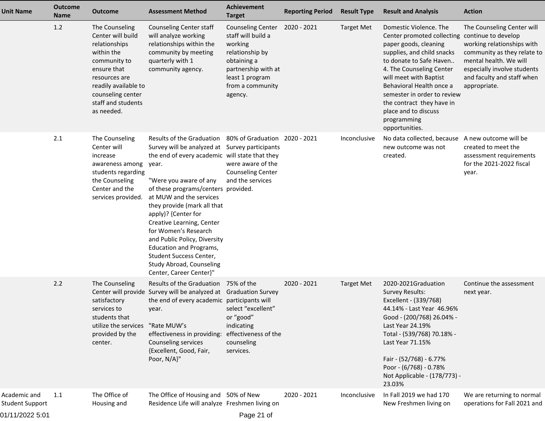| <b>Unit Name</b>                                          | <b>Outcome</b><br><b>Name</b> | Outcome                                                                                                                                                                                             | <b>Assessment Method</b>                                                                                                                                                                                                                                                                                                                                                                                                                                                                                                        | <b>Achievement</b><br><b>Target</b>                                                                                                                                  | <b>Reporting Period</b> | <b>Result Type</b> | <b>Result and Analysis</b>                                                                                                                                                                                                                                                                                                                                        | <b>Action</b>                                                                                                                                                                                  |
|-----------------------------------------------------------|-------------------------------|-----------------------------------------------------------------------------------------------------------------------------------------------------------------------------------------------------|---------------------------------------------------------------------------------------------------------------------------------------------------------------------------------------------------------------------------------------------------------------------------------------------------------------------------------------------------------------------------------------------------------------------------------------------------------------------------------------------------------------------------------|----------------------------------------------------------------------------------------------------------------------------------------------------------------------|-------------------------|--------------------|-------------------------------------------------------------------------------------------------------------------------------------------------------------------------------------------------------------------------------------------------------------------------------------------------------------------------------------------------------------------|------------------------------------------------------------------------------------------------------------------------------------------------------------------------------------------------|
|                                                           | 1.2                           | The Counseling<br>Center will build<br>relationships<br>within the<br>community to<br>ensure that<br>resources are<br>readily available to<br>counseling center<br>staff and students<br>as needed. | Counseling Center staff<br>will analyze working<br>relationships within the<br>community by meeting<br>quarterly with 1<br>community agency.                                                                                                                                                                                                                                                                                                                                                                                    | <b>Counseling Center</b><br>staff will build a<br>working<br>relationship by<br>obtaining a<br>partnership with at<br>least 1 program<br>from a community<br>agency. | 2020 - 2021             | <b>Target Met</b>  | Domestic Violence. The<br>Center promoted collecting continue to develop<br>paper goods, cleaning<br>supplies, and child snacks<br>to donate to Safe Haven<br>4. The Counseling Center<br>will meet with Baptist<br>Behavioral Health once a<br>semester in order to review<br>the contract they have in<br>place and to discuss<br>programming<br>opportunities. | The Counseling Center will<br>working relationships with<br>community as they relate to<br>mental health. We will<br>especially involve students<br>and faculty and staff when<br>appropriate. |
|                                                           | 2.1                           | The Counseling<br>Center will<br>increase<br>awareness among<br>students regarding<br>the Counseling<br>Center and the<br>services provided.                                                        | Results of the Graduation 80% of Graduation 2020 - 2021<br>Survey will be analyzed at Survey participants<br>the end of every academic will state that they<br>year.<br>"Were you aware of any<br>of these programs/centers provided.<br>at MUW and the services<br>they provide (mark all that<br>apply)? {Center for<br>Creative Learning, Center<br>for Women's Research<br>and Public Policy, Diversity<br><b>Education and Programs,</b><br>Student Success Center,<br>Study Abroad, Counseling<br>Center, Career Center}" | were aware of the<br><b>Counseling Center</b><br>and the services                                                                                                    |                         | Inconclusive       | No data collected, because<br>new outcome was not<br>created.                                                                                                                                                                                                                                                                                                     | A new outcome will be<br>created to meet the<br>assessment requirements<br>for the 2021-2022 fiscal<br>year.                                                                                   |
|                                                           | 2.2                           | The Counseling<br>satisfactory<br>services to<br>students that<br>utilize the services<br>provided by the<br>center.                                                                                | Results of the Graduation 75% of the<br>Center will provide Survey will be analyzed at Graduation Survey<br>the end of every academic participants will<br>year.<br>"Rate MUW's<br>effectiveness in providing:<br>Counseling services<br>{Excellent, Good, Fair,<br>Poor, N/A}"                                                                                                                                                                                                                                                 | select "excellent"<br>or "good"<br>indicating<br>effectiveness of the<br>counseling<br>services.                                                                     | 2020 - 2021             | <b>Target Met</b>  | 2020-2021Graduation<br><b>Survey Results:</b><br>Excellent - (339/768)<br>44.14% - Last Year 46.96%<br>Good - (200/768) 26.04% -<br>Last Year 24.19%<br>Total - (539/768) 70.18% -<br>Last Year 71.15%<br>Fair - (52/768) - 6.77%<br>Poor - (6/768) - 0.78%<br>Not Applicable - (178/773) -<br>23.03%                                                             | Continue the assessment<br>next year.                                                                                                                                                          |
| Academic and<br><b>Student Support</b><br>01/11/2022 5:01 | 1.1                           | The Office of<br>Housing and                                                                                                                                                                        | The Office of Housing and 50% of New<br>Residence Life will analyze Freshmen living on                                                                                                                                                                                                                                                                                                                                                                                                                                          | Page 21 of                                                                                                                                                           | 2020 - 2021             | Inconclusive       | In Fall 2019 we had 170<br>New Freshmen living on                                                                                                                                                                                                                                                                                                                 | We are returning to normal<br>operations for Fall 2021 and                                                                                                                                     |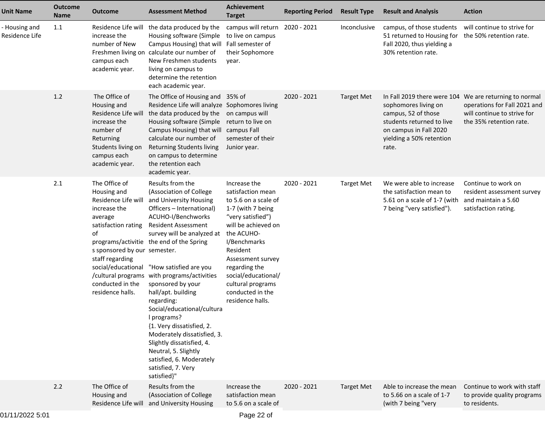| <b>Unit Name</b>                | <b>Outcome</b><br><b>Name</b> | <b>Outcome</b>                                                                                                                                                                                                               | <b>Assessment Method</b>                                                                                                                                                                                                                                                                                                                                                                                                                                                                                                                                                                          | <b>Achievement</b><br><b>Target</b>                                                                                                                                                                                                                                                            | <b>Reporting Period</b> | <b>Result Type</b> | <b>Result and Analysis</b>                                                                                                                                             | <b>Action</b>                                                                                                        |
|---------------------------------|-------------------------------|------------------------------------------------------------------------------------------------------------------------------------------------------------------------------------------------------------------------------|---------------------------------------------------------------------------------------------------------------------------------------------------------------------------------------------------------------------------------------------------------------------------------------------------------------------------------------------------------------------------------------------------------------------------------------------------------------------------------------------------------------------------------------------------------------------------------------------------|------------------------------------------------------------------------------------------------------------------------------------------------------------------------------------------------------------------------------------------------------------------------------------------------|-------------------------|--------------------|------------------------------------------------------------------------------------------------------------------------------------------------------------------------|----------------------------------------------------------------------------------------------------------------------|
| - Housing and<br>Residence Life | 1.1                           | Residence Life will<br>increase the<br>number of New<br>campus each<br>academic year.                                                                                                                                        | the data produced by the<br>Housing software (Simple<br>Campus Housing) that will<br>Freshmen living on calculate our number of<br>New Freshmen students<br>living on campus to<br>determine the retention<br>each academic year.                                                                                                                                                                                                                                                                                                                                                                 | campus will return 2020 - 2021<br>to live on campus<br>Fall semester of<br>their Sophomore<br>year.                                                                                                                                                                                            |                         | Inconclusive       | campus, of those students<br>51 returned to Housing for<br>Fall 2020, thus yielding a<br>30% retention rate.                                                           | will continue to strive for<br>the 50% retention rate.                                                               |
|                                 | 1.2                           | The Office of<br>Housing and<br>Residence Life will<br>increase the<br>number of<br>Returning<br>Students living on<br>campus each<br>academic year.                                                                         | The Office of Housing and 35% of<br>Residence Life will analyze Sophomores living<br>the data produced by the<br>Housing software (Simple<br>Campus Housing) that will campus Fall<br>calculate our number of<br><b>Returning Students living</b><br>on campus to determine<br>the retention each<br>academic year.                                                                                                                                                                                                                                                                               | on campus will<br>return to live on<br>semester of their<br>Junior year.                                                                                                                                                                                                                       | 2020 - 2021             | <b>Target Met</b>  | In Fall 2019 there were 104<br>sophomores living on<br>campus, 52 of those<br>students returned to live<br>on campus in Fall 2020<br>yielding a 50% retention<br>rate. | We are returning to normal<br>operations for Fall 2021 and<br>will continue to strive for<br>the 35% retention rate. |
|                                 | 2.1                           | The Office of<br>Housing and<br>Residence Life will<br>increase the<br>average<br>satisfaction rating<br>of<br>s sponsored by our semester.<br>staff regarding<br>social/educational<br>conducted in the<br>residence halls. | Results from the<br>(Association of College<br>and University Housing<br>Officers - International)<br>ACUHO-I/Benchworks<br><b>Resident Assessment</b><br>survey will be analyzed at<br>programs/activitie the end of the Spring<br>"How satisfied are you<br>/cultural programs with programs/activities<br>sponsored by your<br>hall/apt. building<br>regarding:<br>Social/educational/cultura<br>I programs?<br>{1. Very dissatisfied, 2.<br>Moderately dissatisfied, 3.<br>Slightly dissatisfied, 4.<br>Neutral, 5. Slightly<br>satisfied, 6. Moderately<br>satisfied, 7. Very<br>satisfied}" | Increase the<br>satisfaction mean<br>to 5.6 on a scale of<br>1-7 (with 7 being<br>"very satisfied")<br>will be achieved on<br>the ACUHO-<br>I/Benchmarks<br>Resident<br>Assessment survey<br>regarding the<br>social/educational/<br>cultural programs<br>conducted in the<br>residence halls. | 2020 - 2021             | <b>Target Met</b>  | We were able to increase<br>the satisfaction mean to<br>5.61 on a scale of 1-7 (with<br>7 being "very satisfied").                                                     | Continue to work on<br>resident assessment survey<br>and maintain a 5.60<br>satisfaction rating.                     |
|                                 | 2.2                           | The Office of<br>Housing and<br>Residence Life will                                                                                                                                                                          | Results from the<br>(Association of College<br>and University Housing                                                                                                                                                                                                                                                                                                                                                                                                                                                                                                                             | Increase the<br>satisfaction mean<br>to 5.6 on a scale of                                                                                                                                                                                                                                      | 2020 - 2021             | <b>Target Met</b>  | Able to increase the mean<br>to 5.66 on a scale of 1-7<br>(with 7 being "very                                                                                          | Continue to work with staff<br>to provide quality programs<br>to residents.                                          |
|                                 |                               |                                                                                                                                                                                                                              |                                                                                                                                                                                                                                                                                                                                                                                                                                                                                                                                                                                                   |                                                                                                                                                                                                                                                                                                |                         |                    |                                                                                                                                                                        |                                                                                                                      |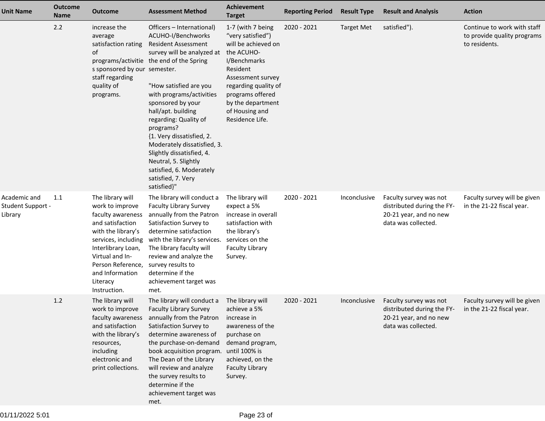| <b>Unit Name</b>                                    | <b>Outcome</b><br><b>Name</b> | <b>Outcome</b>                                                                                                                                                                                                                         | <b>Assessment Method</b>                                                                                                                                                                                                                                                                                                                                                                                                                                                         | <b>Achievement</b><br><b>Target</b>                                                                                                                                                                                                | <b>Reporting Period</b> | <b>Result Type</b> | <b>Result and Analysis</b>                                                                            | <b>Action</b>                                                               |
|-----------------------------------------------------|-------------------------------|----------------------------------------------------------------------------------------------------------------------------------------------------------------------------------------------------------------------------------------|----------------------------------------------------------------------------------------------------------------------------------------------------------------------------------------------------------------------------------------------------------------------------------------------------------------------------------------------------------------------------------------------------------------------------------------------------------------------------------|------------------------------------------------------------------------------------------------------------------------------------------------------------------------------------------------------------------------------------|-------------------------|--------------------|-------------------------------------------------------------------------------------------------------|-----------------------------------------------------------------------------|
|                                                     | 2.2                           | increase the<br>average<br>satisfaction rating<br>of<br>s sponsored by our semester.<br>staff regarding<br>quality of<br>programs.                                                                                                     | Officers - International)<br>ACUHO-I/Benchworks<br><b>Resident Assessment</b><br>survey will be analyzed at<br>programs/activitie the end of the Spring<br>"How satisfied are you<br>with programs/activities<br>sponsored by your<br>hall/apt. building<br>regarding: Quality of<br>programs?<br>{1. Very dissatisfied, 2.<br>Moderately dissatisfied, 3.<br>Slightly dissatisfied, 4.<br>Neutral, 5. Slightly<br>satisfied, 6. Moderately<br>satisfied, 7. Very<br>satisfied}" | 1-7 (with 7 being<br>"very satisfied")<br>will be achieved on<br>the ACUHO-<br>I/Benchmarks<br>Resident<br>Assessment survey<br>regarding quality of<br>programs offered<br>by the department<br>of Housing and<br>Residence Life. | 2020 - 2021             | <b>Target Met</b>  | satisfied").                                                                                          | Continue to work with staff<br>to provide quality programs<br>to residents. |
| Academic and<br><b>Student Support -</b><br>Library | 1.1                           | The library will<br>work to improve<br>faculty awareness<br>and satisfaction<br>with the library's<br>services, including<br>Interlibrary Loan,<br>Virtual and In-<br>Person Reference,<br>and Information<br>Literacy<br>Instruction. | The library will conduct a<br><b>Faculty Library Survey</b><br>annually from the Patron<br>Satisfaction Survey to<br>determine satisfaction<br>with the library's services.<br>The library faculty will<br>review and analyze the<br>survey results to<br>determine if the<br>achievement target was<br>met.                                                                                                                                                                     | The library will<br>expect a 5%<br>increase in overall<br>satisfaction with<br>the library's<br>services on the<br><b>Faculty Library</b><br>Survey.                                                                               | 2020 - 2021             | Inconclusive       | Faculty survey was not<br>distributed during the FY-<br>20-21 year, and no new<br>data was collected. | Faculty survey will be given<br>in the 21-22 fiscal year.                   |
|                                                     | 1.2                           | The library will<br>work to improve<br>faculty awareness<br>and satisfaction<br>with the library's<br>resources,<br>including<br>electronic and<br>print collections.                                                                  | The library will conduct a<br><b>Faculty Library Survey</b><br>annually from the Patron<br>Satisfaction Survey to<br>determine awareness of<br>the purchase-on-demand<br>book acquisition program.<br>The Dean of the Library<br>will review and analyze<br>the survey results to<br>determine if the<br>achievement target was<br>met.                                                                                                                                          | The library will<br>achieve a 5%<br>increase in<br>awareness of the<br>purchase on<br>demand program,<br>until 100% is<br>achieved, on the<br><b>Faculty Library</b><br>Survey.                                                    | $2020 - 2021$           | Inconclusive       | Faculty survey was not<br>distributed during the FY-<br>20-21 year, and no new<br>data was collected. | Faculty survey will be given<br>in the 21-22 fiscal year.                   |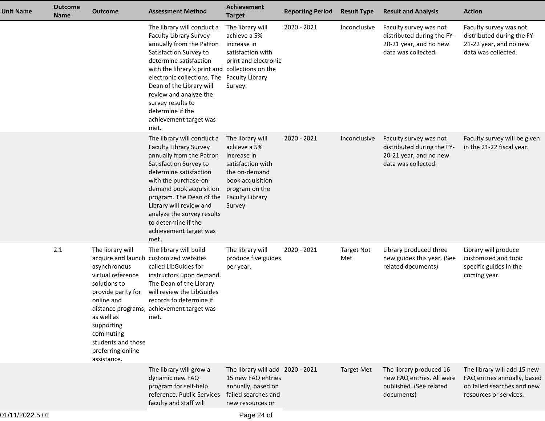| The library will conduct a<br>2020 - 2021<br>The library will<br>Inconclusive<br>Faculty survey was not<br>Faculty survey was not<br><b>Faculty Library Survey</b><br>achieve a 5%<br>distributed during the FY-<br>distributed during the FY-<br>annually from the Patron<br>20-21 year, and no new<br>21-22 year, and no new<br>increase in<br>satisfaction with<br>data was collected.<br>data was collected.<br>Satisfaction Survey to<br>determine satisfaction<br>print and electronic<br>with the library's print and collections on the<br>electronic collections. The<br><b>Faculty Library</b><br>Dean of the Library will<br>Survey.<br>review and analyze the<br>survey results to<br>determine if the<br>achievement target was<br>met.<br>The library will conduct a<br>2020 - 2021<br>Faculty survey will be given<br>The library will<br>Inconclusive<br>Faculty survey was not<br><b>Faculty Library Survey</b><br>distributed during the FY-<br>in the 21-22 fiscal year.<br>achieve a 5%<br>annually from the Patron<br>20-21 year, and no new<br>increase in<br>satisfaction with<br>data was collected.<br>Satisfaction Survey to<br>determine satisfaction<br>the on-demand<br>with the purchase-on-<br>book acquisition<br>demand book acquisition<br>program on the<br>program. The Dean of the<br><b>Faculty Library</b><br>Library will review and<br>Survey.<br>analyze the survey results<br>to determine if the<br>achievement target was<br>met.<br>2.1<br>The library will<br>The library will build<br>The library will<br>Library produced three<br>Library will produce<br>2020 - 2021<br><b>Target Not</b><br>acquire and launch customized websites<br>produce five guides<br>new guides this year. (See<br>customized and topic<br>Met<br>asynchronous<br>called LibGuides for<br>related documents)<br>specific guides in the<br>per year.<br>virtual reference<br>instructors upon demand.<br>coming year.<br>The Dean of the Library<br>solutions to<br>provide parity for<br>will review the LibGuides<br>records to determine if<br>online and<br>distance programs, achievement target was<br>as well as<br>met.<br>supporting<br>commuting<br>students and those<br>preferring online<br>assistance.<br>The library will grow a<br>The library produced 16<br>The library will add 15 new<br>The library will add 2020 - 2021<br><b>Target Met</b><br>new FAQ entries. All were<br>FAQ entries annually, based<br>dynamic new FAQ<br>15 new FAQ entries<br>program for self-help<br>annually, based on<br>on failed searches and new<br>published. (See related<br>reference. Public Services<br>failed searches and<br>documents)<br>resources or services.<br>faculty and staff will<br>new resources or | <b>Unit Name</b> | <b>Outcome</b><br><b>Name</b> | <b>Outcome</b> | <b>Assessment Method</b> | <b>Achievement</b><br><b>Target</b> | <b>Reporting Period</b> | <b>Result Type</b> | <b>Result and Analysis</b> | <b>Action</b> |
|--------------------------------------------------------------------------------------------------------------------------------------------------------------------------------------------------------------------------------------------------------------------------------------------------------------------------------------------------------------------------------------------------------------------------------------------------------------------------------------------------------------------------------------------------------------------------------------------------------------------------------------------------------------------------------------------------------------------------------------------------------------------------------------------------------------------------------------------------------------------------------------------------------------------------------------------------------------------------------------------------------------------------------------------------------------------------------------------------------------------------------------------------------------------------------------------------------------------------------------------------------------------------------------------------------------------------------------------------------------------------------------------------------------------------------------------------------------------------------------------------------------------------------------------------------------------------------------------------------------------------------------------------------------------------------------------------------------------------------------------------------------------------------------------------------------------------------------------------------------------------------------------------------------------------------------------------------------------------------------------------------------------------------------------------------------------------------------------------------------------------------------------------------------------------------------------------------------------------------------------------------------------------------------------------------------------------------------------------------------------------------------------------------------------------------------------------------------------------------------------------------------------------------------------------------------------------------------------------------------------------------------------------------------------------------------------------------------------------------------------------------|------------------|-------------------------------|----------------|--------------------------|-------------------------------------|-------------------------|--------------------|----------------------------|---------------|
|                                                                                                                                                                                                                                                                                                                                                                                                                                                                                                                                                                                                                                                                                                                                                                                                                                                                                                                                                                                                                                                                                                                                                                                                                                                                                                                                                                                                                                                                                                                                                                                                                                                                                                                                                                                                                                                                                                                                                                                                                                                                                                                                                                                                                                                                                                                                                                                                                                                                                                                                                                                                                                                                                                                                                        |                  |                               |                |                          |                                     |                         |                    |                            |               |
|                                                                                                                                                                                                                                                                                                                                                                                                                                                                                                                                                                                                                                                                                                                                                                                                                                                                                                                                                                                                                                                                                                                                                                                                                                                                                                                                                                                                                                                                                                                                                                                                                                                                                                                                                                                                                                                                                                                                                                                                                                                                                                                                                                                                                                                                                                                                                                                                                                                                                                                                                                                                                                                                                                                                                        |                  |                               |                |                          |                                     |                         |                    |                            |               |
|                                                                                                                                                                                                                                                                                                                                                                                                                                                                                                                                                                                                                                                                                                                                                                                                                                                                                                                                                                                                                                                                                                                                                                                                                                                                                                                                                                                                                                                                                                                                                                                                                                                                                                                                                                                                                                                                                                                                                                                                                                                                                                                                                                                                                                                                                                                                                                                                                                                                                                                                                                                                                                                                                                                                                        |                  |                               |                |                          |                                     |                         |                    |                            |               |
|                                                                                                                                                                                                                                                                                                                                                                                                                                                                                                                                                                                                                                                                                                                                                                                                                                                                                                                                                                                                                                                                                                                                                                                                                                                                                                                                                                                                                                                                                                                                                                                                                                                                                                                                                                                                                                                                                                                                                                                                                                                                                                                                                                                                                                                                                                                                                                                                                                                                                                                                                                                                                                                                                                                                                        |                  |                               |                |                          |                                     |                         |                    |                            |               |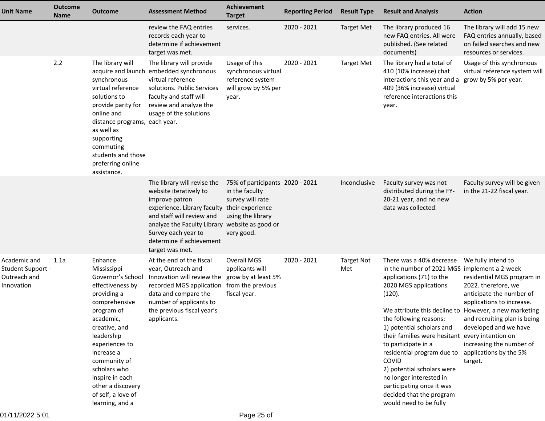| <b>Unit Name</b>                                                | <b>Outcome</b><br><b>Name</b> | <b>Outcome</b>                                                                                                                                                                                                                                                                                             | <b>Assessment Method</b>                                                                                                                                                                                                                                                     | Achievement<br><b>Target</b>                                                                             | <b>Reporting Period</b> | <b>Result Type</b>       | <b>Result and Analysis</b>                                                                                                                                                                                                                                                                                                                                                                                                                                                                                           | <b>Action</b>                                                                                                                                                                                                                                              |
|-----------------------------------------------------------------|-------------------------------|------------------------------------------------------------------------------------------------------------------------------------------------------------------------------------------------------------------------------------------------------------------------------------------------------------|------------------------------------------------------------------------------------------------------------------------------------------------------------------------------------------------------------------------------------------------------------------------------|----------------------------------------------------------------------------------------------------------|-------------------------|--------------------------|----------------------------------------------------------------------------------------------------------------------------------------------------------------------------------------------------------------------------------------------------------------------------------------------------------------------------------------------------------------------------------------------------------------------------------------------------------------------------------------------------------------------|------------------------------------------------------------------------------------------------------------------------------------------------------------------------------------------------------------------------------------------------------------|
|                                                                 |                               |                                                                                                                                                                                                                                                                                                            | review the FAQ entries<br>records each year to<br>determine if achievement<br>target was met.                                                                                                                                                                                | services.                                                                                                | 2020 - 2021             | <b>Target Met</b>        | The library produced 16<br>new FAQ entries. All were<br>published. (See related<br>documents)                                                                                                                                                                                                                                                                                                                                                                                                                        | The library will add 15 new<br>FAQ entries annually, based<br>on failed searches and new<br>resources or services.                                                                                                                                         |
|                                                                 | 2.2                           | The library will<br>synchronous<br>virtual reference<br>solutions to<br>provide parity for<br>online and<br>distance programs, each year.<br>as well as<br>supporting<br>commuting<br>students and those<br>preferring online<br>assistance.                                                               | The library will provide<br>acquire and launch embedded synchronous<br>virtual reference<br>solutions. Public Services<br>faculty and staff will<br>review and analyze the<br>usage of the solutions                                                                         | Usage of this<br>synchronous virtual<br>reference system<br>will grow by 5% per<br>year.                 | 2020 - 2021             | <b>Target Met</b>        | The library had a total of<br>410 (10% increase) chat<br>interactions this year and a<br>409 (36% increase) virtual<br>reference interactions this<br>year.                                                                                                                                                                                                                                                                                                                                                          | Usage of this synchronous<br>virtual reference system wil<br>grow by 5% per year.                                                                                                                                                                          |
|                                                                 |                               |                                                                                                                                                                                                                                                                                                            | The library will revise the<br>website iteratively to<br>improve patron<br>experience. Library faculty their experience<br>and staff will review and<br>analyze the Faculty Library website as good or<br>Survey each year to<br>determine if achievement<br>target was met. | 75% of participants 2020 - 2021<br>in the faculty<br>survey will rate<br>using the library<br>very good. |                         | Inconclusive             | Faculty survey was not<br>distributed during the FY-<br>20-21 year, and no new<br>data was collected.                                                                                                                                                                                                                                                                                                                                                                                                                | Faculty survey will be given<br>in the 21-22 fiscal year.                                                                                                                                                                                                  |
| Academic and<br>Student Support -<br>Outreach and<br>Innovation | 1.1a                          | Enhance<br>Mississippi<br>Governor's School<br>effectiveness by<br>providing a<br>comprehensive<br>program of<br>academic,<br>creative, and<br>leadership<br>experiences to<br>increase a<br>community of<br>scholars who<br>inspire in each<br>other a discovery<br>of self, a love of<br>learning, and a | At the end of the fiscal<br>year, Outreach and<br>Innovation will review the<br>recorded MGS application from the previous<br>data and compare the<br>number of applicants to<br>the previous fiscal year's<br>applicants.                                                   | Overall MGS<br>applicants will<br>grow by at least 5%<br>fiscal year.                                    | 2020 - 2021             | <b>Target Not</b><br>Met | There was a 40% decrease<br>in the number of 2021 MGS implement a 2-week<br>applications (71) to the<br>2020 MGS applications<br>(120).<br>We attribute this decline to However, a new marketing<br>the following reasons:<br>1) potential scholars and<br>their families were hesitant every intention on<br>to participate in a<br>residential program due to<br>COVID<br>2) potential scholars were<br>no longer interested in<br>participating once it was<br>decided that the program<br>would need to be fully | We fully intend to<br>residential MGS program in<br>2022. therefore, we<br>anticipate the number of<br>applications to increase.<br>and recruiting plan is being<br>developed and we have<br>increasing the number of<br>applications by the 5%<br>target. |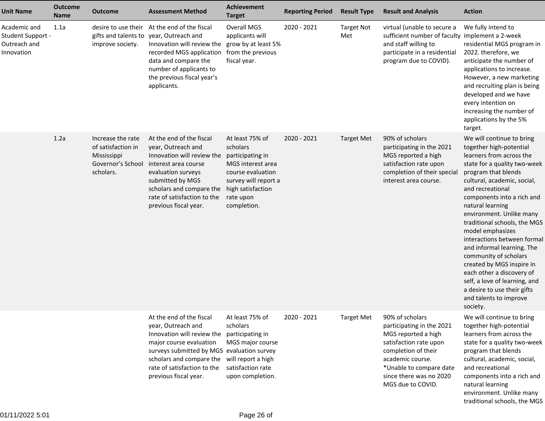| <b>Unit Name</b>                                                | <b>Outcome</b><br><b>Name</b> | <b>Outcome</b>                                                                           | <b>Assessment Method</b>                                                                                                                                                                                                                                                                | <b>Achievement</b><br><b>Target</b>                                                                                       | <b>Reporting Period</b> | <b>Result Type</b>       | <b>Result and Analysis</b>                                                                                                                                                                                          | <b>Action</b>                                                                                                                                                                                                                                                                                                                                                                                                                                                                                                                                                                      |
|-----------------------------------------------------------------|-------------------------------|------------------------------------------------------------------------------------------|-----------------------------------------------------------------------------------------------------------------------------------------------------------------------------------------------------------------------------------------------------------------------------------------|---------------------------------------------------------------------------------------------------------------------------|-------------------------|--------------------------|---------------------------------------------------------------------------------------------------------------------------------------------------------------------------------------------------------------------|------------------------------------------------------------------------------------------------------------------------------------------------------------------------------------------------------------------------------------------------------------------------------------------------------------------------------------------------------------------------------------------------------------------------------------------------------------------------------------------------------------------------------------------------------------------------------------|
| Academic and<br>Student Support -<br>Outreach and<br>Innovation | 1.1a                          | improve society.                                                                         | desire to use their At the end of the fiscal<br>gifts and talents to year, Outreach and<br>Innovation will review the grow by at least 5%<br>recorded MGS application from the previous<br>data and compare the<br>number of applicants to<br>the previous fiscal year's<br>applicants. | <b>Overall MGS</b><br>applicants will<br>fiscal year.                                                                     | 2020 - 2021             | <b>Target Not</b><br>Met | virtual (unable to secure a<br>sufficient number of faculty implement a 2-week<br>and staff willing to<br>participate in a residential<br>program due to COVID).                                                    | We fully intend to<br>residential MGS program in<br>2022. therefore, we<br>anticipate the number of<br>applications to increase.<br>However, a new marketing<br>and recruiting plan is being<br>developed and we have<br>every intention on<br>increasing the number of<br>applications by the 5%<br>target.                                                                                                                                                                                                                                                                       |
|                                                                 | 1.2a                          | Increase the rate<br>of satisfaction in<br>Mississippi<br>Governor's School<br>scholars. | At the end of the fiscal<br>year, Outreach and<br>Innovation will review the participating in<br>interest area course<br>evaluation surveys<br>submitted by MGS<br>scholars and compare the high satisfaction<br>rate of satisfaction to the<br>previous fiscal year.                   | At least 75% of<br>scholars<br>MGS interest area<br>course evaluation<br>survey will report a<br>rate upon<br>completion. | 2020 - 2021             | <b>Target Met</b>        | 90% of scholars<br>participating in the 2021<br>MGS reported a high<br>satisfaction rate upon<br>completion of their special<br>interest area course.                                                               | We will continue to bring<br>together high-potential<br>learners from across the<br>state for a quality two-week<br>program that blends<br>cultural, academic, social,<br>and recreational<br>components into a rich and<br>natural learning<br>environment. Unlike many<br>traditional schools, the MGS<br>model emphasizes<br>interactions between formal<br>and informal learning. The<br>community of scholars<br>created by MGS inspire in<br>each other a discovery of<br>self, a love of learning, and<br>a desire to use their gifts<br>and talents to improve<br>society. |
|                                                                 |                               |                                                                                          | At the end of the fiscal<br>year, Outreach and<br>Innovation will review the<br>major course evaluation<br>surveys submitted by MGS evaluation survey<br>scholars and compare the will report a high<br>rate of satisfaction to the<br>previous fiscal year.                            | At least 75% of<br>scholars<br>participating in<br>MGS major course<br>satisfaction rate<br>upon completion.              | 2020 - 2021             | <b>Target Met</b>        | 90% of scholars<br>participating in the 2021<br>MGS reported a high<br>satisfaction rate upon<br>completion of their<br>academic course.<br>*Unable to compare date<br>since there was no 2020<br>MGS due to COVID. | We will continue to bring<br>together high-potential<br>learners from across the<br>state for a quality two-week<br>program that blends<br>cultural, academic, social,<br>and recreational<br>components into a rich and<br>natural learning<br>environment. Unlike many<br>traditional schools, the MGS                                                                                                                                                                                                                                                                           |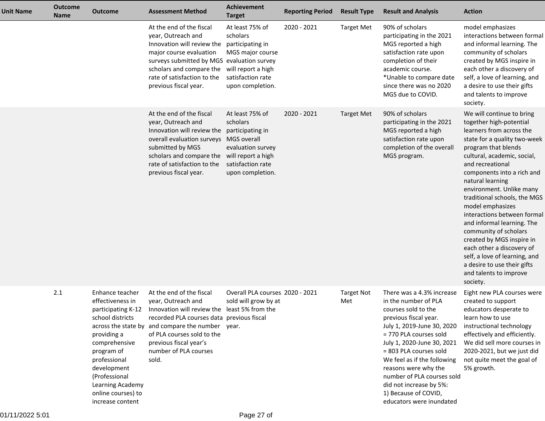| <b>Unit Name</b> | <b>Outcome</b><br><b>Name</b> | <b>Outcome</b>                                                                                                                                                                                                                            | <b>Assessment Method</b>                                                                                                                                                                                                                                                                  | <b>Achievement</b><br><b>Target</b>                                                                                                | <b>Reporting Period</b> | <b>Result Type</b>       | <b>Result and Analysis</b>                                                                                                                                                                                                                                                                                                                                                            | <b>Action</b>                                                                                                                                                                                                                                                                                                                                                                                                                                                                                                                                                                      |
|------------------|-------------------------------|-------------------------------------------------------------------------------------------------------------------------------------------------------------------------------------------------------------------------------------------|-------------------------------------------------------------------------------------------------------------------------------------------------------------------------------------------------------------------------------------------------------------------------------------------|------------------------------------------------------------------------------------------------------------------------------------|-------------------------|--------------------------|---------------------------------------------------------------------------------------------------------------------------------------------------------------------------------------------------------------------------------------------------------------------------------------------------------------------------------------------------------------------------------------|------------------------------------------------------------------------------------------------------------------------------------------------------------------------------------------------------------------------------------------------------------------------------------------------------------------------------------------------------------------------------------------------------------------------------------------------------------------------------------------------------------------------------------------------------------------------------------|
|                  |                               |                                                                                                                                                                                                                                           | At the end of the fiscal<br>year, Outreach and<br>Innovation will review the<br>major course evaluation<br>surveys submitted by MGS evaluation survey<br>scholars and compare the<br>rate of satisfaction to the<br>previous fiscal year.                                                 | At least 75% of<br>scholars<br>participating in<br>MGS major course<br>will report a high<br>satisfaction rate<br>upon completion. | 2020 - 2021             | <b>Target Met</b>        | 90% of scholars<br>participating in the 2021<br>MGS reported a high<br>satisfaction rate upon<br>completion of their<br>academic course.<br>*Unable to compare date<br>since there was no 2020<br>MGS due to COVID.                                                                                                                                                                   | model emphasizes<br>interactions between formal<br>and informal learning. The<br>community of scholars<br>created by MGS inspire in<br>each other a discovery of<br>self, a love of learning, and<br>a desire to use their gifts<br>and talents to improve<br>society.                                                                                                                                                                                                                                                                                                             |
|                  |                               |                                                                                                                                                                                                                                           | At the end of the fiscal<br>year, Outreach and<br>Innovation will review the participating in<br>overall evaluation surveys MGS overall<br>submitted by MGS<br>scholars and compare the<br>rate of satisfaction to the<br>previous fiscal year.                                           | At least 75% of<br>scholars<br>evaluation survey<br>will report a high<br>satisfaction rate<br>upon completion.                    | 2020 - 2021             | <b>Target Met</b>        | 90% of scholars<br>participating in the 2021<br>MGS reported a high<br>satisfaction rate upon<br>completion of the overall<br>MGS program.                                                                                                                                                                                                                                            | We will continue to bring<br>together high-potential<br>learners from across the<br>state for a quality two-week<br>program that blends<br>cultural, academic, social,<br>and recreational<br>components into a rich and<br>natural learning<br>environment. Unlike many<br>traditional schools, the MGS<br>model emphasizes<br>interactions between formal<br>and informal learning. The<br>community of scholars<br>created by MGS inspire in<br>each other a discovery of<br>self, a love of learning, and<br>a desire to use their gifts<br>and talents to improve<br>society. |
|                  | 2.1                           | Enhance teacher<br>effectiveness in<br>participating K-12<br>school districts<br>providing a<br>comprehensive<br>program of<br>professional<br>development<br>(Professional<br>Learning Academy<br>online courses) to<br>increase content | At the end of the fiscal<br>year, Outreach and<br>Innovation will review the least 5% from the<br>recorded PLA courses data previous fiscal<br>across the state by and compare the number year.<br>of PLA courses sold to the<br>previous fiscal year's<br>number of PLA courses<br>sold. | Overall PLA courses 2020 - 2021<br>sold will grow by at                                                                            |                         | <b>Target Not</b><br>Met | There was a 4.3% increase<br>in the number of PLA<br>courses sold to the<br>previous fiscal year.<br>July 1, 2019-June 30, 2020<br>= 770 PLA courses sold<br>July 1, 2020-June 30, 2021<br>= 803 PLA courses sold<br>We feel as if the following<br>reasons were why the<br>number of PLA courses sold<br>did not increase by 5%:<br>1) Because of COVID,<br>educators were inundated | Eight new PLA courses were<br>created to support<br>educators desperate to<br>learn how to use<br>instructional technology<br>effectively and efficiently.<br>We did sell more courses in<br>2020-2021, but we just did<br>not quite meet the goal of<br>5% growth.                                                                                                                                                                                                                                                                                                                |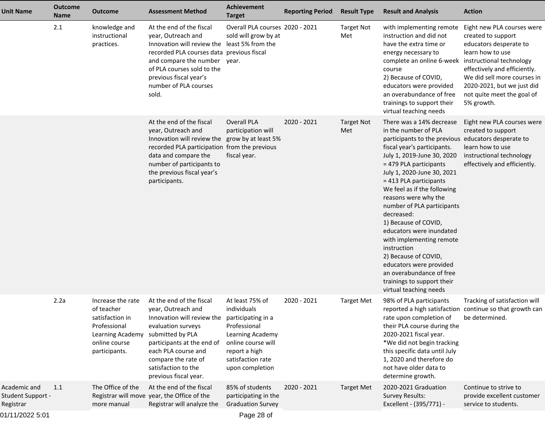| <b>Unit Name</b>                               | <b>Outcome</b><br><b>Name</b> | <b>Outcome</b>                                                                                                           | <b>Assessment Method</b>                                                                                                                                                                                                                                              | Achievement<br><b>Target</b>                                                                                                                      | <b>Reporting Period</b> | <b>Result Type</b>       | <b>Result and Analysis</b>                                                                                                                                                                                                                                                                                                                                                                                                                                                                                                                                               | <b>Action</b>                                                                                                                                                                                                                                                       |
|------------------------------------------------|-------------------------------|--------------------------------------------------------------------------------------------------------------------------|-----------------------------------------------------------------------------------------------------------------------------------------------------------------------------------------------------------------------------------------------------------------------|---------------------------------------------------------------------------------------------------------------------------------------------------|-------------------------|--------------------------|--------------------------------------------------------------------------------------------------------------------------------------------------------------------------------------------------------------------------------------------------------------------------------------------------------------------------------------------------------------------------------------------------------------------------------------------------------------------------------------------------------------------------------------------------------------------------|---------------------------------------------------------------------------------------------------------------------------------------------------------------------------------------------------------------------------------------------------------------------|
|                                                | 2.1                           | knowledge and<br>instructional<br>practices.                                                                             | At the end of the fiscal<br>year, Outreach and<br>Innovation will review the least 5% from the<br>recorded PLA courses data previous fiscal<br>and compare the number<br>of PLA courses sold to the<br>previous fiscal year's<br>number of PLA courses<br>sold.       | Overall PLA courses 2020 - 2021<br>sold will grow by at<br>year.                                                                                  |                         | <b>Target Not</b><br>Met | with implementing remote<br>instruction and did not<br>have the extra time or<br>energy necessary to<br>complete an online 6-week<br>course<br>2) Because of COVID,<br>educators were provided<br>an overabundance of free<br>trainings to support their<br>virtual teaching needs                                                                                                                                                                                                                                                                                       | Eight new PLA courses were<br>created to support<br>educators desperate to<br>learn how to use<br>instructional technology<br>effectively and efficiently.<br>We did sell more courses in<br>2020-2021, but we just did<br>not quite meet the goal of<br>5% growth. |
|                                                |                               |                                                                                                                          | At the end of the fiscal<br>year, Outreach and<br>Innovation will review the grow by at least 5%<br>recorded PLA participation from the previous<br>data and compare the<br>number of participants to<br>the previous fiscal year's<br>participants.                  | <b>Overall PLA</b><br>participation will<br>fiscal year.                                                                                          | 2020 - 2021             | <b>Target Not</b><br>Met | There was a 14% decrease<br>in the number of PLA<br>participants to the previous<br>fiscal year's participants.<br>July 1, 2019-June 30, 2020<br>= 479 PLA participants<br>July 1, 2020-June 30, 2021<br>= 413 PLA participants<br>We feel as if the following<br>reasons were why the<br>number of PLA participants<br>decreased:<br>1) Because of COVID,<br>educators were inundated<br>with implementing remote<br>instruction<br>2) Because of COVID,<br>educators were provided<br>an overabundance of free<br>trainings to support their<br>virtual teaching needs | Eight new PLA courses were<br>created to support<br>educators desperate to<br>learn how to use<br>instructional technology<br>effectively and efficiently.                                                                                                          |
|                                                | 2.2a                          | Increase the rate<br>of teacher<br>satisfaction in<br>Professional<br>Learning Academy<br>online course<br>participants. | At the end of the fiscal<br>year, Outreach and<br>Innovation will review the participating in a<br>evaluation surveys<br>submitted by PLA<br>participants at the end of<br>each PLA course and<br>compare the rate of<br>satisfaction to the<br>previous fiscal year. | At least 75% of<br>individuals<br>Professional<br>Learning Academy<br>online course will<br>report a high<br>satisfaction rate<br>upon completion | 2020 - 2021             | <b>Target Met</b>        | 98% of PLA participants<br>rate upon completion of<br>their PLA course during the<br>2020-2021 fiscal year.<br>*We did not begin tracking<br>this specific data until July<br>1, 2020 and therefore do<br>not have older data to<br>determine growth.                                                                                                                                                                                                                                                                                                                    | Tracking of satisfaction will<br>reported a high satisfaction continue so that growth can<br>be determined.                                                                                                                                                         |
| Academic and<br>Student Support -<br>Registrar | 1.1                           | The Office of the<br>more manual                                                                                         | At the end of the fiscal<br>Registrar will move year, the Office of the<br>Registrar will analyze the                                                                                                                                                                 | 85% of students<br>participating in the<br><b>Graduation Survey</b>                                                                               | 2020 - 2021             | <b>Target Met</b>        | 2020-2021 Graduation<br><b>Survey Results:</b><br>Excellent - (395/771) -                                                                                                                                                                                                                                                                                                                                                                                                                                                                                                | Continue to strive to<br>provide excellent customer<br>service to students.                                                                                                                                                                                         |
| 34/44/0000E.04                                 |                               |                                                                                                                          |                                                                                                                                                                                                                                                                       | $00 - 1$                                                                                                                                          |                         |                          |                                                                                                                                                                                                                                                                                                                                                                                                                                                                                                                                                                          |                                                                                                                                                                                                                                                                     |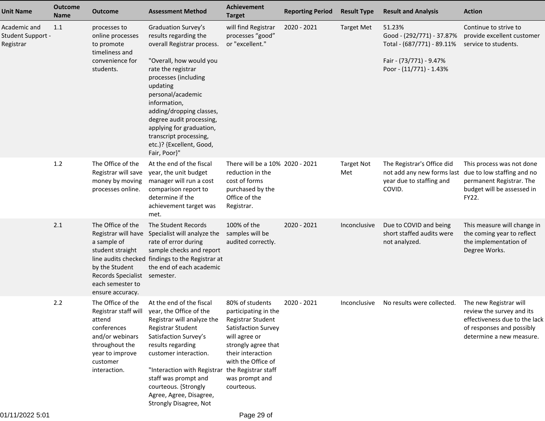| <b>Unit Name</b>                               | <b>Outcome</b><br><b>Name</b> | <b>Outcome</b>                                                                                                                                                        | <b>Assessment Method</b>                                                                                                                                                                                                                                                                                                                                       | <b>Achievement</b><br><b>Target</b>                                                                                                                                                                    | <b>Reporting Period</b> | <b>Result Type</b>       | <b>Result and Analysis</b>                                                                                              | <b>Action</b>                                                                                                                                 |
|------------------------------------------------|-------------------------------|-----------------------------------------------------------------------------------------------------------------------------------------------------------------------|----------------------------------------------------------------------------------------------------------------------------------------------------------------------------------------------------------------------------------------------------------------------------------------------------------------------------------------------------------------|--------------------------------------------------------------------------------------------------------------------------------------------------------------------------------------------------------|-------------------------|--------------------------|-------------------------------------------------------------------------------------------------------------------------|-----------------------------------------------------------------------------------------------------------------------------------------------|
| Academic and<br>Student Support -<br>Registrar | 1.1                           | processes to<br>online processes<br>to promote<br>timeliness and<br>convenience for<br>students.                                                                      | Graduation Survey's<br>results regarding the<br>overall Registrar process.<br>"Overall, how would you<br>rate the registrar<br>processes (including<br>updating<br>personal/academic<br>information,<br>adding/dropping classes,<br>degree audit processing,<br>applying for graduation,<br>transcript processing,<br>etc.)? {Excellent, Good,<br>Fair, Poor}" | will find Registrar<br>processes "good"<br>or "excellent."                                                                                                                                             | 2020 - 2021             | <b>Target Met</b>        | 51.23%<br>Good - (292/771) - 37.87%<br>Total - (687/771) - 89.11%<br>Fair - (73/771) - 9.47%<br>Poor - (11/771) - 1.43% | Continue to strive to<br>provide excellent customer<br>service to students.                                                                   |
|                                                | 1.2                           | The Office of the<br>Registrar will save<br>money by moving<br>processes online.                                                                                      | At the end of the fiscal<br>year, the unit budget<br>manager will run a cost<br>comparison report to<br>determine if the<br>achievement target was<br>met.                                                                                                                                                                                                     | There will be a 10% 2020 - 2021<br>reduction in the<br>cost of forms<br>purchased by the<br>Office of the<br>Registrar.                                                                                |                         | <b>Target Not</b><br>Met | The Registrar's Office did<br>not add any new forms last<br>year due to staffing and<br>COVID.                          | This process was not done<br>due to low staffing and no<br>permanent Registrar. The<br>budget will be assessed in<br>FY22.                    |
|                                                | 2.1                           | The Office of the<br>Registrar will have<br>a sample of<br>student straight<br>by the Student<br>Records Specialist semester.<br>each semester to<br>ensure accuracy. | The Student Records<br>Specialist will analyze the<br>rate of error during<br>sample checks and report<br>line audits checked findings to the Registrar at<br>the end of each academic                                                                                                                                                                         | 100% of the<br>samples will be<br>audited correctly.                                                                                                                                                   | 2020 - 2021             | Inconclusive             | Due to COVID and being<br>short staffed audits were<br>not analyzed.                                                    | This measure will change in<br>the coming year to reflect<br>the implementation of<br>Degree Works.                                           |
|                                                | 2.2                           | The Office of the<br>attend<br>conferences<br>and/or webinars<br>throughout the<br>year to improve<br>customer<br>interaction.                                        | At the end of the fiscal<br>Registrar staff will year, the Office of the<br>Registrar will analyze the<br>Registrar Student<br>Satisfaction Survey's<br>results regarding<br>customer interaction.<br>"Interaction with Registrar the Registrar staff<br>staff was prompt and<br>courteous. {Strongly<br>Agree, Agree, Disagree,<br>Strongly Disagree, Not     | 80% of students<br>participating in the<br>Registrar Student<br>Satisfaction Survey<br>will agree or<br>strongly agree that<br>their interaction<br>with the Office of<br>was prompt and<br>courteous. | 2020 - 2021             | Inconclusive             | No results were collected.                                                                                              | The new Registrar will<br>review the survey and its<br>effectiveness due to the lack<br>of responses and possibly<br>determine a new measure. |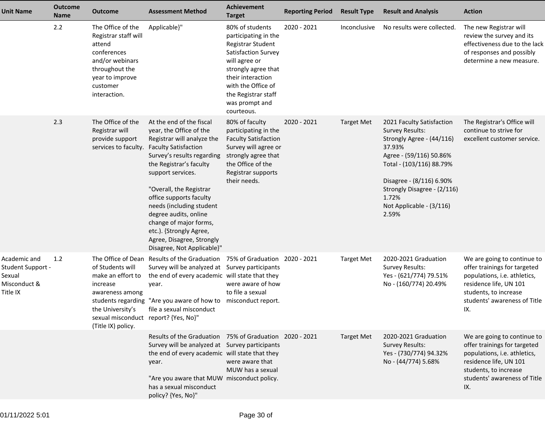| <b>Unit Name</b>                                                        | <b>Outcome</b><br>Name | Outcome                                                                                                                                                | <b>Assessment Method</b>                                                                                                                                                                                                                                                                                                                                                                                                  | <b>Achievement</b><br><b>Target</b>                                                                                                                                                                                           | <b>Reporting Period</b> | <b>Result Type</b> | <b>Result and Analysis</b>                                                                                                                                                                                                                                 | <b>Action</b>                                                                                                                                                                         |
|-------------------------------------------------------------------------|------------------------|--------------------------------------------------------------------------------------------------------------------------------------------------------|---------------------------------------------------------------------------------------------------------------------------------------------------------------------------------------------------------------------------------------------------------------------------------------------------------------------------------------------------------------------------------------------------------------------------|-------------------------------------------------------------------------------------------------------------------------------------------------------------------------------------------------------------------------------|-------------------------|--------------------|------------------------------------------------------------------------------------------------------------------------------------------------------------------------------------------------------------------------------------------------------------|---------------------------------------------------------------------------------------------------------------------------------------------------------------------------------------|
|                                                                         | 2.2                    | The Office of the<br>Registrar staff will<br>attend<br>conferences<br>and/or webinars<br>throughout the<br>year to improve<br>customer<br>interaction. | Applicable}"                                                                                                                                                                                                                                                                                                                                                                                                              | 80% of students<br>participating in the<br>Registrar Student<br>Satisfaction Survey<br>will agree or<br>strongly agree that<br>their interaction<br>with the Office of<br>the Registrar staff<br>was prompt and<br>courteous. | 2020 - 2021             | Inconclusive       | No results were collected.                                                                                                                                                                                                                                 | The new Registrar will<br>review the survey and its<br>effectiveness due to the lack<br>of responses and possibly<br>determine a new measure.                                         |
|                                                                         | 2.3                    | The Office of the<br>Registrar will<br>provide support<br>services to faculty.                                                                         | At the end of the fiscal<br>year, the Office of the<br>Registrar will analyze the<br><b>Faculty Satisfaction</b><br>Survey's results regarding<br>the Registrar's faculty<br>support services.<br>"Overall, the Registrar<br>office supports faculty<br>needs (including student<br>degree audits, online<br>change of major forms,<br>etc.). {Strongly Agree,<br>Agree, Disagree, Strongly<br>Disagree, Not Applicable}" | 80% of faculty<br>participating in the<br><b>Faculty Satisfaction</b><br>Survey will agree or<br>strongly agree that<br>the Office of the<br>Registrar supports<br>their needs.                                               | 2020 - 2021             | <b>Target Met</b>  | 2021 Faculty Satisfaction<br><b>Survey Results:</b><br>Strongly Agree - (44/116)<br>37.93%<br>Agree - (59/116) 50.86%<br>Total - (103/116) 88.79%<br>Disagree - (8/116) 6.90%<br>Strongly Disagree - (2/116)<br>1.72%<br>Not Applicable - (3/116)<br>2.59% | The Registrar's Office will<br>continue to strive for<br>excellent customer service.                                                                                                  |
| Academic and<br>Student Support -<br>Sexual<br>Misconduct &<br>Title IX | 1.2                    | of Students will<br>make an effort to<br>increase<br>awareness among<br>the University's<br>sexual misconduct report? {Yes, No}"<br>(Title IX) policy. | The Office of Dean Results of the Graduation 75% of Graduation 2020 - 2021<br>Survey will be analyzed at Survey participants<br>the end of every academic will state that they<br>year.<br>students regarding "Are you aware of how to misconduct report.<br>file a sexual misconduct                                                                                                                                     | were aware of how<br>to file a sexual                                                                                                                                                                                         |                         | <b>Target Met</b>  | 2020-2021 Graduation<br><b>Survey Results:</b><br>Yes - (621/774) 79.51%<br>No - (160/774) 20.49%                                                                                                                                                          | We are going to continue to<br>offer trainings for targeted<br>populations, i.e. athletics,<br>residence life, UN 101<br>students, to increase<br>students' awareness of Title<br>IX. |
|                                                                         |                        |                                                                                                                                                        | Results of the Graduation 75% of Graduation 2020 - 2021<br>Survey will be analyzed at Survey participants<br>the end of every academic will state that they<br>year.<br>"Are you aware that MUW misconduct policy.<br>has a sexual misconduct<br>policy? {Yes, No}"                                                                                                                                                       | were aware that<br>MUW has a sexual                                                                                                                                                                                           |                         | <b>Target Met</b>  | 2020-2021 Graduation<br><b>Survey Results:</b><br>Yes - (730/774) 94.32%<br>No - (44/774) 5.68%                                                                                                                                                            | We are going to continue to<br>offer trainings for targeted<br>populations, i.e. athletics,<br>residence life, UN 101<br>students, to increase<br>students' awareness of Title<br>IX. |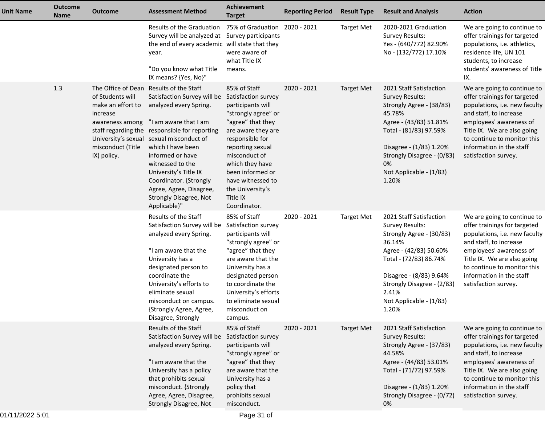| <b>Unit Name</b> | <b>Outcome</b><br><b>Name</b> | <b>Outcome</b>                                                                                           | <b>Assessment Method</b>                                                                                                                                                                                                                                                                                                                                                                                    | Achievement<br><b>Target</b>                                                                                                                                                                                                                                                                   | <b>Reporting Period</b> | <b>Result Type</b> | <b>Result and Analysis</b>                                                                                                                                                                                                                        | <b>Action</b>                                                                                                                                                                                                                                                              |
|------------------|-------------------------------|----------------------------------------------------------------------------------------------------------|-------------------------------------------------------------------------------------------------------------------------------------------------------------------------------------------------------------------------------------------------------------------------------------------------------------------------------------------------------------------------------------------------------------|------------------------------------------------------------------------------------------------------------------------------------------------------------------------------------------------------------------------------------------------------------------------------------------------|-------------------------|--------------------|---------------------------------------------------------------------------------------------------------------------------------------------------------------------------------------------------------------------------------------------------|----------------------------------------------------------------------------------------------------------------------------------------------------------------------------------------------------------------------------------------------------------------------------|
|                  |                               |                                                                                                          | Results of the Graduation 75% of Graduation 2020 - 2021<br>Survey will be analyzed at Survey participants<br>the end of every academic will state that they<br>year.<br>"Do you know what Title<br>IX means? {Yes, No}"                                                                                                                                                                                     | were aware of<br>what Title IX<br>means.                                                                                                                                                                                                                                                       |                         | <b>Target Met</b>  | 2020-2021 Graduation<br>Survey Results:<br>Yes - (640/772) 82.90%<br>No - (132/772) 17.10%                                                                                                                                                        | We are going to continue to<br>offer trainings for targeted<br>populations, i.e. athletics,<br>residence life, UN 101<br>students, to increase<br>students' awareness of Title                                                                                             |
|                  | 1.3                           | of Students will<br>make an effort to<br>increase<br>awareness among<br>misconduct (Title<br>IX) policy. | The Office of Dean Results of the Staff<br>Satisfaction Survey will be<br>analyzed every Spring.<br>"I am aware that I am<br>staff regarding the responsible for reporting<br>University's sexual sexual misconduct of<br>which I have been<br>informed or have<br>witnessed to the<br>University's Title IX<br>Coordinator. {Strongly<br>Agree, Agree, Disagree,<br>Strongly Disagree, Not<br>Applicable}" | 85% of Staff<br>Satisfaction survey<br>participants will<br>"strongly agree" or<br>"agree" that they<br>are aware they are<br>responsible for<br>reporting sexual<br>misconduct of<br>which they have<br>been informed or<br>have witnessed to<br>the University's<br>Title IX<br>Coordinator. | 2020 - 2021             | <b>Target Met</b>  | 2021 Staff Satisfaction<br><b>Survey Results:</b><br>Strongly Agree - (38/83)<br>45.78%<br>Agree - (43/83) 51.81%<br>Total - (81/83) 97.59%<br>Disagree - (1/83) 1.20%<br>Strongly Disagree - (0/83)<br>0%<br>Not Applicable - (1/83)<br>1.20%    | IX.<br>We are going to continue to<br>offer trainings for targeted<br>populations, i.e. new faculty<br>and staff, to increase<br>employees' awareness of<br>Title IX. We are also going<br>to continue to monitor this<br>information in the staff<br>satisfaction survey. |
|                  |                               |                                                                                                          | Results of the Staff<br>Satisfaction Survey will be Satisfaction survey<br>analyzed every Spring.<br>"I am aware that the<br>University has a<br>designated person to<br>coordinate the<br>University's efforts to<br>eliminate sexual<br>misconduct on campus.<br>{Strongly Agree, Agree,<br>Disagree, Strongly                                                                                            | 85% of Staff<br>participants will<br>"strongly agree" or<br>"agree" that they<br>are aware that the<br>University has a<br>designated person<br>to coordinate the<br>University's efforts<br>to eliminate sexual<br>misconduct on<br>campus.                                                   | 2020 - 2021             | <b>Target Met</b>  | 2021 Staff Satisfaction<br><b>Survey Results:</b><br>Strongly Agree - (30/83)<br>36.14%<br>Agree - (42/83) 50.60%<br>Total - (72/83) 86.74%<br>Disagree - (8/83) 9.64%<br>Strongly Disagree - (2/83)<br>2.41%<br>Not Applicable - (1/83)<br>1.20% | We are going to continue to<br>offer trainings for targeted<br>populations, i.e. new faculty<br>and staff, to increase<br>employees' awareness of<br>Title IX. We are also going<br>to continue to monitor this<br>information in the staff<br>satisfaction survey.        |
|                  |                               |                                                                                                          | Results of the Staff<br>Satisfaction Survey will be Satisfaction survey<br>analyzed every Spring.<br>"I am aware that the<br>University has a policy<br>that prohibits sexual<br>misconduct. {Strongly<br>Agree, Agree, Disagree,<br>Strongly Disagree, Not                                                                                                                                                 | 85% of Staff<br>participants will<br>"strongly agree" or<br>"agree" that they<br>are aware that the<br>University has a<br>policy that<br>prohibits sexual<br>misconduct.                                                                                                                      | 2020 - 2021             | <b>Target Met</b>  | 2021 Staff Satisfaction<br>Survey Results:<br>Strongly Agree - (37/83)<br>44.58%<br>Agree - (44/83) 53.01%<br>Total - (71/72) 97.59%<br>Disagree - (1/83) 1.20%<br>Strongly Disagree - (0/72)<br>0%                                               | We are going to continue to<br>offer trainings for targeted<br>populations, i.e. new faculty<br>and staff, to increase<br>employees' awareness of<br>Title IX. We are also going<br>to continue to monitor this<br>information in the staff<br>satisfaction survey.        |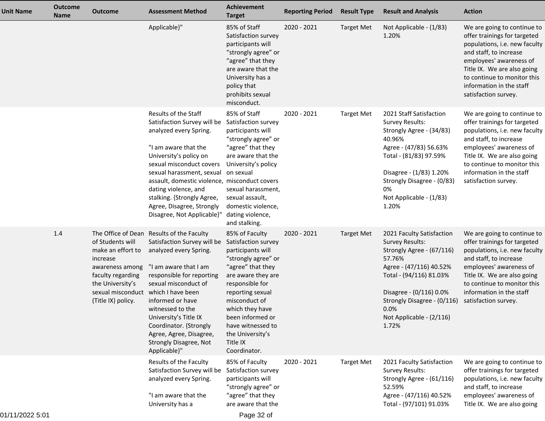| <b>Unit Name</b> | <b>Outcome</b><br><b>Name</b> | <b>Outcome</b>                                                                                                                                                             | <b>Assessment Method</b>                                                                                                                                                                                                                                                                                                                                   | <b>Achievement</b><br><b>Target</b>                                                                                                                                                                                                                                                              | <b>Reporting Period</b> | <b>Result Type</b> | <b>Result and Analysis</b>                                                                                                                                                                                                                              | <b>Action</b>                                                                                                                                                                                                                                                       |
|------------------|-------------------------------|----------------------------------------------------------------------------------------------------------------------------------------------------------------------------|------------------------------------------------------------------------------------------------------------------------------------------------------------------------------------------------------------------------------------------------------------------------------------------------------------------------------------------------------------|--------------------------------------------------------------------------------------------------------------------------------------------------------------------------------------------------------------------------------------------------------------------------------------------------|-------------------------|--------------------|---------------------------------------------------------------------------------------------------------------------------------------------------------------------------------------------------------------------------------------------------------|---------------------------------------------------------------------------------------------------------------------------------------------------------------------------------------------------------------------------------------------------------------------|
|                  |                               |                                                                                                                                                                            | Applicable}"                                                                                                                                                                                                                                                                                                                                               | 85% of Staff<br>Satisfaction survey<br>participants will<br>"strongly agree" or<br>"agree" that they<br>are aware that the<br>University has a<br>policy that<br>prohibits sexual<br>misconduct.                                                                                                 | 2020 - 2021             | <b>Target Met</b>  | Not Applicable - (1/83)<br>1.20%                                                                                                                                                                                                                        | We are going to continue to<br>offer trainings for targeted<br>populations, i.e. new faculty<br>and staff, to increase<br>employees' awareness of<br>Title IX. We are also going<br>to continue to monitor this<br>information in the staff<br>satisfaction survey. |
|                  |                               |                                                                                                                                                                            | Results of the Staff<br>Satisfaction Survey will be<br>analyzed every Spring.<br>"I am aware that the<br>University's policy on<br>sexual misconduct covers<br>sexual harassment, sexual<br>assault, domestic violence, misconduct covers<br>dating violence, and<br>stalking. {Strongly Agree,<br>Agree, Disagree, Strongly<br>Disagree, Not Applicable}" | 85% of Staff<br>Satisfaction survey<br>participants will<br>"strongly agree" or<br>"agree" that they<br>are aware that the<br>University's policy<br>on sexual<br>sexual harassment,<br>sexual assault,<br>domestic violence,<br>dating violence,<br>and stalking.                               | 2020 - 2021             | <b>Target Met</b>  | 2021 Staff Satisfaction<br><b>Survey Results:</b><br>Strongly Agree - (34/83)<br>40.96%<br>Agree - (47/83) 56.63%<br>Total - (81/83) 97.59%<br>Disagree - (1/83) 1.20%<br>Strongly Disagree - (0/83)<br>0%<br>Not Applicable - (1/83)<br>1.20%          | We are going to continue to<br>offer trainings for targeted<br>populations, i.e. new faculty<br>and staff, to increase<br>employees' awareness of<br>Title IX. We are also going<br>to continue to monitor this<br>information in the staff<br>satisfaction survey. |
|                  | 1.4                           | of Students will<br>make an effort to<br>increase<br>awareness among<br>faculty regarding<br>the University's<br>sexual misconduct which I have been<br>(Title IX) policy. | The Office of Dean Results of the Faculty<br>Satisfaction Survey will be<br>analyzed every Spring.<br>"I am aware that I am<br>responsible for reporting<br>sexual misconduct of<br>informed or have<br>witnessed to the<br>University's Title IX<br>Coordinator. {Strongly<br>Agree, Agree, Disagree,<br>Strongly Disagree, Not<br>Applicable}"           | 85% of Faculty<br>Satisfaction survey<br>participants will<br>"strongly agree" or<br>"agree" that they<br>are aware they are<br>responsible for<br>reporting sexual<br>misconduct of<br>which they have<br>been informed or<br>have witnessed to<br>the University's<br>Title IX<br>Coordinator. | 2020 - 2021             | <b>Target Met</b>  | 2021 Faculty Satisfaction<br><b>Survey Results:</b><br>Strongly Agree - (67/116)<br>57.76%<br>Agree - (47/116) 40.52%<br>Total - (94/116) 81.03%<br>Disagree - (0/116) 0.0%<br>Strongly Disagree - (0/116)<br>0.0%<br>Not Applicable - (2/116)<br>1.72% | We are going to continue to<br>offer trainings for targeted<br>populations, i.e. new faculty<br>and staff, to increase<br>employees' awareness of<br>Title IX. We are also going<br>to continue to monitor this<br>information in the staff<br>satisfaction survey. |
|                  |                               |                                                                                                                                                                            | Results of the Faculty<br>Satisfaction Survey will be<br>analyzed every Spring.<br>"I am aware that the<br>University has a                                                                                                                                                                                                                                | 85% of Faculty<br>Satisfaction survey<br>participants will<br>"strongly agree" or<br>"agree" that they<br>are aware that the                                                                                                                                                                     | 2020 - 2021             | <b>Target Met</b>  | 2021 Faculty Satisfaction<br>Survey Results:<br>Strongly Agree - (61/116)<br>52.59%<br>Agree - (47/116) 40.52%<br>Total - (97/101) 91.03%                                                                                                               | We are going to continue to<br>offer trainings for targeted<br>populations, i.e. new faculty<br>and staff, to increase<br>employees' awareness of<br>Title IX. We are also going                                                                                    |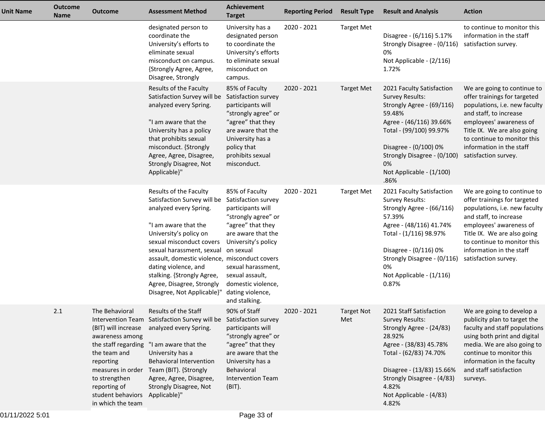| <b>Unit Name</b> | <b>Outcome</b><br><b>Name</b> | <b>Outcome</b>                                                                                                                                                                | <b>Assessment Method</b>                                                                                                                                                                                                                                                                                                                                     | <b>Achievement</b><br><b>Target</b>                                                                                                                                                                                                                                  | <b>Reporting Period</b> | <b>Result Type</b>       | <b>Result and Analysis</b>                                                                                                                                                                                                                          | <b>Action</b>                                                                                                                                                                                                                                                       |
|------------------|-------------------------------|-------------------------------------------------------------------------------------------------------------------------------------------------------------------------------|--------------------------------------------------------------------------------------------------------------------------------------------------------------------------------------------------------------------------------------------------------------------------------------------------------------------------------------------------------------|----------------------------------------------------------------------------------------------------------------------------------------------------------------------------------------------------------------------------------------------------------------------|-------------------------|--------------------------|-----------------------------------------------------------------------------------------------------------------------------------------------------------------------------------------------------------------------------------------------------|---------------------------------------------------------------------------------------------------------------------------------------------------------------------------------------------------------------------------------------------------------------------|
|                  |                               |                                                                                                                                                                               | designated person to<br>coordinate the<br>University's efforts to<br>eliminate sexual<br>misconduct on campus.<br>{Strongly Agree, Agree,<br>Disagree, Strongly                                                                                                                                                                                              | University has a<br>designated person<br>to coordinate the<br>University's efforts<br>to eliminate sexual<br>misconduct on<br>campus.                                                                                                                                | 2020 - 2021             | <b>Target Met</b>        | Disagree - (6/116) 5.17%<br>Strongly Disagree - (0/116)<br>0%<br>Not Applicable - (2/116)<br>1.72%                                                                                                                                                  | to continue to monitor this<br>information in the staff<br>satisfaction survey.                                                                                                                                                                                     |
|                  |                               |                                                                                                                                                                               | Results of the Faculty<br>Satisfaction Survey will be<br>analyzed every Spring.<br>"I am aware that the<br>University has a policy<br>that prohibits sexual<br>misconduct. {Strongly<br>Agree, Agree, Disagree,<br>Strongly Disagree, Not<br>Applicable}"                                                                                                    | 85% of Faculty<br>Satisfaction survey<br>participants will<br>"strongly agree" or<br>"agree" that they<br>are aware that the<br>University has a<br>policy that<br>prohibits sexual<br>misconduct.                                                                   | 2020 - 2021             | <b>Target Met</b>        | 2021 Faculty Satisfaction<br><b>Survey Results:</b><br>Strongly Agree - (69/116)<br>59.48%<br>Agree - (46/116) 39.66%<br>Total - (99/100) 99.97%<br>Disagree - (0/100) 0%<br>Strongly Disagree - (0/100)<br>0%<br>Not Applicable - (1/100)<br>.86%  | We are going to continue to<br>offer trainings for targeted<br>populations, i.e. new faculty<br>and staff, to increase<br>employees' awareness of<br>Title IX. We are also going<br>to continue to monitor this<br>information in the staff<br>satisfaction survey. |
|                  |                               |                                                                                                                                                                               | Results of the Faculty<br>Satisfaction Survey will be<br>analyzed every Spring.<br>"I am aware that the<br>University's policy on<br>sexual misconduct covers<br>sexual harassment, sexual<br>assault, domestic violence, misconduct covers<br>dating violence, and<br>stalking. {Strongly Agree,<br>Agree, Disagree, Strongly<br>Disagree, Not Applicable}" | 85% of Faculty<br>Satisfaction survey<br>participants will<br>"strongly agree" or<br>"agree" that they<br>are aware that the<br>University's policy<br>on sexual<br>sexual harassment,<br>sexual assault,<br>domestic violence,<br>dating violence,<br>and stalking. | 2020 - 2021             | <b>Target Met</b>        | 2021 Faculty Satisfaction<br>Survey Results:<br>Strongly Agree - (66/116)<br>57.39%<br>Agree - (48/116) 41.74%<br>Total - (1/116) 98.97%<br>Disagree - (0/116) 0%<br>Strongly Disagree - (0/116)<br>0%<br>Not Applicable - (1/116)<br>0.87%         | We are going to continue to<br>offer trainings for targeted<br>populations, i.e. new faculty<br>and staff, to increase<br>employees' awareness of<br>Title IX. We are also going<br>to continue to monitor this<br>information in the staff<br>satisfaction survey. |
|                  | 2.1                           | The Behavioral<br>awareness among<br>the staff regarding<br>the team and<br>reporting<br>to strengthen<br>reporting of<br>student behaviors Applicable}"<br>in which the team | Results of the Staff<br>Intervention Team Satisfaction Survey will be Satisfaction survey<br>(BIT) will increase analyzed every Spring.<br>"I am aware that the<br>University has a<br><b>Behavioral Intervention</b><br>measures in order Team (BIT). {Strongly<br>Agree, Agree, Disagree,<br>Strongly Disagree, Not                                        | 90% of Staff<br>participants will<br>"strongly agree" or<br>"agree" that they<br>are aware that the<br>University has a<br>Behavioral<br><b>Intervention Team</b><br>(BIT).                                                                                          | $2020 - 2021$           | <b>Target Not</b><br>Met | 2021 Staff Satisfaction<br><b>Survey Results:</b><br>Strongly Agree - (24/83)<br>28.92%<br>Agree - (38/83) 45.78%<br>Total - (62/83) 74.70%<br>Disagree - (13/83) 15.66%<br>Strongly Disagree - (4/83)<br>4.82%<br>Not Applicable - (4/83)<br>4.82% | We are going to develop a<br>publicity plan to target the<br>faculty and staff populations<br>using both print and digital<br>media. We are also going to<br>continue to monitor this<br>information in the faculty<br>and staff satisfaction<br>surveys.           |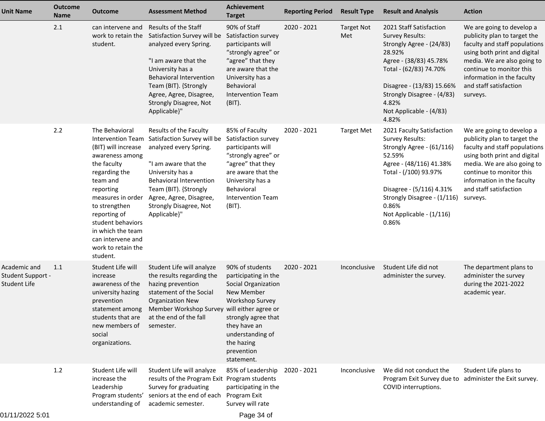| <b>Unit Name</b>                                  | <b>Outcome</b><br>Name | <b>Outcome</b>                                                                                                                                                                                                                                                                                       | <b>Assessment Method</b>                                                                                                                                                                                                                                         | Achievement<br><b>Target</b>                                                                                                                                                                                | <b>Reporting Period</b> | <b>Result Type</b>       | <b>Result and Analysis</b>                                                                                                                                                                                                                              | <b>Action</b>                                                                                                                                                                                                                                             |
|---------------------------------------------------|------------------------|------------------------------------------------------------------------------------------------------------------------------------------------------------------------------------------------------------------------------------------------------------------------------------------------------|------------------------------------------------------------------------------------------------------------------------------------------------------------------------------------------------------------------------------------------------------------------|-------------------------------------------------------------------------------------------------------------------------------------------------------------------------------------------------------------|-------------------------|--------------------------|---------------------------------------------------------------------------------------------------------------------------------------------------------------------------------------------------------------------------------------------------------|-----------------------------------------------------------------------------------------------------------------------------------------------------------------------------------------------------------------------------------------------------------|
|                                                   | 2.1                    | can intervene and<br>work to retain the<br>student.                                                                                                                                                                                                                                                  | Results of the Staff<br>Satisfaction Survey will be<br>analyzed every Spring.<br>"I am aware that the<br>University has a<br><b>Behavioral Intervention</b><br>Team (BIT). {Strongly<br>Agree, Agree, Disagree,<br><b>Strongly Disagree, Not</b><br>Applicable}" | 90% of Staff<br>Satisfaction survey<br>participants will<br>"strongly agree" or<br>"agree" that they<br>are aware that the<br>University has a<br>Behavioral<br><b>Intervention Team</b><br>(BIT).          | 2020 - 2021             | <b>Target Not</b><br>Met | 2021 Staff Satisfaction<br><b>Survey Results:</b><br>Strongly Agree - (24/83)<br>28.92%<br>Agree - (38/83) 45.78%<br>Total - (62/83) 74.70%<br>Disagree - (13/83) 15.66%<br>Strongly Disagree - (4/83)<br>4.82%<br>Not Applicable - (4/83)<br>4.82%     | We are going to develop a<br>publicity plan to target the<br>faculty and staff populations<br>using both print and digital<br>media. We are also going to<br>continue to monitor this<br>information in the faculty<br>and staff satisfaction<br>surveys. |
|                                                   | 2.2                    | The Behavioral<br><b>Intervention Team</b><br>(BIT) will increase<br>awareness among<br>the faculty<br>regarding the<br>team and<br>reporting<br>measures in order<br>to strengthen<br>reporting of<br>student behaviors<br>in which the team<br>can intervene and<br>work to retain the<br>student. | Results of the Faculty<br>Satisfaction Survey will be<br>analyzed every Spring.<br>"I am aware that the<br>University has a<br><b>Behavioral Intervention</b><br>Team (BIT). {Strongly<br>Agree, Agree, Disagree,<br>Strongly Disagree, Not<br>Applicable}"      | 85% of Faculty<br>Satisfaction survey<br>participants will<br>"strongly agree" or<br>"agree" that they<br>are aware that the<br>University has a<br>Behavioral<br><b>Intervention Team</b><br>(BIT).        | 2020 - 2021             | <b>Target Met</b>        | 2021 Faculty Satisfaction<br><b>Survey Results:</b><br>Strongly Agree - (61/116)<br>52.59%<br>Agree - (48/116) 41.38%<br>Total - (/100) 93.97%<br>Disagree - (5/116) 4.31%<br>Strongly Disagree - (1/116)<br>0.86%<br>Not Applicable - (1/116)<br>0.86% | We are going to develop a<br>publicity plan to target the<br>faculty and staff populations<br>using both print and digital<br>media. We are also going to<br>continue to monitor this<br>information in the faculty<br>and staff satisfaction<br>surveys. |
| Academic and<br>Student Support -<br>Student Life | 1.1                    | Student Life will<br>increase<br>awareness of the<br>university hazing<br>prevention<br>statement among<br>students that are<br>new members of<br>social<br>organizations.                                                                                                                           | Student Life will analyze<br>the results regarding the<br>hazing prevention<br>statement of the Social<br><b>Organization New</b><br>Member Workshop Survey will either agree or<br>at the end of the fall<br>semester.                                          | 90% of students<br>participating in the<br>Social Organization<br>New Member<br><b>Workshop Survey</b><br>strongly agree that<br>they have an<br>understanding of<br>the hazing<br>prevention<br>statement. | 2020 - 2021             | Inconclusive             | Student Life did not<br>administer the survey.                                                                                                                                                                                                          | The department plans to<br>administer the survey<br>during the 2021-2022<br>academic year.                                                                                                                                                                |
|                                                   | 1.2                    | Student Life will<br>increase the<br>Leadership<br>Program students'<br>understanding of                                                                                                                                                                                                             | Student Life will analyze<br>results of the Program Exit Program students<br>Survey for graduating<br>seniors at the end of each<br>academic semester.                                                                                                           | 85% of Leadership<br>participating in the<br>Program Exit<br>Survey will rate                                                                                                                               | 2020 - 2021             | Inconclusive             | We did not conduct the<br>Program Exit Survey due to<br>COVID interruptions.                                                                                                                                                                            | Student Life plans to<br>administer the Exit survey.                                                                                                                                                                                                      |
|                                                   |                        |                                                                                                                                                                                                                                                                                                      |                                                                                                                                                                                                                                                                  |                                                                                                                                                                                                             |                         |                          |                                                                                                                                                                                                                                                         |                                                                                                                                                                                                                                                           |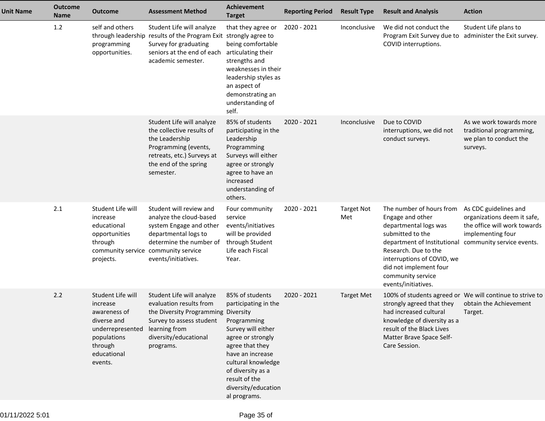| <b>Unit Name</b> | <b>Outcome</b><br><b>Name</b> | <b>Outcome</b>                                                                                                                       | <b>Assessment Method</b>                                                                                                                                                       | <b>Achievement</b><br><b>Target</b>                                                                                                                                                                                                         | <b>Reporting Period</b> | <b>Result Type</b>       | <b>Result and Analysis</b>                                                                                                                                                                                                                           | <b>Action</b>                                                                                                                          |
|------------------|-------------------------------|--------------------------------------------------------------------------------------------------------------------------------------|--------------------------------------------------------------------------------------------------------------------------------------------------------------------------------|---------------------------------------------------------------------------------------------------------------------------------------------------------------------------------------------------------------------------------------------|-------------------------|--------------------------|------------------------------------------------------------------------------------------------------------------------------------------------------------------------------------------------------------------------------------------------------|----------------------------------------------------------------------------------------------------------------------------------------|
|                  | 1.2                           | self and others<br>through leadership<br>programming<br>opportunities.                                                               | Student Life will analyze<br>results of the Program Exit strongly agree to<br>Survey for graduating<br>seniors at the end of each<br>academic semester.                        | that they agree or<br>being comfortable<br>articulating their<br>strengths and<br>weaknesses in their<br>leadership styles as<br>an aspect of<br>demonstrating an<br>understanding of<br>self.                                              | 2020 - 2021             | Inconclusive             | We did not conduct the<br>Program Exit Survey due to<br>COVID interruptions.                                                                                                                                                                         | Student Life plans to<br>administer the Exit survey.                                                                                   |
|                  |                               |                                                                                                                                      | Student Life will analyze<br>the collective results of<br>the Leadership<br>Programming (events,<br>retreats, etc.) Surveys at<br>the end of the spring<br>semester.           | 85% of students<br>participating in the<br>Leadership<br>Programming<br>Surveys will either<br>agree or strongly<br>agree to have an<br>increased<br>understanding of<br>others.                                                            | 2020 - 2021             | Inconclusive             | Due to COVID<br>interruptions, we did not<br>conduct surveys.                                                                                                                                                                                        | As we work towards more<br>traditional programming,<br>we plan to conduct the<br>surveys.                                              |
|                  | 2.1                           | Student Life will<br>increase<br>educational<br>opportunities<br>through<br>community service<br>projects.                           | Student will review and<br>analyze the cloud-based<br>system Engage and other<br>departmental logs to<br>determine the number of<br>community service<br>events/initiatives.   | Four community<br>service<br>events/initiatives<br>will be provided<br>through Student<br>Life each Fiscal<br>Year.                                                                                                                         | 2020 - 2021             | <b>Target Not</b><br>Met | The number of hours from<br>Engage and other<br>departmental logs was<br>submitted to the<br>department of Institutional<br>Research. Due to the<br>interruptions of COVID, we<br>did not implement four<br>community service<br>events/initiatives. | As CDC guidelines and<br>organizations deem it safe,<br>the office will work towards<br>implementing four<br>community service events. |
|                  | 2.2                           | Student Life will<br>increase<br>awareness of<br>diverse and<br>underrepresented<br>populations<br>through<br>educational<br>events. | Student Life will analyze<br>evaluation results from<br>the Diversity Programming Diversity<br>Survey to assess student<br>learning from<br>diversity/educational<br>programs. | 85% of students<br>participating in the<br>Programming<br>Survey will either<br>agree or strongly<br>agree that they<br>have an increase<br>cultural knowledge<br>of diversity as a<br>result of the<br>diversity/education<br>al programs. | 2020 - 2021             | <b>Target Met</b>        | strongly agreed that they<br>had increased cultural<br>knowledge of diversity as a<br>result of the Black Lives<br>Matter Brave Space Self-<br>Care Session.                                                                                         | 100% of students agreed or We will continue to strive to<br>obtain the Achievement<br>Target.                                          |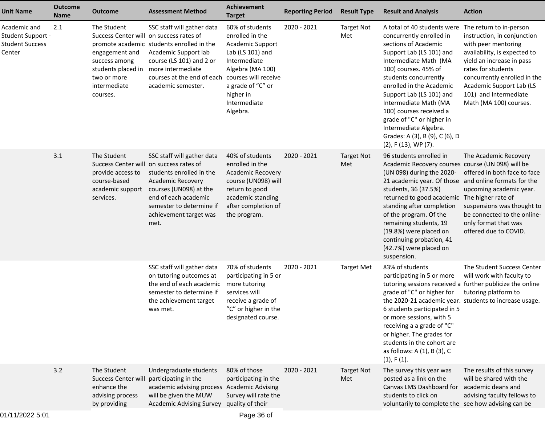| <b>Unit Name</b>                                                      | <b>Outcome</b><br><b>Name</b> | Outcome                                                                                                                                                    | <b>Assessment Method</b>                                                                                                                                                                                                  | <b>Achievement</b><br><b>Target</b>                                                                                                                                          | <b>Reporting Period</b> | <b>Result Type</b>       | <b>Result and Analysis</b>                                                                                                                                                                                                                                                                                                                                                                                        | <b>Action</b>                                                                                                                                                                                                                                                                   |
|-----------------------------------------------------------------------|-------------------------------|------------------------------------------------------------------------------------------------------------------------------------------------------------|---------------------------------------------------------------------------------------------------------------------------------------------------------------------------------------------------------------------------|------------------------------------------------------------------------------------------------------------------------------------------------------------------------------|-------------------------|--------------------------|-------------------------------------------------------------------------------------------------------------------------------------------------------------------------------------------------------------------------------------------------------------------------------------------------------------------------------------------------------------------------------------------------------------------|---------------------------------------------------------------------------------------------------------------------------------------------------------------------------------------------------------------------------------------------------------------------------------|
| Academic and<br>Student Support -<br><b>Student Success</b><br>Center | 2.1                           | The Student<br>Success Center will on success rates of<br>engagement and<br>success among<br>students placed in<br>two or more<br>intermediate<br>courses. | SSC staff will gather data<br>promote academic students enrolled in the<br>Academic Support lab<br>course (LS 101) and 2 or<br>more intermediate<br>courses at the end of each courses will receive<br>academic semester. | 60% of students<br>enrolled in the<br>Academic Support<br>Lab (LS 101) and<br>Intermediate<br>Algebra (MA 100)<br>a grade of "C" or<br>higher in<br>Intermediate<br>Algebra. | 2020 - 2021             | <b>Target Not</b><br>Met | A total of 40 students were<br>concurrently enrolled in<br>sections of Academic<br>Support Lab (LS 101) and<br>Intermediate Math (MA<br>100) courses. 45% of<br>students concurrently<br>enrolled in the Academic<br>Support Lab (LS 101) and<br>Intermediate Math (MA<br>100) courses received a<br>grade of "C" or higher in<br>Intermediate Algebra.<br>Grades: A (3), B (9), C (6), D<br>(2), F (13), WP (7). | The return to in-person<br>instruction, in conjunction<br>with peer mentoring<br>availability, is expected to<br>yield an increase in pass<br>rates for students<br>concurrently enrolled in the<br>Academic Support Lab (LS<br>101) and Intermediate<br>Math (MA 100) courses. |
|                                                                       | 3.1                           | The Student<br>Success Center will on success rates of<br>provide access to<br>course-based<br>academic support<br>services.                               | SSC staff will gather data<br>students enrolled in the<br><b>Academic Recovery</b><br>courses (UN098) at the<br>end of each academic<br>semester to determine if<br>achievement target was<br>met.                        | 40% of students<br>enrolled in the<br>Academic Recovery<br>course (UN098) will<br>return to good<br>academic standing<br>after completion of<br>the program.                 | 2020 - 2021             | <b>Target Not</b><br>Met | 96 students enrolled in<br>Academic Recovery courses course (UN 098) will be<br>(UN 098) during the 2020-<br>21 academic year. Of those and online formats for the<br>students, 36 (37.5%)<br>returned to good academic<br>standing after completion<br>of the program. Of the<br>remaining students, 19<br>(19.8%) were placed on<br>continuing probation, 41<br>(42.7%) were placed on<br>suspension.           | The Academic Recovery<br>offered in both face to face<br>upcoming academic year.<br>The higher rate of<br>suspensions was thought to<br>be connected to the online-<br>only format that was<br>offered due to COVID.                                                            |
|                                                                       |                               |                                                                                                                                                            | SSC staff will gather data<br>on tutoring outcomes at<br>the end of each academic<br>semester to determine if<br>the achievement target<br>was met.                                                                       | 70% of students<br>participating in 5 or<br>more tutoring<br>services will<br>receive a grade of<br>"C" or higher in the<br>designated course.                               | 2020 - 2021             | <b>Target Met</b>        | 83% of students<br>participating in 5 or more<br>tutoring sessions received a further publicize the online<br>grade of "C" or higher for<br>the 2020-21 academic year. students to increase usage.<br>6 students participated in 5<br>or more sessions, with 5<br>receiving a a grade of "C"<br>or higher. The grades for<br>students in the cohort are<br>as follows: A (1), B (3), C<br>$(1)$ , F $(1)$ .       | The Student Success Center<br>will work with faculty to<br>tutoring platform to                                                                                                                                                                                                 |
|                                                                       | 3.2                           | The Student<br>Success Center will participating in the<br>enhance the<br>advising process<br>by providing                                                 | Undergraduate students<br>academic advising process Academic Advising<br>will be given the MUW<br><b>Academic Advising Survey</b>                                                                                         | 80% of those<br>participating in the<br>Survey will rate the<br>quality of their                                                                                             | $2020 - 2021$           | <b>Target Not</b><br>Met | The survey this year was<br>posted as a link on the<br>Canvas LMS Dashboard for<br>students to click on<br>voluntarily to complete the see how advising can be                                                                                                                                                                                                                                                    | The results of this survey<br>will be shared with the<br>academic deans and<br>advising faculty fellows to                                                                                                                                                                      |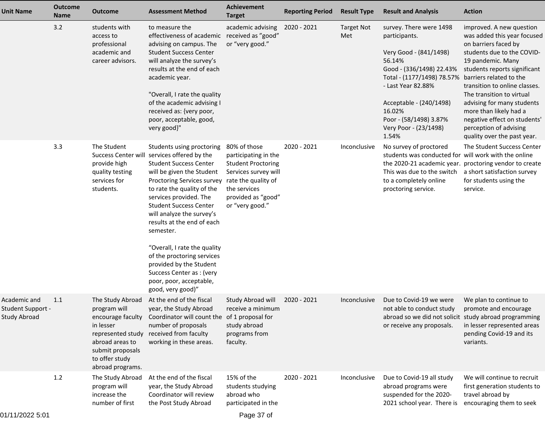| Unit Name                                                       | <b>Outcome</b><br><b>Name</b> | <b>Outcome</b>                                                                                                                                                       | <b>Assessment Method</b>                                                                                                                                                                                                                                                                                                                                                                                                                                                                                    | <b>Achievement</b><br><b>Target</b>                                                                                                                                       | <b>Reporting Period</b> | <b>Result Type</b>       | <b>Result and Analysis</b>                                                                                                                                                                                                                                    | <b>Action</b>                                                                                                                                                                                                                                                                                                                                                                                                |
|-----------------------------------------------------------------|-------------------------------|----------------------------------------------------------------------------------------------------------------------------------------------------------------------|-------------------------------------------------------------------------------------------------------------------------------------------------------------------------------------------------------------------------------------------------------------------------------------------------------------------------------------------------------------------------------------------------------------------------------------------------------------------------------------------------------------|---------------------------------------------------------------------------------------------------------------------------------------------------------------------------|-------------------------|--------------------------|---------------------------------------------------------------------------------------------------------------------------------------------------------------------------------------------------------------------------------------------------------------|--------------------------------------------------------------------------------------------------------------------------------------------------------------------------------------------------------------------------------------------------------------------------------------------------------------------------------------------------------------------------------------------------------------|
|                                                                 | 3.2                           | students with<br>access to<br>professional<br>academic and<br>career advisors.                                                                                       | to measure the<br>effectiveness of academic<br>advising on campus. The<br><b>Student Success Center</b><br>will analyze the survey's<br>results at the end of each<br>academic year.<br>"Overall, I rate the quality<br>of the academic advising I<br>received as: {very poor,<br>poor, acceptable, good,<br>very good}"                                                                                                                                                                                    | academic advising<br>received as "good"<br>or "very good."                                                                                                                | 2020 - 2021             | <b>Target Not</b><br>Met | survey. There were 1498<br>participants.<br>Very Good - (841/1498)<br>56.14%<br>Good - (336/1498) 22.43%<br>Total - (1177/1498) 78.57%<br>- Last Year 82.88%<br>Acceptable - (240/1498)<br>16.02%<br>Poor - (58/1498) 3.87%<br>Very Poor - (23/1498)<br>1.54% | improved. A new question<br>was added this year focused<br>on barriers faced by<br>students due to the COVID-<br>19 pandemic. Many<br>students reports significant<br>barriers related to the<br>transition to online classes.<br>The transition to virtual<br>advising for many students<br>more than likely had a<br>negative effect on students'<br>perception of advising<br>quality over the past year. |
|                                                                 | 3.3                           | The Student<br>provide high<br>quality testing<br>services for<br>students.                                                                                          | Students using proctoring<br>Success Center will services offered by the<br><b>Student Success Center</b><br>will be given the Student<br>Proctoring Services survey<br>to rate the quality of the<br>services provided. The<br><b>Student Success Center</b><br>will analyze the survey's<br>results at the end of each<br>semester.<br>"Overall, I rate the quality<br>of the proctoring services<br>provided by the Student<br>Success Center as : (very<br>poor, poor, acceptable,<br>good, very good)" | 80% of those<br>participating in the<br><b>Student Proctoring</b><br>Services survey will<br>rate the quality of<br>the services<br>provided as "good"<br>or "very good." | 2020 - 2021             | Inconclusive             | No survey of proctored<br>students was conducted for will work with the online<br>the 2020-21 academic year. proctoring vendor to create<br>This was due to the switch<br>to a completely online<br>proctoring service.                                       | The Student Success Center<br>a short satisfaction survey<br>for students using the<br>service.                                                                                                                                                                                                                                                                                                              |
| Academic and<br><b>Student Support -</b><br><b>Study Abroad</b> | 1.1                           | The Study Abroad<br>program will<br>encourage faculty<br>in lesser<br>represented study<br>abroad areas to<br>submit proposals<br>to offer study<br>abroad programs. | At the end of the fiscal<br>year, the Study Abroad<br>Coordinator will count the of 1 proposal for<br>number of proposals<br>received from faculty<br>working in these areas.                                                                                                                                                                                                                                                                                                                               | Study Abroad will<br>receive a minimum<br>study abroad<br>programs from<br>faculty.                                                                                       | 2020 - 2021             | Inconclusive             | Due to Covid-19 we were<br>not able to conduct study<br>abroad so we did not solicit study abroad programming<br>or receive any proposals.                                                                                                                    | We plan to continue to<br>promote and encourage<br>in lesser represented areas<br>pending Covid-19 and its<br>variants.                                                                                                                                                                                                                                                                                      |
|                                                                 | 1.2                           | The Study Abroad<br>program will<br>increase the<br>number of first                                                                                                  | At the end of the fiscal<br>year, the Study Abroad<br>Coordinator will review<br>the Post Study Abroad                                                                                                                                                                                                                                                                                                                                                                                                      | 15% of the<br>students studying<br>abroad who<br>participated in the                                                                                                      | 2020 - 2021             | Inconclusive             | Due to Covid-19 all study<br>abroad programs were<br>suspended for the 2020-<br>2021 school year. There is                                                                                                                                                    | We will continue to recruit<br>first generation students to<br>travel abroad by<br>encouraging them to seek                                                                                                                                                                                                                                                                                                  |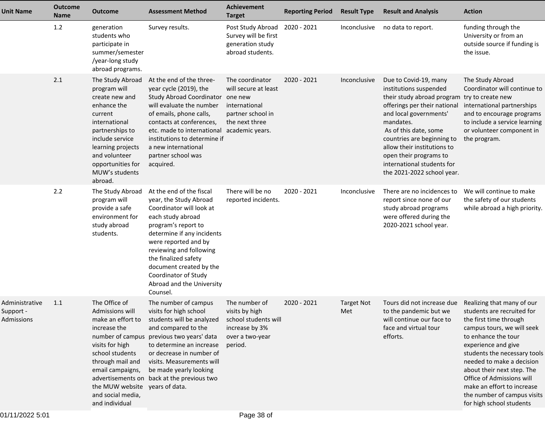| <b>Unit Name</b>                                 | <b>Outcome</b><br>Name | <b>Outcome</b>                                                                                                                                                                                                               | <b>Assessment Method</b>                                                                                                                                                                                                                                                                                                        | Achievement<br><b>Target</b>                                                                                       | <b>Reporting Period</b> | <b>Result Type</b>       | <b>Result and Analysis</b>                                                                                                                                                                                                                                                                                                       | <b>Action</b>                                                                                                                                                                                                                                                                                                                                                                   |
|--------------------------------------------------|------------------------|------------------------------------------------------------------------------------------------------------------------------------------------------------------------------------------------------------------------------|---------------------------------------------------------------------------------------------------------------------------------------------------------------------------------------------------------------------------------------------------------------------------------------------------------------------------------|--------------------------------------------------------------------------------------------------------------------|-------------------------|--------------------------|----------------------------------------------------------------------------------------------------------------------------------------------------------------------------------------------------------------------------------------------------------------------------------------------------------------------------------|---------------------------------------------------------------------------------------------------------------------------------------------------------------------------------------------------------------------------------------------------------------------------------------------------------------------------------------------------------------------------------|
|                                                  | 1.2                    | generation<br>students who<br>participate in<br>summer/semester<br>/year-long study<br>abroad programs.                                                                                                                      | Survey results.                                                                                                                                                                                                                                                                                                                 | Post Study Abroad<br>Survey will be first<br>generation study<br>abroad students.                                  | 2020 - 2021             | Inconclusive             | no data to report.                                                                                                                                                                                                                                                                                                               | funding through the<br>University or from an<br>outside source if funding is<br>the issue.                                                                                                                                                                                                                                                                                      |
|                                                  | 2.1                    | The Study Abroad<br>program will<br>create new and<br>enhance the<br>current<br>international<br>partnerships to<br>include service<br>learning projects<br>and volunteer<br>opportunities for<br>MUW's students<br>abroad.  | At the end of the three-<br>year cycle (2019), the<br>Study Abroad Coordinator one new<br>will evaluate the number<br>of emails, phone calls,<br>contacts at conferences,<br>etc. made to international<br>institutions to determine if<br>a new international<br>partner school was<br>acquired.                               | The coordinator<br>will secure at least<br>international<br>partner school in<br>the next three<br>academic years. | 2020 - 2021             | Inconclusive             | Due to Covid-19, many<br>institutions suspended<br>their study abroad program<br>offerings per their national<br>and local governments'<br>mandates.<br>As of this date, some<br>countries are beginning to<br>allow their institutions to<br>open their programs to<br>international students for<br>the 2021-2022 school year. | The Study Abroad<br>Coordinator will continue to<br>try to create new<br>international partnerships<br>and to encourage programs<br>to include a service learning<br>or volunteer component in<br>the program.                                                                                                                                                                  |
|                                                  | 2.2                    | The Study Abroad<br>program will<br>provide a safe<br>environment for<br>study abroad<br>students.                                                                                                                           | At the end of the fiscal<br>year, the Study Abroad<br>Coordinator will look at<br>each study abroad<br>program's report to<br>determine if any incidents<br>were reported and by<br>reviewing and following<br>the finalized safety<br>document created by the<br>Coordinator of Study<br>Abroad and the University<br>Counsel. | There will be no<br>reported incidents.                                                                            | 2020 - 2021             | Inconclusive             | There are no incidences to<br>report since none of our<br>study abroad programs<br>were offered during the<br>2020-2021 school year.                                                                                                                                                                                             | We will continue to make<br>the safety of our students<br>while abroad a high priority.                                                                                                                                                                                                                                                                                         |
| Administrative<br>Support -<br><b>Admissions</b> | 1.1                    | The Office of<br>Admissions will<br>make an effort to<br>increase the<br>visits for high<br>school students<br>through mail and<br>email campaigns,<br>the MUW website years of data.<br>and social media,<br>and individual | The number of campus<br>visits for high school<br>students will be analyzed<br>and compared to the<br>number of campus previous two years' data<br>to determine an increase<br>or decrease in number of<br>visits. Measurements will<br>be made yearly looking<br>advertisements on back at the previous two                    | The number of<br>visits by high<br>school students will<br>increase by 3%<br>over a two-year<br>period.            | 2020 - 2021             | <b>Target Not</b><br>Met | Tours did not increase due<br>to the pandemic but we<br>will continue our face to<br>face and virtual tour<br>efforts.                                                                                                                                                                                                           | Realizing that many of our<br>students are recruited for<br>the first time through<br>campus tours, we will seek<br>to enhance the tour<br>experience and give<br>students the necessary tools<br>needed to make a decision<br>about their next step. The<br>Office of Admissions will<br>make an effort to increase<br>the number of campus visits<br>for high school students |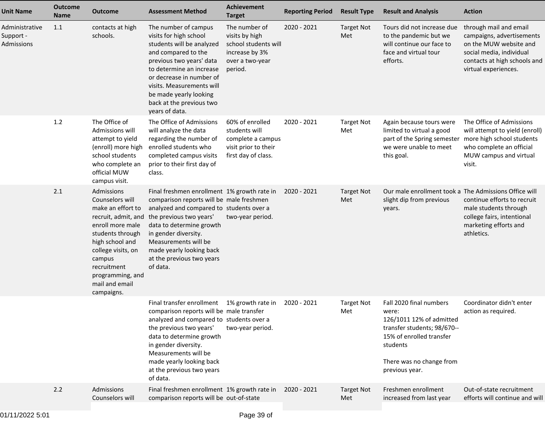| <b>Unit Name</b>                          | <b>Outcome</b><br><b>Name</b> | <b>Outcome</b>                                                                                                                                                                                                                          | <b>Assessment Method</b>                                                                                                                                                                                                                                                                                        | <b>Achievement</b><br><b>Target</b>                                                                     | <b>Reporting Period</b> | <b>Result Type</b>       | <b>Result and Analysis</b>                                                                                                                                                        | <b>Action</b>                                                                                                                                                     |
|-------------------------------------------|-------------------------------|-----------------------------------------------------------------------------------------------------------------------------------------------------------------------------------------------------------------------------------------|-----------------------------------------------------------------------------------------------------------------------------------------------------------------------------------------------------------------------------------------------------------------------------------------------------------------|---------------------------------------------------------------------------------------------------------|-------------------------|--------------------------|-----------------------------------------------------------------------------------------------------------------------------------------------------------------------------------|-------------------------------------------------------------------------------------------------------------------------------------------------------------------|
| Administrative<br>Support -<br>Admissions | 1.1                           | contacts at high<br>schools.                                                                                                                                                                                                            | The number of campus<br>visits for high school<br>students will be analyzed<br>and compared to the<br>previous two years' data<br>to determine an increase<br>or decrease in number of<br>visits. Measurements will<br>be made yearly looking<br>back at the previous two<br>years of data.                     | The number of<br>visits by high<br>school students will<br>increase by 3%<br>over a two-year<br>period. | 2020 - 2021             | <b>Target Not</b><br>Met | Tours did not increase due<br>to the pandemic but we<br>will continue our face to<br>face and virtual tour<br>efforts.                                                            | through mail and email<br>campaigns, advertisements<br>on the MUW website and<br>social media, individual<br>contacts at high schools and<br>virtual experiences. |
|                                           | 1.2                           | The Office of<br>Admissions will<br>attempt to yield<br>(enroll) more high<br>school students<br>who complete an<br>official MUW<br>campus visit.                                                                                       | The Office of Admissions<br>will analyze the data<br>regarding the number of<br>enrolled students who<br>completed campus visits<br>prior to their first day of<br>class.                                                                                                                                       | 60% of enrolled<br>students will<br>complete a campus<br>visit prior to their<br>first day of class.    | 2020 - 2021             | <b>Target Not</b><br>Met | Again because tours were<br>limited to virtual a good<br>part of the Spring semester<br>we were unable to meet<br>this goal.                                                      | The Office of Admissions<br>will attempt to yield (enroll)<br>more high school students<br>who complete an official<br>MUW campus and virtual<br>visit.           |
|                                           | 2.1                           | Admissions<br>Counselors will<br>make an effort to<br>recruit, admit, and<br>enroll more male<br>students through<br>high school and<br>college visits, on<br>campus<br>recruitment<br>programming, and<br>mail and email<br>campaigns. | Final freshmen enrollment 1% growth rate in<br>comparison reports will be male freshmen<br>analyzed and compared to students over a<br>the previous two years'<br>data to determine growth<br>in gender diversity.<br>Measurements will be<br>made yearly looking back<br>at the previous two years<br>of data. | two-year period.                                                                                        | 2020 - 2021             | <b>Target Not</b><br>Met | Our male enrollment took a The Admissions Office will<br>slight dip from previous<br>years.                                                                                       | continue efforts to recruit<br>male students through<br>college fairs, intentional<br>marketing efforts and<br>athletics.                                         |
|                                           |                               |                                                                                                                                                                                                                                         | Final transfer enrollment 1% growth rate in<br>comparison reports will be male transfer<br>analyzed and compared to students over a<br>the previous two years'<br>data to determine growth<br>in gender diversity.<br>Measurements will be<br>made yearly looking back<br>at the previous two years<br>of data. | two-year period.                                                                                        | 2020 - 2021             | <b>Target Not</b><br>Met | Fall 2020 final numbers<br>were:<br>126/1011 12% of admitted<br>transfer students; 98/670--<br>15% of enrolled transfer<br>students<br>There was no change from<br>previous year. | Coordinator didn't enter<br>action as required.                                                                                                                   |
|                                           | 2.2                           | Admissions<br>Counselors will                                                                                                                                                                                                           | Final freshmen enrollment 1% growth rate in<br>comparison reports will be out-of-state                                                                                                                                                                                                                          |                                                                                                         | 2020 - 2021             | <b>Target Not</b><br>Met | Freshmen enrollment<br>increased from last year                                                                                                                                   | Out-of-state recruitment<br>efforts will continue and will                                                                                                        |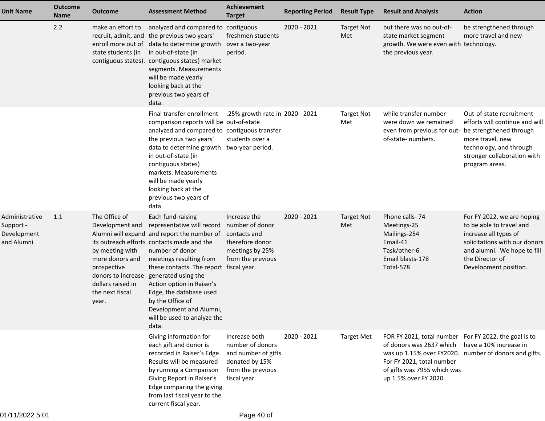| <b>Unit Name</b>                                         | <b>Outcome</b><br><b>Name</b> | <b>Outcome</b>                                                                                                                                               | <b>Assessment Method</b>                                                                                                                                                                                                                                                                                                                                                                                    | <b>Achievement</b><br><b>Target</b>                                                                             | <b>Reporting Period</b> | <b>Result Type</b>       | <b>Result and Analysis</b>                                                                                                                                                                                                      | <b>Action</b>                                                                                                                                                                               |
|----------------------------------------------------------|-------------------------------|--------------------------------------------------------------------------------------------------------------------------------------------------------------|-------------------------------------------------------------------------------------------------------------------------------------------------------------------------------------------------------------------------------------------------------------------------------------------------------------------------------------------------------------------------------------------------------------|-----------------------------------------------------------------------------------------------------------------|-------------------------|--------------------------|---------------------------------------------------------------------------------------------------------------------------------------------------------------------------------------------------------------------------------|---------------------------------------------------------------------------------------------------------------------------------------------------------------------------------------------|
|                                                          | 2.2                           | make an effort to<br>recruit, admit, and<br>enroll more out of<br>state students (in<br>contiguous states).                                                  | analyzed and compared to contiguous<br>the previous two years'<br>data to determine growth<br>in out-of-state (in<br>contiguous states) market<br>segments. Measurements<br>will be made yearly<br>looking back at the<br>previous two years of<br>data.                                                                                                                                                    | freshmen students<br>over a two-year<br>period.                                                                 | 2020 - 2021             | <b>Target Not</b><br>Met | but there was no out-of-<br>state market segment<br>growth. We were even with technology.<br>the previous year.                                                                                                                 | be strengthened through<br>more travel and new                                                                                                                                              |
|                                                          |                               |                                                                                                                                                              | Final transfer enrollment<br>comparison reports will be out-of-state<br>analyzed and compared to contiguous transfer<br>the previous two years'<br>data to determine growth two-year period.<br>in out-of-state (in<br>contiguous states)<br>markets. Measurements<br>will be made yearly<br>looking back at the<br>previous two years of<br>data.                                                          | .25% growth rate in 2020 - 2021<br>students over a                                                              |                         | <b>Target Not</b><br>Met | while transfer number<br>were down we remained<br>even from previous for out-<br>of-state- numbers.                                                                                                                             | Out-of-state recruitment<br>efforts will continue and will<br>be strengthened through<br>more travel, new<br>technology, and through<br>stronger collaboration with<br>program areas.       |
| Administrative<br>Support -<br>Development<br>and Alumni | 1.1                           | The Office of<br>Development and<br>by meeting with<br>more donors and<br>prospective<br>donors to increase<br>dollars raised in<br>the next fiscal<br>year. | Each fund-raising<br>representative will record<br>Alumni will expand and report the number of<br>its outreach efforts contacts made and the<br>number of donor<br>meetings resulting from<br>these contacts. The report fiscal year.<br>generated using the<br>Action option in Raiser's<br>Edge, the database used<br>by the Office of<br>Development and Alumni,<br>will be used to analyze the<br>data. | Increase the<br>number of donor<br>contacts and<br>therefore donor<br>meetings by 25%<br>from the previous      | 2020 - 2021             | <b>Target Not</b><br>Met | Phone calls-74<br>Meetings-25<br>Mailings-254<br>Email-41<br>Task/other-6<br>Email blasts-178<br>Total-578                                                                                                                      | For FY 2022, we are hoping<br>to be able to travel and<br>increase all types of<br>solicitations with our donors<br>and alumni. We hope to fill<br>the Director of<br>Development position. |
|                                                          |                               |                                                                                                                                                              | Giving information for<br>each gift and donor is<br>recorded in Raiser's Edge.<br>Results will be measured<br>by running a Comparison<br>Giving Report in Raiser's<br>Edge comparing the giving<br>from last fiscal year to the<br>current fiscal year.                                                                                                                                                     | Increase both<br>number of donors<br>and number of gifts<br>donated by 15%<br>from the previous<br>fiscal year. | 2020 - 2021             | <b>Target Met</b>        | FOR FY 2021, total number For FY 2022, the goal is to<br>of donors was 2637 which<br>was up 1.15% over FY2020. number of donors and gifts.<br>For FY 2021, total number<br>of gifts was 7955 which was<br>up 1.5% over FY 2020. | have a 10% increase in                                                                                                                                                                      |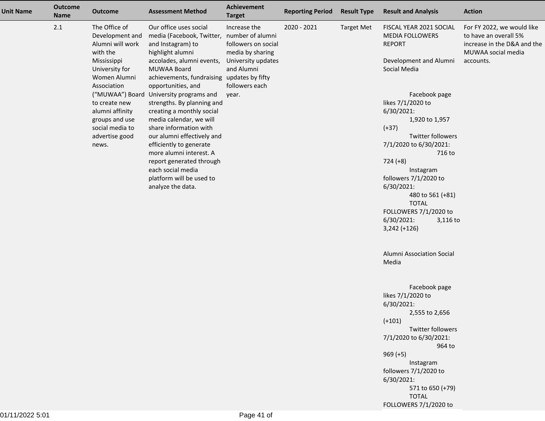| <b>Unit Name</b> | <b>Outcome</b><br><b>Name</b> | <b>Outcome</b>                                                                                                    | <b>Assessment Method</b>                                                                                                                                                                                | <b>Achievement</b><br><b>Target</b>                                                         | <b>Reporting Period</b> | <b>Result Type</b> | <b>Result and Analysis</b>                                                                                   | <b>Action</b>                                                                                                         |
|------------------|-------------------------------|-------------------------------------------------------------------------------------------------------------------|---------------------------------------------------------------------------------------------------------------------------------------------------------------------------------------------------------|---------------------------------------------------------------------------------------------|-------------------------|--------------------|--------------------------------------------------------------------------------------------------------------|-----------------------------------------------------------------------------------------------------------------------|
|                  | 2.1                           | The Office of<br>Development and<br>Alumni will work<br>with the<br>Mississippi<br>University for<br>Women Alumni | Our office uses social<br>media (Facebook, Twitter, number of alumni<br>and Instagram) to<br>highlight alumni<br>accolades, alumni events,<br>MUWAA Board<br>achievements, fundraising updates by fifty | Increase the<br>followers on social<br>media by sharing<br>University updates<br>and Alumni | 2020 - 2021             | <b>Target Met</b>  | FISCAL YEAR 2021 SOCIAL<br><b>MEDIA FOLLOWERS</b><br><b>REPORT</b><br>Development and Alumni<br>Social Media | For FY 2022, we would like<br>to have an overall 5%<br>increase in the D&A and the<br>MUWAA social media<br>accounts. |
|                  |                               | Association<br>to create new<br>alumni affinity                                                                   | opportunities, and<br>("MUWAA") Board University programs and<br>strengths. By planning and<br>creating a monthly social                                                                                | followers each<br>year.                                                                     |                         |                    | Facebook page<br>likes 7/1/2020 to<br>6/30/2021:                                                             |                                                                                                                       |
|                  |                               | groups and use<br>social media to<br>advertise good<br>news.                                                      | media calendar, we will<br>share information with<br>our alumni effectively and<br>efficiently to generate                                                                                              |                                                                                             |                         |                    | 1,920 to 1,957<br>$(+37)$<br><b>Twitter followers</b><br>7/1/2020 to 6/30/2021:                              |                                                                                                                       |
|                  |                               |                                                                                                                   | more alumni interest. A<br>report generated through<br>each social media<br>platform will be used to<br>analyze the data.                                                                               |                                                                                             |                         |                    | 716 to<br>$724 (+8)$<br>Instagram<br>followers 7/1/2020 to<br>6/30/2021:                                     |                                                                                                                       |
|                  |                               |                                                                                                                   |                                                                                                                                                                                                         |                                                                                             |                         |                    | 480 to 561 (+81)<br><b>TOTAL</b><br>FOLLOWERS 7/1/2020 to<br>6/30/2021:<br>3,116 to<br>$3,242 (+126)$        |                                                                                                                       |
|                  |                               |                                                                                                                   |                                                                                                                                                                                                         |                                                                                             |                         |                    | Alumni Association Social<br>Media                                                                           |                                                                                                                       |
|                  |                               |                                                                                                                   |                                                                                                                                                                                                         |                                                                                             |                         |                    | Facebook page<br>likes 7/1/2020 to<br>6/30/2021:<br>2,555 to 2,656                                           |                                                                                                                       |
|                  |                               |                                                                                                                   |                                                                                                                                                                                                         |                                                                                             |                         |                    | $(+101)$<br>Twitter followers<br>7/1/2020 to 6/30/2021:<br>964 to                                            |                                                                                                                       |
|                  |                               |                                                                                                                   |                                                                                                                                                                                                         |                                                                                             |                         |                    | $969 (+5)$<br>Instagram<br>followers 7/1/2020 to<br>6/30/2021:                                               |                                                                                                                       |
|                  |                               |                                                                                                                   |                                                                                                                                                                                                         |                                                                                             |                         |                    | 571 to 650 (+79)<br><b>TOTAL</b><br>FOLLOWERS 7/1/2020 to                                                    |                                                                                                                       |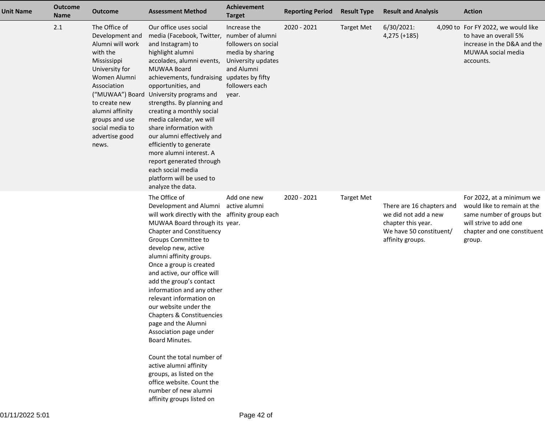| <b>Unit Name</b> | <b>Outcome</b><br>Name | <b>Outcome</b>                                                                                                                                                                                                                       | <b>Assessment Method</b>                                                                                                                                                                                                                                                                                                                                                                                                                                                                                                                                                                                                                                                                         | <b>Achievement</b><br><b>Target</b>                                                                                                        | <b>Reporting Period</b> | <b>Result Type</b> | <b>Result and Analysis</b>                                                                                             | <b>Action</b>                                                                                                                                            |
|------------------|------------------------|--------------------------------------------------------------------------------------------------------------------------------------------------------------------------------------------------------------------------------------|--------------------------------------------------------------------------------------------------------------------------------------------------------------------------------------------------------------------------------------------------------------------------------------------------------------------------------------------------------------------------------------------------------------------------------------------------------------------------------------------------------------------------------------------------------------------------------------------------------------------------------------------------------------------------------------------------|--------------------------------------------------------------------------------------------------------------------------------------------|-------------------------|--------------------|------------------------------------------------------------------------------------------------------------------------|----------------------------------------------------------------------------------------------------------------------------------------------------------|
|                  | 2.1                    | The Office of<br>Development and<br>Alumni will work<br>with the<br>Mississippi<br>University for<br>Women Alumni<br>Association<br>to create new<br>alumni affinity<br>groups and use<br>social media to<br>advertise good<br>news. | Our office uses social<br>media (Facebook, Twitter,<br>and Instagram) to<br>highlight alumni<br>accolades, alumni events,<br>MUWAA Board<br>achievements, fundraising updates by fifty<br>opportunities, and<br>("MUWAA") Board University programs and<br>strengths. By planning and<br>creating a monthly social<br>media calendar, we will<br>share information with<br>our alumni effectively and<br>efficiently to generate<br>more alumni interest. A<br>report generated through<br>each social media<br>platform will be used to<br>analyze the data.                                                                                                                                    | Increase the<br>number of alumni<br>followers on social<br>media by sharing<br>University updates<br>and Alumni<br>followers each<br>year. | 2020 - 2021             | <b>Target Met</b>  | 6/30/2021:<br>4,275 (+185)                                                                                             | 4,090 to For FY 2022, we would like<br>to have an overall 5%<br>increase in the D&A and the<br>MUWAA social media<br>accounts.                           |
|                  |                        |                                                                                                                                                                                                                                      | The Office of<br>Development and Alumni active alumni<br>will work directly with the affinity group each<br>MUWAA Board through its year.<br><b>Chapter and Constituency</b><br>Groups Committee to<br>develop new, active<br>alumni affinity groups.<br>Once a group is created<br>and active, our office will<br>add the group's contact<br>information and any other<br>relevant information on<br>our website under the<br>Chapters & Constituencies<br>page and the Alumni<br>Association page under<br>Board Minutes.<br>Count the total number of<br>active alumni affinity<br>groups, as listed on the<br>office website. Count the<br>number of new alumni<br>affinity groups listed on | Add one new                                                                                                                                | 2020 - 2021             | <b>Target Met</b>  | There are 16 chapters and<br>we did not add a new<br>chapter this year.<br>We have 50 constituent/<br>affinity groups. | For 2022, at a minimum we<br>would like to remain at the<br>same number of groups but<br>will strive to add one<br>chapter and one constituent<br>group. |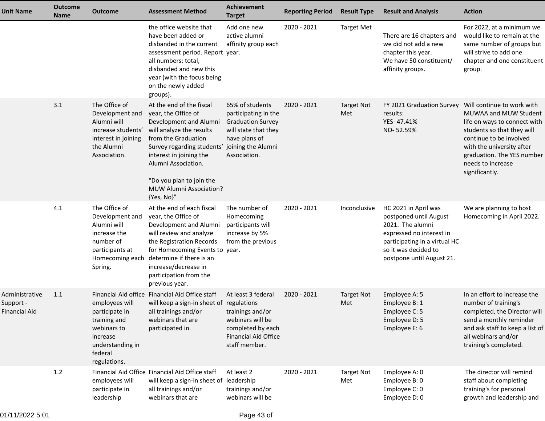| <b>Unit Name</b>                             | <b>Outcome</b><br><b>Name</b> | <b>Outcome</b>                                                                                                             | <b>Assessment Method</b>                                                                                                                                                                                                                                                                                    | <b>Achievement</b><br><b>Target</b>                                                                                             | <b>Reporting Period</b> | <b>Result Type</b>       | <b>Result and Analysis</b>                                                                                                                                                           | <b>Action</b>                                                                                                                                                                                                                                  |
|----------------------------------------------|-------------------------------|----------------------------------------------------------------------------------------------------------------------------|-------------------------------------------------------------------------------------------------------------------------------------------------------------------------------------------------------------------------------------------------------------------------------------------------------------|---------------------------------------------------------------------------------------------------------------------------------|-------------------------|--------------------------|--------------------------------------------------------------------------------------------------------------------------------------------------------------------------------------|------------------------------------------------------------------------------------------------------------------------------------------------------------------------------------------------------------------------------------------------|
|                                              |                               |                                                                                                                            | the office website that<br>have been added or<br>disbanded in the current<br>assessment period. Report year.<br>all numbers: total,<br>disbanded and new this<br>year (with the focus being<br>on the newly added<br>groups).                                                                               | Add one new<br>active alumni<br>affinity group each                                                                             | 2020 - 2021             | <b>Target Met</b>        | There are 16 chapters and<br>we did not add a new<br>chapter this year.<br>We have 50 constituent/<br>affinity groups.                                                               | For 2022, at a minimum we<br>would like to remain at the<br>same number of groups but<br>will strive to add one<br>chapter and one constituent<br>group.                                                                                       |
|                                              | 3.1                           | The Office of<br>Development and<br>Alumni will<br>increase students'<br>interest in joining<br>the Alumni<br>Association. | At the end of the fiscal<br>year, the Office of<br>Development and Alumni<br>will analyze the results<br>from the Graduation<br>Survey regarding students' joining the Alumni<br>interest in joining the<br>Alumni Association.<br>"Do you plan to join the<br><b>MUW Alumni Association?</b><br>{Yes, No}" | 65% of students<br>participating in the<br><b>Graduation Survey</b><br>will state that they<br>have plans of<br>Association.    | 2020 - 2021             | <b>Target Not</b><br>Met | FY 2021 Graduation Survey<br>results:<br>YES-47.41%<br>NO-52.59%                                                                                                                     | Will continue to work with<br>MUWAA and MUW Student<br>life on ways to connect with<br>students so that they will<br>continue to be involved<br>with the university after<br>graduation. The YES number<br>needs to increase<br>significantly. |
|                                              | 4.1                           | The Office of<br>Development and<br>Alumni will<br>increase the<br>number of<br>participants at<br>Spring.                 | At the end of each fiscal<br>year, the Office of<br>Development and Alumni<br>will review and analyze<br>the Registration Records<br>for Homecoming Events to year.<br>Homecoming each determine if there is an<br>increase/decrease in<br>participation from the<br>previous year.                         | The number of<br>Homecoming<br>participants will<br>increase by 5%<br>from the previous                                         | 2020 - 2021             | Inconclusive             | HC 2021 in April was<br>postponed until August<br>2021. The alumni<br>expressed no interest in<br>participating in a virtual HC<br>so it was decided to<br>postpone until August 21. | We are planning to host<br>Homecoming in April 2022.                                                                                                                                                                                           |
| Administrative<br>Support -<br>Financial Aid | 1.1                           | employees will<br>participate in<br>training and<br>webinars to<br>increase<br>understanding in<br>federal<br>regulations. | Financial Aid office Financial Aid Office staff<br>will keep a sign-in sheet of regulations<br>all trainings and/or<br>webinars that are<br>participated in.                                                                                                                                                | At least 3 federal<br>trainings and/or<br>webinars will be<br>completed by each<br><b>Financial Aid Office</b><br>staff member. | 2020 - 2021             | <b>Target Not</b><br>Met | Employee A: 5<br>Employee B: 1<br>Employee C: 5<br>Employee D: 5<br>Employee E: 6                                                                                                    | In an effort to increase the<br>number of training's<br>completed, the Director will<br>send a monthly reminder<br>and ask staff to keep a list of<br>all webinars and/or<br>training's completed.                                             |
|                                              | 1.2                           | employees will<br>participate in<br>leadership                                                                             | Financial Aid Office Financial Aid Office staff<br>will keep a sign-in sheet of leadership<br>all trainings and/or<br>webinars that are                                                                                                                                                                     | At least 2<br>trainings and/or<br>webinars will be                                                                              | 2020 - 2021             | <b>Target Not</b><br>Met | Employee A: 0<br>Employee B: 0<br>Employee C: 0<br>Employee D: 0                                                                                                                     | The director will remind<br>staff about completing<br>training's for personal<br>growth and leadership and                                                                                                                                     |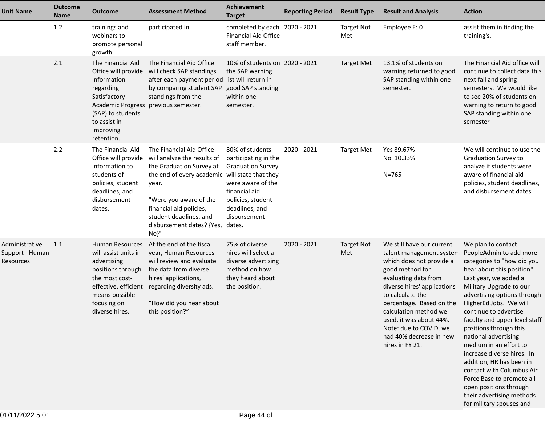| <b>Unit Name</b>                               | <b>Outcome</b><br><b>Name</b> | <b>Outcome</b>                                                                                                                                                                  | <b>Assessment Method</b>                                                                                                                                                                                                                                                  | <b>Achievement</b><br><b>Target</b>                                                                                                                              | <b>Reporting Period</b> | <b>Result Type</b>       | <b>Result and Analysis</b>                                                                                                                                                                                                                                                                                                              | <b>Action</b>                                                                                                                                                                                                                                                                                                                                                                                                                                                                                                                                                       |
|------------------------------------------------|-------------------------------|---------------------------------------------------------------------------------------------------------------------------------------------------------------------------------|---------------------------------------------------------------------------------------------------------------------------------------------------------------------------------------------------------------------------------------------------------------------------|------------------------------------------------------------------------------------------------------------------------------------------------------------------|-------------------------|--------------------------|-----------------------------------------------------------------------------------------------------------------------------------------------------------------------------------------------------------------------------------------------------------------------------------------------------------------------------------------|---------------------------------------------------------------------------------------------------------------------------------------------------------------------------------------------------------------------------------------------------------------------------------------------------------------------------------------------------------------------------------------------------------------------------------------------------------------------------------------------------------------------------------------------------------------------|
|                                                | 1.2                           | trainings and<br>webinars to<br>promote personal<br>growth.                                                                                                                     | participated in.                                                                                                                                                                                                                                                          | completed by each 2020 - 2021<br><b>Financial Aid Office</b><br>staff member.                                                                                    |                         | <b>Target Not</b><br>Met | Employee E: 0                                                                                                                                                                                                                                                                                                                           | assist them in finding the<br>training's.                                                                                                                                                                                                                                                                                                                                                                                                                                                                                                                           |
|                                                | 2.1                           | The Financial Aid<br>Office will provide<br>information<br>regarding<br>Satisfactory<br>(SAP) to students<br>to assist in<br>improving<br>retention.                            | The Financial Aid Office<br>will check SAP standings<br>after each payment period list will return in<br>by comparing student SAP<br>standings from the<br>Academic Progress previous semester.                                                                           | 10% of students on 2020 - 2021<br>the SAP warning<br>good SAP standing<br>within one<br>semester.                                                                |                         | <b>Target Met</b>        | 13.1% of students on<br>warning returned to good<br>SAP standing within one<br>semester.                                                                                                                                                                                                                                                | The Financial Aid office will<br>continue to collect data this<br>next fall and spring<br>semesters. We would like<br>to see 20% of students on<br>warning to return to good<br>SAP standing within one<br>semester                                                                                                                                                                                                                                                                                                                                                 |
|                                                | 2.2                           | The Financial Aid<br>Office will provide<br>information to<br>students of<br>policies, student<br>deadlines, and<br>disbursement<br>dates.                                      | The Financial Aid Office<br>will analyze the results of<br>the Graduation Survey at<br>the end of every academic will state that they<br>year.<br>"Were you aware of the<br>financial aid policies,<br>student deadlines, and<br>disbursement dates? {Yes, dates.<br>No}" | 80% of students<br>participating in the<br><b>Graduation Survey</b><br>were aware of the<br>financial aid<br>policies, student<br>deadlines, and<br>disbursement | 2020 - 2021             | <b>Target Met</b>        | Yes 89.67%<br>No 10.33%<br>$N = 765$                                                                                                                                                                                                                                                                                                    | We will continue to use the<br><b>Graduation Survey to</b><br>analyze if students were<br>aware of financial aid<br>policies, student deadlines,<br>and disbursement dates.                                                                                                                                                                                                                                                                                                                                                                                         |
| Administrative<br>Support - Human<br>Resources | 1.1                           | <b>Human Resources</b><br>will assist units in<br>advertising<br>positions through<br>the most cost-<br>effective, efficient<br>means possible<br>focusing on<br>diverse hires. | At the end of the fiscal<br>year, Human Resources<br>will review and evaluate<br>the data from diverse<br>hires' applications,<br>regarding diversity ads.<br>"How did you hear about<br>this position?"                                                                  | 75% of diverse<br>hires will select a<br>diverse advertising<br>method on how<br>they heard about<br>the position.                                               | 2020 - 2021             | <b>Target Not</b><br>Met | We still have our current<br>talent management system<br>which does not provide a<br>good method for<br>evaluating data from<br>diverse hires' applications<br>to calculate the<br>percentage. Based on the<br>calculation method we<br>used, it was about 44%.<br>Note: due to COVID, we<br>had 40% decrease in new<br>hires in FY 21. | We plan to contact<br>PeopleAdmin to add more<br>categories to "how did you<br>hear about this position".<br>Last year, we added a<br>Military Upgrade to our<br>advertising options through<br>HigherEd Jobs. We will<br>continue to advertise<br>faculty and upper level staff<br>positions through this<br>national advertising<br>medium in an effort to<br>increase diverse hires. In<br>addition, HR has been in<br>contact with Columbus Air<br>Force Base to promote all<br>open positions through<br>their advertising methods<br>for military spouses and |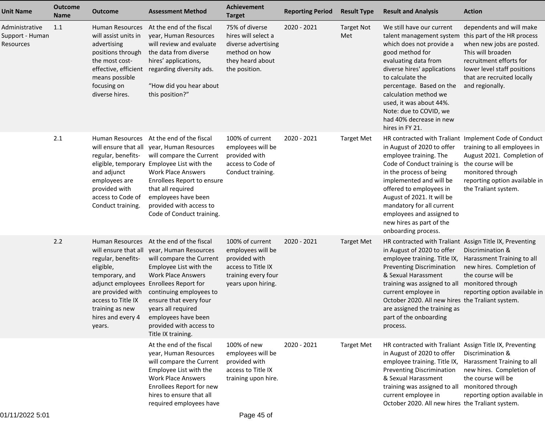| <b>Unit Name</b>                               | <b>Outcome</b><br><b>Name</b> | <b>Outcome</b>                                                                                                                                                           | <b>Assessment Method</b>                                                                                                                                                                                                                                                                                                                                               | <b>Achievement</b><br><b>Target</b>                                                                                      | <b>Reporting Period</b> | <b>Result Type</b>       | <b>Result and Analysis</b>                                                                                                                                                                                                                                                                                                                                        | <b>Action</b>                                                                                                                                                                                                           |
|------------------------------------------------|-------------------------------|--------------------------------------------------------------------------------------------------------------------------------------------------------------------------|------------------------------------------------------------------------------------------------------------------------------------------------------------------------------------------------------------------------------------------------------------------------------------------------------------------------------------------------------------------------|--------------------------------------------------------------------------------------------------------------------------|-------------------------|--------------------------|-------------------------------------------------------------------------------------------------------------------------------------------------------------------------------------------------------------------------------------------------------------------------------------------------------------------------------------------------------------------|-------------------------------------------------------------------------------------------------------------------------------------------------------------------------------------------------------------------------|
| Administrative<br>Support - Human<br>Resources | 1.1                           | Human Resources<br>will assist units in<br>advertising<br>positions through<br>the most cost-<br>effective, efficient<br>means possible<br>focusing on<br>diverse hires. | At the end of the fiscal<br>year, Human Resources<br>will review and evaluate<br>the data from diverse<br>hires' applications,<br>regarding diversity ads.<br>"How did you hear about<br>this position?"                                                                                                                                                               | 75% of diverse<br>hires will select a<br>diverse advertising<br>method on how<br>they heard about<br>the position.       | 2020 - 2021             | <b>Target Not</b><br>Met | We still have our current<br>talent management system<br>which does not provide a<br>good method for<br>evaluating data from<br>diverse hires' applications<br>to calculate the<br>percentage. Based on the<br>calculation method we<br>used, it was about 44%.<br>Note: due to COVID, we<br>had 40% decrease in new<br>hires in FY 21.                           | dependents and will make<br>this part of the HR process<br>when new jobs are posted.<br>This will broaden<br>recruitment efforts for<br>lower level staff positions<br>that are recruited locally<br>and regionally.    |
|                                                | 2.1                           | Human Resources<br>regular, benefits-<br>eligible, temporary<br>and adjunct<br>employees are<br>provided with<br>access to Code of<br>Conduct training.                  | At the end of the fiscal<br>will ensure that all year, Human Resources<br>will compare the Current<br>Employee List with the<br><b>Work Place Answers</b><br>Enrollees Report to ensure<br>that all required<br>employees have been<br>provided with access to<br>Code of Conduct training.                                                                            | 100% of current<br>employees will be<br>provided with<br>access to Code of<br>Conduct training.                          | 2020 - 2021             | <b>Target Met</b>        | in August of 2020 to offer<br>employee training. The<br>Code of Conduct training is<br>in the process of being<br>implemented and will be<br>offered to employees in<br>August of 2021. It will be<br>mandatory for all current<br>employees and assigned to<br>new hires as part of the<br>onboarding process.                                                   | HR contracted with Traliant Implement Code of Conduct<br>training to all employees in<br>August 2021. Completion of<br>the course will be<br>monitored through<br>reporting option available in<br>the Traliant system. |
|                                                | 2.2                           | regular, benefits-<br>eligible,<br>temporary, and<br>are provided with<br>access to Title IX<br>training as new<br>hires and every 4<br>years.                           | Human Resources At the end of the fiscal<br>will ensure that all year, Human Resources<br>will compare the Current<br>Employee List with the<br><b>Work Place Answers</b><br>adjunct employees Enrollees Report for<br>continuing employees to<br>ensure that every four<br>years all required<br>employees have been<br>provided with access to<br>Title IX training. | 100% of current<br>employees will be<br>provided with<br>access to Title IX<br>training every four<br>years upon hiring. | 2020 - 2021             | <b>Target Met</b>        | HR contracted with Traliant Assign Title IX, Preventing<br>in August of 2020 to offer<br>employee training. Title IX,<br><b>Preventing Discrimination</b><br>& Sexual Harassment<br>training was assigned to all<br>current employee in<br>October 2020. All new hires the Traliant system.<br>are assigned the training as<br>part of the onboarding<br>process. | Discrimination &<br>Harassment Training to all<br>new hires. Completion of<br>the course will be<br>monitored through<br>reporting option available in                                                                  |
|                                                |                               |                                                                                                                                                                          | At the end of the fiscal<br>year, Human Resources<br>will compare the Current<br>Employee List with the<br><b>Work Place Answers</b><br>Enrollees Report for new<br>hires to ensure that all<br>required employees have                                                                                                                                                | 100% of new<br>employees will be<br>provided with<br>access to Title IX<br>training upon hire.                           | 2020 - 2021             | <b>Target Met</b>        | HR contracted with Traliant Assign Title IX, Preventing<br>in August of 2020 to offer<br>employee training. Title IX,<br><b>Preventing Discrimination</b><br>& Sexual Harassment<br>training was assigned to all monitored through<br>current employee in<br>October 2020. All new hires the Traliant system.                                                     | Discrimination &<br>Harassment Training to all<br>new hires. Completion of<br>the course will be<br>reporting option available in                                                                                       |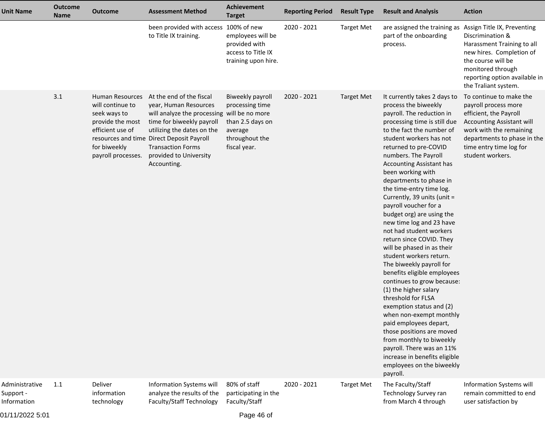| <b>Unit Name</b>                           | <b>Outcome</b><br><b>Name</b> | <b>Outcome</b>                                                                                                                    | <b>Assessment Method</b>                                                                                                                                                                                                                                                      | Achievement<br><b>Target</b>                                                                         | <b>Reporting Period</b> | <b>Result Type</b> | <b>Result and Analysis</b>                                                                                                                                                                                                                                                                                                                                                                                                                                                                                                                                                                                                                                                                                                                                                                                                                                                                                                                                          | <b>Action</b>                                                                                                                                                                                                          |
|--------------------------------------------|-------------------------------|-----------------------------------------------------------------------------------------------------------------------------------|-------------------------------------------------------------------------------------------------------------------------------------------------------------------------------------------------------------------------------------------------------------------------------|------------------------------------------------------------------------------------------------------|-------------------------|--------------------|---------------------------------------------------------------------------------------------------------------------------------------------------------------------------------------------------------------------------------------------------------------------------------------------------------------------------------------------------------------------------------------------------------------------------------------------------------------------------------------------------------------------------------------------------------------------------------------------------------------------------------------------------------------------------------------------------------------------------------------------------------------------------------------------------------------------------------------------------------------------------------------------------------------------------------------------------------------------|------------------------------------------------------------------------------------------------------------------------------------------------------------------------------------------------------------------------|
|                                            |                               |                                                                                                                                   | been provided with access 100% of new<br>to Title IX training.                                                                                                                                                                                                                | employees will be<br>provided with<br>access to Title IX<br>training upon hire.                      | 2020 - 2021             | <b>Target Met</b>  | are assigned the training as<br>part of the onboarding<br>process.                                                                                                                                                                                                                                                                                                                                                                                                                                                                                                                                                                                                                                                                                                                                                                                                                                                                                                  | Assign Title IX, Preventing<br>Discrimination &<br>Harassment Training to all<br>new hires. Completion of<br>the course will be<br>monitored through<br>reporting option available in<br>the Traliant system.          |
|                                            | 3.1                           | Human Resources<br>will continue to<br>seek ways to<br>provide the most<br>efficient use of<br>for biweekly<br>payroll processes. | At the end of the fiscal<br>year, Human Resources<br>will analyze the processing will be no more<br>time for biweekly payroll<br>utilizing the dates on the<br>resources and time Direct Deposit Payroll<br><b>Transaction Forms</b><br>provided to University<br>Accounting. | Biweekly payroll<br>processing time<br>than 2.5 days on<br>average<br>throughout the<br>fiscal year. | 2020 - 2021             | <b>Target Met</b>  | It currently takes 2 days to<br>process the biweekly<br>payroll. The reduction in<br>processing time is still due<br>to the fact the number of<br>student workers has not<br>returned to pre-COVID<br>numbers. The Payroll<br><b>Accounting Assistant has</b><br>been working with<br>departments to phase in<br>the time-entry time log.<br>Currently, 39 units (unit =<br>payroll voucher for a<br>budget org) are using the<br>new time log and 23 have<br>not had student workers<br>return since COVID. They<br>will be phased in as their<br>student workers return.<br>The biweekly payroll for<br>benefits eligible employees<br>continues to grow because:<br>(1) the higher salary<br>threshold for FLSA<br>exemption status and (2)<br>when non-exempt monthly<br>paid employees depart,<br>those positions are moved<br>from monthly to biweekly<br>payroll. There was an 11%<br>increase in benefits eligible<br>employees on the biweekly<br>payroll. | To continue to make the<br>payroll process more<br>efficient, the Payroll<br><b>Accounting Assistant will</b><br>work with the remaining<br>departments to phase in the<br>time entry time log for<br>student workers. |
| Administrative<br>Support -<br>Information | 1.1                           | Deliver<br>information<br>technology                                                                                              | <b>Information Systems will</b><br>analyze the results of the<br>Faculty/Staff Technology                                                                                                                                                                                     | 80% of staff<br>participating in the<br>Faculty/Staff                                                | 2020 - 2021             | <b>Target Met</b>  | The Faculty/Staff<br>Technology Survey ran<br>from March 4 through                                                                                                                                                                                                                                                                                                                                                                                                                                                                                                                                                                                                                                                                                                                                                                                                                                                                                                  | Information Systems will<br>remain committed to end<br>user satisfaction by                                                                                                                                            |

01/11/2022 5:01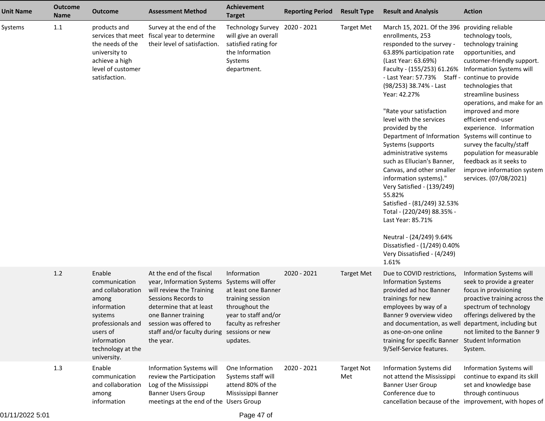| <b>Unit Name</b> | <b>Outcome</b><br>Name | <b>Outcome</b>                                                                                                                                                      | <b>Assessment Method</b>                                                                                                                                                                                                         | <b>Achievement</b><br><b>Target</b>                                                                                                                                           | <b>Reporting Period</b> | <b>Result Type</b>       | <b>Result and Analysis</b>                                                                                                                                                                                                                                                                                                                                                                                                                                                                                                                                                                                                                                                                                                                            | <b>Action</b>                                                                                                                                                                                                                                                                                                                                                                                                                                     |
|------------------|------------------------|---------------------------------------------------------------------------------------------------------------------------------------------------------------------|----------------------------------------------------------------------------------------------------------------------------------------------------------------------------------------------------------------------------------|-------------------------------------------------------------------------------------------------------------------------------------------------------------------------------|-------------------------|--------------------------|-------------------------------------------------------------------------------------------------------------------------------------------------------------------------------------------------------------------------------------------------------------------------------------------------------------------------------------------------------------------------------------------------------------------------------------------------------------------------------------------------------------------------------------------------------------------------------------------------------------------------------------------------------------------------------------------------------------------------------------------------------|---------------------------------------------------------------------------------------------------------------------------------------------------------------------------------------------------------------------------------------------------------------------------------------------------------------------------------------------------------------------------------------------------------------------------------------------------|
| Systems          | 1.1                    | products and<br>the needs of the<br>university to<br>achieve a high<br>level of customer<br>satisfaction.                                                           | Survey at the end of the<br>services that meet fiscal year to determine<br>their level of satisfaction.                                                                                                                          | <b>Technology Survey</b><br>will give an overall<br>satisfied rating for<br>the Information<br>Systems<br>department.                                                         | 2020 - 2021             | <b>Target Met</b>        | March 15, 2021. Of the 396 providing reliable<br>enrollments, 253<br>responded to the survey -<br>63.89% participation rate<br>(Last Year: 63.69%)<br>Faculty - (155/253) 61.26%<br>- Last Year: 57.73% Staff - continue to provide<br>(98/253) 38.74% - Last<br>Year: 42.27%<br>"Rate your satisfaction<br>level with the services<br>provided by the<br>Department of Information<br>Systems (supports<br>administrative systems<br>such as Ellucian's Banner,<br>Canvas, and other smaller<br>information systems)."<br>Very Satisfied - (139/249)<br>55.82%<br>Satisfied - (81/249) 32.53%<br>Total - (220/249) 88.35% -<br>Last Year: 85.71%<br>Neutral - (24/249) 9.64%<br>Dissatisfied - (1/249) 0.40%<br>Very Dissatisfied - (4/249)<br>1.61% | technology tools,<br>technology training<br>opportunities, and<br>customer-friendly support.<br>Information Systems will<br>technologies that<br>streamline business<br>operations, and make for an<br>improved and more<br>efficient end-user<br>experience. Information<br>Systems will continue to<br>survey the faculty/staff<br>population for measurable<br>feedback as it seeks to<br>improve information system<br>services. (07/08/2021) |
|                  | 1.2                    | Enable<br>communication<br>and collaboration<br>among<br>information<br>systems<br>professionals and<br>users of<br>information<br>technology at the<br>university. | At the end of the fiscal<br>year, Information Systems<br>will review the Training<br>Sessions Records to<br>determine that at least<br>one Banner training<br>session was offered to<br>staff and/or faculty during<br>the year. | Information<br>Systems will offer<br>at least one Banner<br>training session<br>throughout the<br>year to staff and/or<br>faculty as refresher<br>sessions or new<br>updates. | 2020 - 2021             | <b>Target Met</b>        | Due to COVID restrictions,<br><b>Information Systems</b><br>provided ad hoc Banner<br>trainings for new<br>employees by way of a<br>Banner 9 overview video<br>and documentation, as well<br>as one-on-one online<br>training for specific Banner<br>9/Self-Service features.                                                                                                                                                                                                                                                                                                                                                                                                                                                                         | Information Systems will<br>seek to provide a greater<br>focus in provisioning<br>proactive training across the<br>spectrum of technology<br>offerings delivered by the<br>department, including but<br>not limited to the Banner 9<br><b>Student Information</b><br>System.                                                                                                                                                                      |
|                  | 1.3                    | Enable<br>communication<br>and collaboration<br>among<br>information                                                                                                | Information Systems will<br>review the Participation<br>Log of the Mississippi<br><b>Banner Users Group</b><br>meetings at the end of the Users Group                                                                            | One Information<br>Systems staff will<br>attend 80% of the<br>Mississippi Banner                                                                                              | 2020 - 2021             | <b>Target Not</b><br>Met | Information Systems did<br>not attend the Mississippi<br><b>Banner User Group</b><br>Conference due to                                                                                                                                                                                                                                                                                                                                                                                                                                                                                                                                                                                                                                                | Information Systems will<br>continue to expand its skill<br>set and knowledge base<br>through continuous<br>cancellation because of the improvement, with hopes of                                                                                                                                                                                                                                                                                |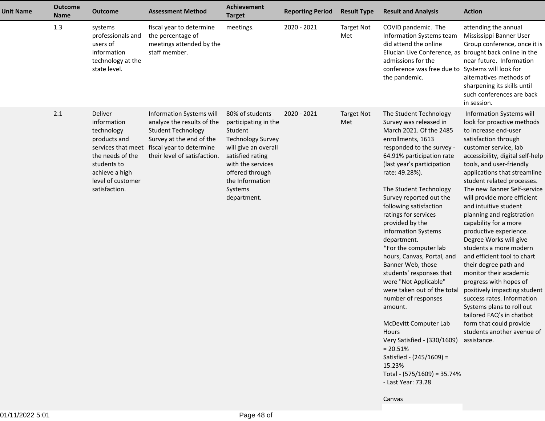| <b>Unit Name</b> | <b>Outcome</b><br><b>Name</b> | <b>Outcome</b>                                                                                                                                                        | <b>Assessment Method</b>                                                                                                                                                    | <b>Achievement</b><br><b>Target</b>                                                                                                                                                                             | <b>Reporting Period</b> | <b>Result Type</b>       | <b>Result and Analysis</b>                                                                                                                                                                                                                                                                                                                                                                                                                                                                                                                                                                                                                                                                                                                                    | <b>Action</b>                                                                                                                                                                                                                                                                                                                                                                                                                                                                                                                                                                                                                                                                                                                                                                                        |
|------------------|-------------------------------|-----------------------------------------------------------------------------------------------------------------------------------------------------------------------|-----------------------------------------------------------------------------------------------------------------------------------------------------------------------------|-----------------------------------------------------------------------------------------------------------------------------------------------------------------------------------------------------------------|-------------------------|--------------------------|---------------------------------------------------------------------------------------------------------------------------------------------------------------------------------------------------------------------------------------------------------------------------------------------------------------------------------------------------------------------------------------------------------------------------------------------------------------------------------------------------------------------------------------------------------------------------------------------------------------------------------------------------------------------------------------------------------------------------------------------------------------|------------------------------------------------------------------------------------------------------------------------------------------------------------------------------------------------------------------------------------------------------------------------------------------------------------------------------------------------------------------------------------------------------------------------------------------------------------------------------------------------------------------------------------------------------------------------------------------------------------------------------------------------------------------------------------------------------------------------------------------------------------------------------------------------------|
|                  | 1.3                           | systems<br>professionals and<br>users of<br>information<br>technology at the<br>state level.                                                                          | fiscal year to determine<br>the percentage of<br>meetings attended by the<br>staff member.                                                                                  | meetings.                                                                                                                                                                                                       | 2020 - 2021             | <b>Target Not</b><br>Met | COVID pandemic. The<br>Information Systems team<br>did attend the online<br>Ellucian Live Conference, as<br>admissions for the<br>conference was free due to Systems will look for<br>the pandemic.                                                                                                                                                                                                                                                                                                                                                                                                                                                                                                                                                           | attending the annual<br>Mississippi Banner User<br>Group conference, once it is<br>brought back online in the<br>near future. Information<br>alternatives methods of<br>sharpening its skills until<br>such conferences are back<br>in session.                                                                                                                                                                                                                                                                                                                                                                                                                                                                                                                                                      |
|                  | 2.1                           | Deliver<br>information<br>technology<br>products and<br>services that meet<br>the needs of the<br>students to<br>achieve a high<br>level of customer<br>satisfaction. | Information Systems will<br>analyze the results of the<br><b>Student Technology</b><br>Survey at the end of the<br>fiscal year to determine<br>their level of satisfaction. | 80% of students<br>participating in the<br>Student<br><b>Technology Survey</b><br>will give an overall<br>satisfied rating<br>with the services<br>offered through<br>the Information<br>Systems<br>department. | 2020 - 2021             | <b>Target Not</b><br>Met | The Student Technology<br>Survey was released in<br>March 2021. Of the 2485<br>enrollments, 1613<br>responded to the survey -<br>64.91% participation rate<br>(last year's participation<br>rate: 49.28%).<br>The Student Technology<br>Survey reported out the<br>following satisfaction<br>ratings for services<br>provided by the<br><b>Information Systems</b><br>department.<br>*For the computer lab<br>hours, Canvas, Portal, and<br>Banner Web, those<br>students' responses that<br>were "Not Applicable"<br>were taken out of the total<br>number of responses<br>amount.<br>McDevitt Computer Lab<br>Hours<br>Very Satisfied - (330/1609)<br>$= 20.51%$<br>Satisfied - (245/1609) =<br>15.23%<br>Total - (575/1609) = 35.74%<br>- Last Year: 73.28 | Information Systems will<br>look for proactive methods<br>to increase end-user<br>satisfaction through<br>customer service, lab<br>accessibility, digital self-help<br>tools, and user-friendly<br>applications that streamline<br>student related processes.<br>The new Banner Self-service<br>will provide more efficient<br>and intuitive student<br>planning and registration<br>capability for a more<br>productive experience.<br>Degree Works will give<br>students a more modern<br>and efficient tool to chart<br>their degree path and<br>monitor their academic<br>progress with hopes of<br>positively impacting student<br>success rates. Information<br>Systems plans to roll out<br>tailored FAQ's in chatbot<br>form that could provide<br>students another avenue of<br>assistance. |
|                  |                               |                                                                                                                                                                       |                                                                                                                                                                             |                                                                                                                                                                                                                 |                         |                          | Canvas                                                                                                                                                                                                                                                                                                                                                                                                                                                                                                                                                                                                                                                                                                                                                        |                                                                                                                                                                                                                                                                                                                                                                                                                                                                                                                                                                                                                                                                                                                                                                                                      |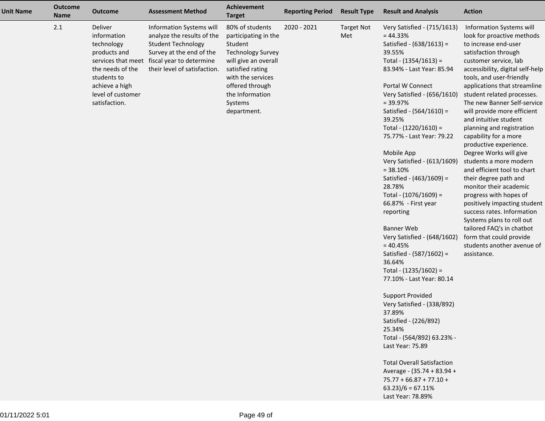| <b>Unit Name</b> | <b>Outcome</b><br><b>Name</b> | <b>Outcome</b>                                                                                                                                  | <b>Assessment Method</b>                                                                                                                                                                       | Achievement<br><b>Target</b>                                                                                                                                                                                    | <b>Reporting Period</b> | <b>Result Type</b>       | <b>Result and Analysis</b>                                                                                                                                                                                                                                                                                                                                                                                                                                                                                                                                                                                                                                                                                                                                                                                                        | <b>Action</b>                                                                                                                                                                                                                                                                                                                                                                                                                                                                                                                                                                                                                                                                                                                                                                                        |
|------------------|-------------------------------|-------------------------------------------------------------------------------------------------------------------------------------------------|------------------------------------------------------------------------------------------------------------------------------------------------------------------------------------------------|-----------------------------------------------------------------------------------------------------------------------------------------------------------------------------------------------------------------|-------------------------|--------------------------|-----------------------------------------------------------------------------------------------------------------------------------------------------------------------------------------------------------------------------------------------------------------------------------------------------------------------------------------------------------------------------------------------------------------------------------------------------------------------------------------------------------------------------------------------------------------------------------------------------------------------------------------------------------------------------------------------------------------------------------------------------------------------------------------------------------------------------------|------------------------------------------------------------------------------------------------------------------------------------------------------------------------------------------------------------------------------------------------------------------------------------------------------------------------------------------------------------------------------------------------------------------------------------------------------------------------------------------------------------------------------------------------------------------------------------------------------------------------------------------------------------------------------------------------------------------------------------------------------------------------------------------------------|
|                  | 2.1                           | Deliver<br>information<br>technology<br>products and<br>the needs of the<br>students to<br>achieve a high<br>level of customer<br>satisfaction. | Information Systems will<br>analyze the results of the<br><b>Student Technology</b><br>Survey at the end of the<br>services that meet fiscal year to determine<br>their level of satisfaction. | 80% of students<br>participating in the<br>Student<br><b>Technology Survey</b><br>will give an overall<br>satisfied rating<br>with the services<br>offered through<br>the Information<br>Systems<br>department. | 2020 - 2021             | <b>Target Not</b><br>Met | Very Satisfied - (715/1613)<br>$= 44.33%$<br>Satisfied - (638/1613) =<br>39.55%<br>Total - $(1354/1613)$ =<br>83.94% - Last Year: 85.94<br>Portal W Connect<br>Very Satisfied - (656/1610)<br>$= 39.97%$<br>Satisfied - $(564/1610)$ =<br>39.25%<br>Total - $(1220/1610)$ =<br>75.77% - Last Year: 79.22<br>Mobile App<br>Very Satisfied - (613/1609)<br>$= 38.10%$<br>Satisfied - (463/1609) =<br>28.78%<br>Total - (1076/1609) =<br>66.87% - First year<br>reporting<br><b>Banner Web</b><br>Very Satisfied - (648/1602)<br>$= 40.45%$<br>Satisfied - (587/1602) =<br>36.64%<br>Total - (1235/1602) =<br>77.10% - Last Year: 80.14<br><b>Support Provided</b><br>Very Satisfied - (338/892)<br>37.89%<br>Satisfied - (226/892)<br>25.34%<br>Total - (564/892) 63.23% -<br>Last Year: 75.89<br><b>Total Overall Satisfaction</b> | Information Systems will<br>look for proactive methods<br>to increase end-user<br>satisfaction through<br>customer service, lab<br>accessibility, digital self-help<br>tools, and user-friendly<br>applications that streamline<br>student related processes.<br>The new Banner Self-service<br>will provide more efficient<br>and intuitive student<br>planning and registration<br>capability for a more<br>productive experience.<br>Degree Works will give<br>students a more modern<br>and efficient tool to chart<br>their degree path and<br>monitor their academic<br>progress with hopes of<br>positively impacting student<br>success rates. Information<br>Systems plans to roll out<br>tailored FAQ's in chatbot<br>form that could provide<br>students another avenue of<br>assistance. |
|                  |                               |                                                                                                                                                 |                                                                                                                                                                                                |                                                                                                                                                                                                                 |                         |                          | Average - (35.74 + 83.94 +<br>$75.77 + 66.87 + 77.10 +$<br>$63.23)/6 = 67.11%$<br>Last Year: 78.89%                                                                                                                                                                                                                                                                                                                                                                                                                                                                                                                                                                                                                                                                                                                               |                                                                                                                                                                                                                                                                                                                                                                                                                                                                                                                                                                                                                                                                                                                                                                                                      |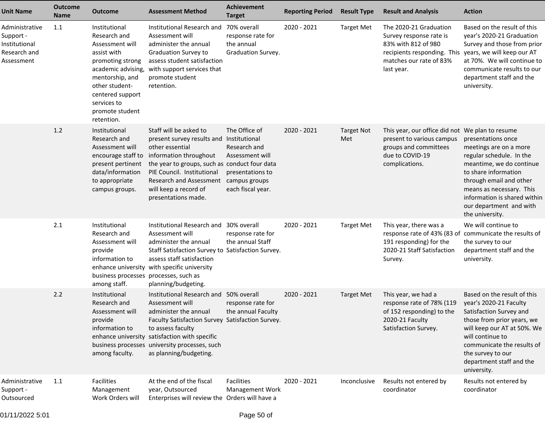| <b>Unit Name</b>                                                           | <b>Outcome</b><br><b>Name</b> | <b>Outcome</b>                                                                                                                                                                                                     | <b>Assessment Method</b>                                                                                                                                                                                                                                                                | <b>Achievement</b><br><b>Target</b>                                                                        | <b>Reporting Period</b> | <b>Result Type</b>       | <b>Result and Analysis</b>                                                                                                                       | <b>Action</b>                                                                                                                                                                                                                                                     |
|----------------------------------------------------------------------------|-------------------------------|--------------------------------------------------------------------------------------------------------------------------------------------------------------------------------------------------------------------|-----------------------------------------------------------------------------------------------------------------------------------------------------------------------------------------------------------------------------------------------------------------------------------------|------------------------------------------------------------------------------------------------------------|-------------------------|--------------------------|--------------------------------------------------------------------------------------------------------------------------------------------------|-------------------------------------------------------------------------------------------------------------------------------------------------------------------------------------------------------------------------------------------------------------------|
| Administrative<br>Support -<br>Institutional<br>Research and<br>Assessment | 1.1                           | Institutional<br>Research and<br>Assessment will<br>assist with<br>promoting strong<br>academic advising,<br>mentorship, and<br>other student-<br>centered support<br>services to<br>promote student<br>retention. | Institutional Research and 70% overall<br>Assessment will<br>administer the annual<br><b>Graduation Survey to</b><br>assess student satisfaction<br>with support services that<br>promote student<br>retention.                                                                         | response rate for<br>the annual<br>Graduation Survey.                                                      | 2020 - 2021             | <b>Target Met</b>        | The 2020-21 Graduation<br>Survey response rate is<br>83% with 812 of 980<br>recipients responding. This<br>matches our rate of 83%<br>last year. | Based on the result of this<br>year's 2020-21 Graduation<br>Survey and those from prior<br>years, we will keep our AT<br>at 70%. We will continue to<br>communicate results to our<br>department staff and the<br>university.                                     |
|                                                                            | 1.2                           | Institutional<br>Research and<br>Assessment will<br>encourage staff to<br>present pertinent<br>data/information<br>to appropriate<br>campus groups.                                                                | Staff will be asked to<br>present survey results and Institutional<br>other essential<br>information throughout<br>the year to groups, such as conduct four data<br>PIE Council. Institutional<br><b>Research and Assessment</b><br>will keep a record of<br>presentations made.        | The Office of<br>Research and<br>Assessment will<br>presentations to<br>campus groups<br>each fiscal year. | 2020 - 2021             | <b>Target Not</b><br>Met | This year, our office did not We plan to resume<br>present to various campus<br>groups and committees<br>due to COVID-19<br>complications.       | presentations once<br>meetings are on a more<br>regular schedule. In the<br>meantime, we do continue<br>to share information<br>through email and other<br>means as necessary. This<br>information is shared within<br>our department and with<br>the university. |
|                                                                            | 2.1                           | Institutional<br>Research and<br>Assessment will<br>provide<br>information to<br>business processes processes, such as<br>among staff.                                                                             | Institutional Research and 30% overall<br>Assessment will<br>administer the annual<br>Staff Satisfaction Survey to Satisfaction Survey.<br>assess staff satisfaction<br>enhance university with specific university<br>planning/budgeting.                                              | response rate for<br>the annual Staff                                                                      | 2020 - 2021             | <b>Target Met</b>        | This year, there was a<br>response rate of 43% (83 of<br>191 responding) for the<br>2020-21 Staff Satisfaction<br>Survey.                        | We will continue to<br>communicate the results of<br>the survey to our<br>department staff and the<br>university.                                                                                                                                                 |
|                                                                            | 2.2                           | Institutional<br>Research and<br>Assessment will<br>provide<br>information to<br>among faculty.                                                                                                                    | Institutional Research and 50% overall<br>Assessment will<br>administer the annual<br>Faculty Satisfaction Survey Satisfaction Survey.<br>to assess faculty<br>enhance university satisfaction with specific<br>business processes university processes, such<br>as planning/budgeting. | response rate for<br>the annual Faculty                                                                    | 2020 - 2021             | <b>Target Met</b>        | This year, we had a<br>response rate of 78% (119<br>of 152 responding) to the Satisfaction Survey and<br>2020-21 Faculty<br>Satisfaction Survey. | Based on the result of this<br>year's 2020-21 Faculty<br>those from prior years, we<br>will keep our AT at 50%. We<br>will continue to<br>communicate the results of<br>the survey to our<br>department staff and the<br>university.                              |
| Administrative<br>Support -<br>Outsourced                                  | 1.1                           | Facilities<br>Management<br>Work Orders will                                                                                                                                                                       | At the end of the fiscal<br>year, Outsourced<br>Enterprises will review the Orders will have a                                                                                                                                                                                          | Facilities<br><b>Management Work</b>                                                                       | 2020 - 2021             | Inconclusive             | Results not entered by<br>coordinator                                                                                                            | Results not entered by<br>coordinator                                                                                                                                                                                                                             |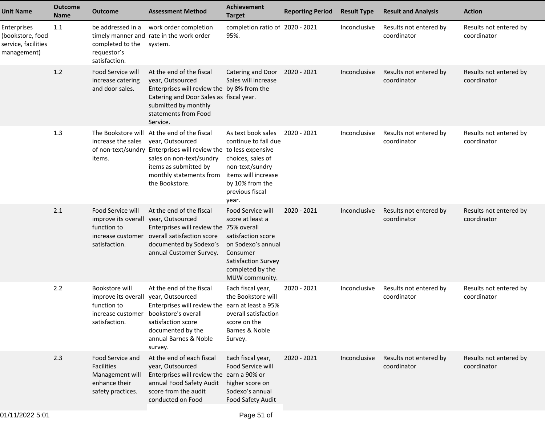| <b>Unit Name</b>                                                      | <b>Outcome</b><br><b>Name</b> | Outcome                                                                                        | <b>Assessment Method</b>                                                                                                                                                                                                               | <b>Achievement</b><br><b>Target</b>                                                                                                                        | <b>Reporting Period</b> | <b>Result Type</b> | <b>Result and Analysis</b>            | <b>Action</b>                         |
|-----------------------------------------------------------------------|-------------------------------|------------------------------------------------------------------------------------------------|----------------------------------------------------------------------------------------------------------------------------------------------------------------------------------------------------------------------------------------|------------------------------------------------------------------------------------------------------------------------------------------------------------|-------------------------|--------------------|---------------------------------------|---------------------------------------|
| Enterprises<br>(bookstore, food<br>service, facilities<br>management) | 1.1                           | be addressed in a<br>completed to the<br>requestor's<br>satisfaction.                          | work order completion<br>timely manner and rate in the work order<br>system.                                                                                                                                                           | completion ratio of 2020 - 2021<br>95%.                                                                                                                    |                         | Inconclusive       | Results not entered by<br>coordinator | Results not entered by<br>coordinator |
|                                                                       | 1.2                           | Food Service will<br>increase catering<br>and door sales.                                      | At the end of the fiscal<br>year, Outsourced<br>Enterprises will review the by 8% from the<br>Catering and Door Sales as fiscal year.<br>submitted by monthly<br>statements from Food<br>Service.                                      | Catering and Door<br>Sales will increase                                                                                                                   | 2020 - 2021             | Inconclusive       | Results not entered by<br>coordinator | Results not entered by<br>coordinator |
|                                                                       | 1.3                           | The Bookstore will<br>increase the sales<br>items.                                             | At the end of the fiscal<br>year, Outsourced<br>of non-text/sundry Enterprises will review the to less expensive<br>sales on non-text/sundry<br>items as submitted by<br>monthly statements from items will increase<br>the Bookstore. | As text book sales<br>continue to fall due<br>choices, sales of<br>non-text/sundry<br>by 10% from the<br>previous fiscal<br>year.                          | 2020 - 2021             | Inconclusive       | Results not entered by<br>coordinator | Results not entered by<br>coordinator |
|                                                                       | 2.1                           | Food Service will<br>improve its overall<br>function to<br>increase customer<br>satisfaction.  | At the end of the fiscal<br>year, Outsourced<br>Enterprises will review the 75% overall<br>overall satisfaction score<br>documented by Sodexo's<br>annual Customer Survey.                                                             | Food Service will<br>score at least a<br>satisfaction score<br>on Sodexo's annual<br>Consumer<br>Satisfaction Survey<br>completed by the<br>MUW community. | 2020 - 2021             | Inconclusive       | Results not entered by<br>coordinator | Results not entered by<br>coordinator |
|                                                                       | 2.2                           | Bookstore will<br>improve its overall<br>function to<br>increase customer<br>satisfaction.     | At the end of the fiscal<br>year, Outsourced<br>Enterprises will review the earn at least a 95%<br>bookstore's overall<br>satisfaction score<br>documented by the<br>annual Barnes & Noble<br>survey.                                  | Each fiscal year,<br>the Bookstore will<br>overall satisfaction<br>score on the<br>Barnes & Noble<br>Survey.                                               | 2020 - 2021             | Inconclusive       | Results not entered by<br>coordinator | Results not entered by<br>coordinator |
|                                                                       | 2.3                           | Food Service and<br><b>Facilities</b><br>Management will<br>enhance their<br>safety practices. | At the end of each fiscal<br>year, Outsourced<br>Enterprises will review the earn a 90% or<br>annual Food Safety Audit<br>score from the audit<br>conducted on Food                                                                    | Each fiscal year,<br>Food Service will<br>higher score on<br>Sodexo's annual<br>Food Safety Audit                                                          | 2020 - 2021             | Inconclusive       | Results not entered by<br>coordinator | Results not entered by<br>coordinator |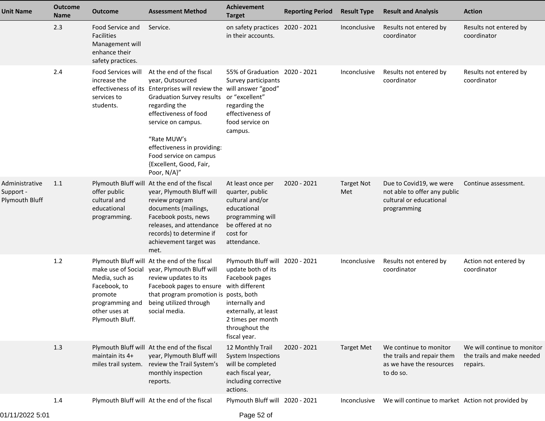| <b>Unit Name</b>                              | <b>Outcome</b><br><b>Name</b> | <b>Outcome</b>                                                                                   | <b>Assessment Method</b>                                                                                                                                                                                                                                                                                                                  | Achievement<br><b>Target</b>                                                                                                                                                               | <b>Reporting Period</b> | <b>Result Type</b>       | <b>Result and Analysis</b>                                                                        | <b>Action</b>                                                         |
|-----------------------------------------------|-------------------------------|--------------------------------------------------------------------------------------------------|-------------------------------------------------------------------------------------------------------------------------------------------------------------------------------------------------------------------------------------------------------------------------------------------------------------------------------------------|--------------------------------------------------------------------------------------------------------------------------------------------------------------------------------------------|-------------------------|--------------------------|---------------------------------------------------------------------------------------------------|-----------------------------------------------------------------------|
|                                               | 2.3                           | Food Service and<br><b>Facilities</b><br>Management will<br>enhance their<br>safety practices.   | Service.                                                                                                                                                                                                                                                                                                                                  | on safety practices 2020 - 2021<br>in their accounts.                                                                                                                                      |                         | Inconclusive             | Results not entered by<br>coordinator                                                             | Results not entered by<br>coordinator                                 |
|                                               | 2.4                           | Food Services will<br>increase the<br>services to<br>students.                                   | At the end of the fiscal<br>year, Outsourced<br>effectiveness of its Enterprises will review the will answer "good"<br><b>Graduation Survey results</b><br>regarding the<br>effectiveness of food<br>service on campus.<br>"Rate MUW's<br>effectiveness in providing:<br>Food service on campus<br>{Excellent, Good, Fair,<br>Poor, N/A}" | 55% of Graduation 2020 - 2021<br>Survey participants<br>or "excellent"<br>regarding the<br>effectiveness of<br>food service on<br>campus.                                                  |                         | Inconclusive             | Results not entered by<br>coordinator                                                             | Results not entered by<br>coordinator                                 |
| Administrative<br>Support -<br>Plymouth Bluff | 1.1                           | offer public<br>cultural and<br>educational<br>programming.                                      | Plymouth Bluff will At the end of the fiscal<br>year, Plymouth Bluff will<br>review program<br>documents (mailings,<br>Facebook posts, news<br>releases, and attendance<br>records) to determine if<br>achievement target was<br>met.                                                                                                     | At least once per<br>quarter, public<br>cultural and/or<br>educational<br>programming will<br>be offered at no<br>cost for<br>attendance.                                                  | 2020 - 2021             | <b>Target Not</b><br>Met | Due to Covid19, we were<br>not able to offer any public<br>cultural or educational<br>programming | Continue assessment.                                                  |
|                                               | 1.2                           | Media, such as<br>Facebook, to<br>promote<br>programming and<br>other uses at<br>Plymouth Bluff. | Plymouth Bluff will At the end of the fiscal<br>make use of Social year, Plymouth Bluff will<br>review updates to its<br>Facebook pages to ensure<br>that program promotion is posts, both<br>being utilized through<br>social media.                                                                                                     | Plymouth Bluff will 2020 - 2021<br>update both of its<br>Facebook pages<br>with different<br>internally and<br>externally, at least<br>2 times per month<br>throughout the<br>fiscal year. |                         | Inconclusive             | Results not entered by<br>coordinator                                                             | Action not entered by<br>coordinator                                  |
|                                               | 1.3                           | maintain its 4+                                                                                  | Plymouth Bluff will At the end of the fiscal<br>year, Plymouth Bluff will<br>miles trail system. review the Trail System's<br>monthly inspection<br>reports.                                                                                                                                                                              | 12 Monthly Trail<br><b>System Inspections</b><br>will be completed<br>each fiscal year,<br>including corrective<br>actions.                                                                | 2020 - 2021             | <b>Target Met</b>        | We continue to monitor<br>the trails and repair them<br>as we have the resources<br>to do so.     | We will continue to monitor<br>the trails and make needed<br>repairs. |
|                                               | 1.4                           |                                                                                                  | Plymouth Bluff will At the end of the fiscal                                                                                                                                                                                                                                                                                              | Plymouth Bluff will 2020 - 2021                                                                                                                                                            |                         | Inconclusive             | We will continue to market Action not provided by                                                 |                                                                       |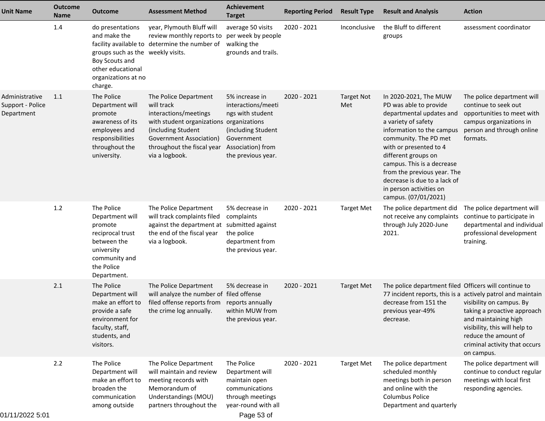| <b>Unit Name</b>                                 | <b>Outcome</b><br>Name | <b>Outcome</b>                                                                                                                                 | <b>Assessment Method</b>                                                                                                                                                                                         | Achievement<br><b>Target</b>                                                                                                            | <b>Reporting Period</b> | <b>Result Type</b>       | <b>Result and Analysis</b>                                                                                                                                                                                                                                                                                                                                | <b>Action</b>                                                                                                                                                                                                                                          |
|--------------------------------------------------|------------------------|------------------------------------------------------------------------------------------------------------------------------------------------|------------------------------------------------------------------------------------------------------------------------------------------------------------------------------------------------------------------|-----------------------------------------------------------------------------------------------------------------------------------------|-------------------------|--------------------------|-----------------------------------------------------------------------------------------------------------------------------------------------------------------------------------------------------------------------------------------------------------------------------------------------------------------------------------------------------------|--------------------------------------------------------------------------------------------------------------------------------------------------------------------------------------------------------------------------------------------------------|
|                                                  | 1.4                    | do presentations<br>and make the<br>groups such as the weekly visits.<br>Boy Scouts and<br>other educational<br>organizations at no<br>charge. | year, Plymouth Bluff will<br>review monthly reports to<br>facility available to determine the number of                                                                                                          | average 50 visits<br>per week by people<br>walking the<br>grounds and trails.                                                           | 2020 - 2021             | Inconclusive             | the Bluff to different<br>groups                                                                                                                                                                                                                                                                                                                          | assessment coordinator                                                                                                                                                                                                                                 |
| Administrative<br>Support - Police<br>Department | 1.1                    | The Police<br>Department will<br>promote<br>awareness of its<br>employees and<br>responsibilities<br>throughout the<br>university.             | The Police Department<br>will track<br>interactions/meetings<br>with student organizations organizations<br>(including Student<br><b>Government Association)</b><br>throughout the fiscal year<br>via a logbook. | 5% increase in<br>interactions/meeti<br>ngs with student<br>(including Student<br>Government<br>Association) from<br>the previous year. | 2020 - 2021             | <b>Target Not</b><br>Met | In 2020-2021, The MUW<br>PD was able to provide<br>departmental updates and<br>a variety of safety<br>information to the campus<br>community. The PD met<br>with or presented to 4<br>different groups on<br>campus. This is a decrease<br>from the previous year. The<br>decrease is due to a lack of<br>in person activities on<br>campus. (07/01/2021) | The police department will<br>continue to seek out<br>opportunities to meet with<br>campus organizations in<br>person and through online<br>formats.                                                                                                   |
|                                                  | 1.2                    | The Police<br>Department will<br>promote<br>reciprocal trust<br>between the<br>university<br>community and<br>the Police<br>Department.        | The Police Department<br>will track complaints filed<br>against the department at<br>the end of the fiscal year<br>via a logbook.                                                                                | 5% decrease in<br>complaints<br>submitted against<br>the police<br>department from<br>the previous year.                                | 2020 - 2021             | <b>Target Met</b>        | The police department did<br>not receive any complaints<br>through July 2020-June<br>2021.                                                                                                                                                                                                                                                                | The police department will<br>continue to participate in<br>departmental and individual<br>professional development<br>training.                                                                                                                       |
|                                                  | 2.1                    | The Police<br>Department will<br>make an effort to<br>provide a safe<br>environment for<br>faculty, staff,<br>students, and<br>visitors.       | The Police Department<br>will analyze the number of filed offense<br>filed offense reports from<br>the crime log annually.                                                                                       | 5% decrease in<br>reports annually<br>within MUW from<br>the previous year.                                                             | 2020 - 2021             | <b>Target Met</b>        | The police department filed Officers will continue to<br>decrease from 151 the<br>previous year-49%<br>decrease.                                                                                                                                                                                                                                          | 77 incident reports, this is a actively patrol and maintain<br>visibility on campus. By<br>taking a proactive approach<br>and maintaining high<br>visibility, this will help to<br>reduce the amount of<br>criminal activity that occurs<br>on campus. |
| 01/11/2022 5:01                                  | 2.2                    | The Police<br>Department will<br>make an effort to<br>broaden the<br>communication<br>among outside                                            | The Police Department<br>will maintain and review<br>meeting records with<br>Memorandum of<br>Understandings (MOU)<br>partners throughout the                                                                    | The Police<br>Department will<br>maintain open<br>communications<br>through meetings<br>year-round with all<br>Page 53 of               | 2020 - 2021             | <b>Target Met</b>        | The police department<br>scheduled monthly<br>meetings both in person<br>and online with the<br><b>Columbus Police</b><br>Department and quarterly                                                                                                                                                                                                        | The police department will<br>continue to conduct regular<br>meetings with local first<br>responding agencies.                                                                                                                                         |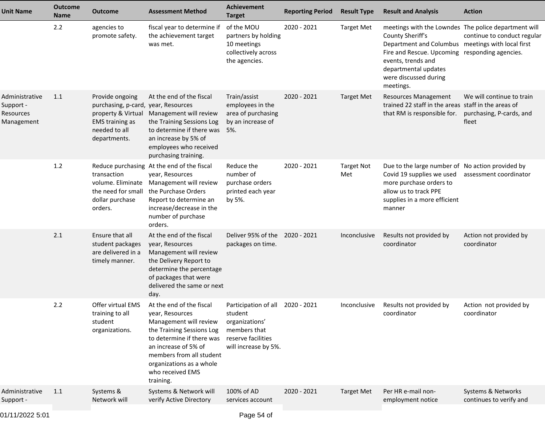| <b>Unit Name</b>                                       | <b>Outcome</b><br><b>Name</b> | <b>Outcome</b>                                                                                                                          | <b>Assessment Method</b>                                                                                                                                                                                                                         | Achievement<br><b>Target</b>                                                                                                | <b>Reporting Period</b> | <b>Result Type</b>       | <b>Result and Analysis</b>                                                                                                                                                                                                                                          | <b>Action</b>                                                  |
|--------------------------------------------------------|-------------------------------|-----------------------------------------------------------------------------------------------------------------------------------------|--------------------------------------------------------------------------------------------------------------------------------------------------------------------------------------------------------------------------------------------------|-----------------------------------------------------------------------------------------------------------------------------|-------------------------|--------------------------|---------------------------------------------------------------------------------------------------------------------------------------------------------------------------------------------------------------------------------------------------------------------|----------------------------------------------------------------|
|                                                        | 2.2                           | agencies to<br>promote safety.                                                                                                          | fiscal year to determine if<br>the achievement target<br>was met.                                                                                                                                                                                | of the MOU<br>partners by holding<br>10 meetings<br>collectively across<br>the agencies.                                    | 2020 - 2021             | <b>Target Met</b>        | meetings with the Lowndes The police department will<br>County Sheriff's<br>Department and Columbus meetings with local first<br>Fire and Rescue. Upcoming responding agencies.<br>events, trends and<br>departmental updates<br>were discussed during<br>meetings. | continue to conduct regular                                    |
| Administrative<br>Support -<br>Resources<br>Management | 1.1                           | Provide ongoing<br>purchasing, p-card, year, Resources<br>property & Virtual<br><b>EMS</b> training as<br>needed to all<br>departments. | At the end of the fiscal<br>Management will review<br>the Training Sessions Log<br>to determine if there was 5%.<br>an increase by 5% of<br>employees who received<br>purchasing training.                                                       | Train/assist<br>employees in the<br>area of purchasing<br>by an increase of                                                 | 2020 - 2021             | <b>Target Met</b>        | <b>Resources Management</b><br>trained 22 staff in the areas staff in the areas of<br>that RM is responsible for.                                                                                                                                                   | We will continue to train<br>purchasing, P-cards, and<br>fleet |
|                                                        | 1.2                           | transaction<br>volume. Eliminate<br>the need for small<br>dollar purchase<br>orders.                                                    | Reduce purchasing At the end of the fiscal<br>year, Resources<br>Management will review<br>the Purchase Orders<br>Report to determine an<br>increase/decrease in the<br>number of purchase<br>orders.                                            | Reduce the<br>number of<br>purchase orders<br>printed each year<br>by 5%.                                                   | 2020 - 2021             | <b>Target Not</b><br>Met | Due to the large number of No action provided by<br>Covid 19 supplies we used<br>more purchase orders to<br>allow us to track PPE<br>supplies in a more efficient<br>manner                                                                                         | assessment coordinator                                         |
|                                                        | 2.1                           | Ensure that all<br>student packages<br>are delivered in a<br>timely manner.                                                             | At the end of the fiscal<br>year, Resources<br>Management will review<br>the Delivery Report to<br>determine the percentage<br>of packages that were<br>delivered the same or next<br>day.                                                       | Deliver 95% of the 2020 - 2021<br>packages on time.                                                                         |                         | Inconclusive             | Results not provided by<br>coordinator                                                                                                                                                                                                                              | Action not provided by<br>coordinator                          |
|                                                        | 2.2                           | Offer virtual EMS<br>training to all<br>student<br>organizations.                                                                       | At the end of the fiscal<br>year, Resources<br>Management will review<br>the Training Sessions Log<br>to determine if there was<br>an increase of 5% of<br>members from all student<br>organizations as a whole<br>who received EMS<br>training. | Participation of all 2020 - 2021<br>student<br>organizations'<br>members that<br>reserve facilities<br>will increase by 5%. |                         | Inconclusive             | Results not provided by<br>coordinator                                                                                                                                                                                                                              | Action not provided by<br>coordinator                          |
| Administrative<br>Support -                            | 1.1                           | Systems &<br>Network will                                                                                                               | Systems & Network will<br>verify Active Directory                                                                                                                                                                                                | 100% of AD<br>services account                                                                                              | 2020 - 2021             | <b>Target Met</b>        | Per HR e-mail non-<br>employment notice                                                                                                                                                                                                                             | Systems & Networks<br>continues to verify and                  |
| 01/11/2022 5:01                                        |                               |                                                                                                                                         |                                                                                                                                                                                                                                                  | Page 54 of                                                                                                                  |                         |                          |                                                                                                                                                                                                                                                                     |                                                                |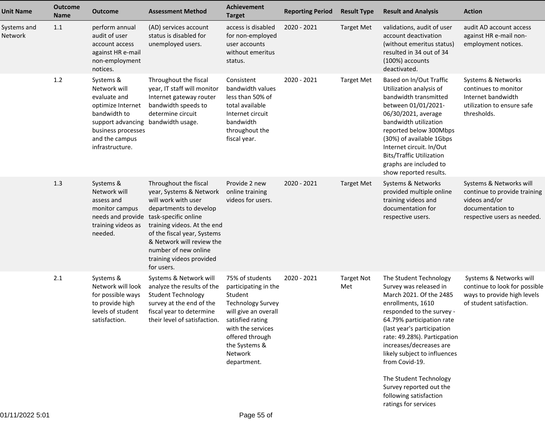| <b>Unit Name</b>       | <b>Outcome</b><br><b>Name</b> | <b>Outcome</b>                                                                                                                                                 | <b>Assessment Method</b>                                                                                                                                                                                                                                                                                 | Achievement<br><b>Target</b>                                                                                                                                                                                  | <b>Reporting Period</b> | <b>Result Type</b>       | <b>Result and Analysis</b>                                                                                                                                                                                                                                                                                                  | <b>Action</b>                                                                                                               |
|------------------------|-------------------------------|----------------------------------------------------------------------------------------------------------------------------------------------------------------|----------------------------------------------------------------------------------------------------------------------------------------------------------------------------------------------------------------------------------------------------------------------------------------------------------|---------------------------------------------------------------------------------------------------------------------------------------------------------------------------------------------------------------|-------------------------|--------------------------|-----------------------------------------------------------------------------------------------------------------------------------------------------------------------------------------------------------------------------------------------------------------------------------------------------------------------------|-----------------------------------------------------------------------------------------------------------------------------|
| Systems and<br>Network | 1.1                           | perform annual<br>audit of user<br>account access<br>against HR e-mail<br>non-employment<br>notices.                                                           | (AD) services account<br>status is disabled for<br>unemployed users.                                                                                                                                                                                                                                     | access is disabled<br>for non-employed<br>user accounts<br>without emeritus<br>status.                                                                                                                        | 2020 - 2021             | <b>Target Met</b>        | validations, audit of user<br>account deactivation<br>(without emeritus status)<br>resulted in 34 out of 34<br>(100%) accounts<br>deactivated.                                                                                                                                                                              | audit AD account access<br>against HR e-mail non-<br>employment notices.                                                    |
|                        | 1.2                           | Systems &<br>Network will<br>evaluate and<br>optimize Internet<br>bandwidth to<br>support advancing<br>business processes<br>and the campus<br>infrastructure. | Throughout the fiscal<br>year, IT staff will monitor<br>Internet gateway router<br>bandwidth speeds to<br>determine circuit<br>bandwidth usage.                                                                                                                                                          | Consistent<br>bandwidth values<br>less than 50% of<br>total available<br>Internet circuit<br>bandwidth<br>throughout the<br>fiscal year.                                                                      | 2020 - 2021             | <b>Target Met</b>        | Based on In/Out Traffic<br>Utilization analysis of<br>bandwidth transmitted<br>between 01/01/2021-<br>06/30/2021, average<br>bandwidth utilization<br>reported below 300Mbps<br>(30%) of available 1Gbps<br>Internet circuit. In/Out<br><b>Bits/Traffic Utilization</b><br>graphs are included to<br>show reported results. | Systems & Networks<br>continues to monitor<br>Internet bandwidth<br>utilization to ensure safe<br>thresholds.               |
|                        | 1.3                           | Systems &<br>Network will<br>assess and<br>monitor campus<br>training videos as<br>needed.                                                                     | Throughout the fiscal<br>year, Systems & Network<br>will work with user<br>departments to develop<br>needs and provide task-specific online<br>training videos. At the end<br>of the fiscal year, Systems<br>& Network will review the<br>number of new online<br>training videos provided<br>for users. | Provide 2 new<br>online training<br>videos for users.                                                                                                                                                         | 2020 - 2021             | <b>Target Met</b>        | Systems & Networks<br>provided multiple online<br>training videos and<br>documentation for<br>respective users.                                                                                                                                                                                                             | Systems & Networks will<br>continue to provide training<br>videos and/or<br>documentation to<br>respective users as needed. |
|                        | 2.1                           | Systems &<br>Network will look<br>for possible ways<br>to provide high<br>levels of student<br>satisfaction.                                                   | Systems & Network will<br>analyze the results of the<br><b>Student Technology</b><br>survey at the end of the<br>fiscal year to determine<br>their level of satisfaction.                                                                                                                                | 75% of students<br>participating in the<br>Student<br><b>Technology Survey</b><br>will give an overall<br>satisfied rating<br>with the services<br>offered through<br>the Systems &<br>Network<br>department. | 2020 - 2021             | <b>Target Not</b><br>Met | The Student Technology<br>Survey was released in<br>March 2021. Of the 2485<br>enrollments, 1610<br>responded to the survey -<br>64.79% participation rate<br>(last year's participation<br>rate: 49.28%). Particpation<br>increases/decreases are<br>likely subject to influences<br>from Covid-19.                        | Systems & Networks will<br>continue to look for possible<br>ways to provide high levels<br>of student satisfaction.         |
|                        |                               |                                                                                                                                                                |                                                                                                                                                                                                                                                                                                          |                                                                                                                                                                                                               |                         |                          | The Student Technology<br>Survey reported out the<br>following satisfaction<br>ratings for services                                                                                                                                                                                                                         |                                                                                                                             |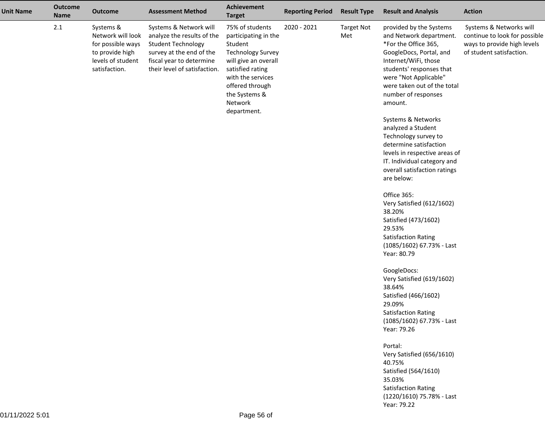| <b>Unit Name</b> | <b>Outcome</b><br><b>Name</b> | <b>Outcome</b>                                                                                               | <b>Assessment Method</b>                                                                                                                                                  | <b>Achievement</b><br><b>Target</b>                                                                                                                                                                           | <b>Reporting Period</b> | <b>Result Type</b>       | <b>Result and Analysis</b>                                                                                                                                                                                                                                                                                                                                                                                                                                                                                                                                                                                                                                                                                                | <b>Action</b>                                                                                                       |
|------------------|-------------------------------|--------------------------------------------------------------------------------------------------------------|---------------------------------------------------------------------------------------------------------------------------------------------------------------------------|---------------------------------------------------------------------------------------------------------------------------------------------------------------------------------------------------------------|-------------------------|--------------------------|---------------------------------------------------------------------------------------------------------------------------------------------------------------------------------------------------------------------------------------------------------------------------------------------------------------------------------------------------------------------------------------------------------------------------------------------------------------------------------------------------------------------------------------------------------------------------------------------------------------------------------------------------------------------------------------------------------------------------|---------------------------------------------------------------------------------------------------------------------|
|                  | $2.1$                         | Systems &<br>Network will look<br>for possible ways<br>to provide high<br>levels of student<br>satisfaction. | Systems & Network will<br>analyze the results of the<br><b>Student Technology</b><br>survey at the end of the<br>fiscal year to determine<br>their level of satisfaction. | 75% of students<br>participating in the<br>Student<br><b>Technology Survey</b><br>will give an overall<br>satisfied rating<br>with the services<br>offered through<br>the Systems &<br>Network<br>department. | 2020 - 2021             | <b>Target Not</b><br>Met | provided by the Systems<br>and Network department.<br>*For the Office 365,<br>GoogleDocs, Portal, and<br>Internet/WiFi, those<br>students' responses that<br>were "Not Applicable"<br>were taken out of the total<br>number of responses<br>amount.<br>Systems & Networks<br>analyzed a Student<br>Technology survey to<br>determine satisfaction<br>levels in respective areas of<br>IT. Individual category and<br>overall satisfaction ratings<br>are below:<br>Office 365:<br>Very Satisfied (612/1602)<br>38.20%<br>Satisfied (473/1602)<br>29.53%<br><b>Satisfaction Rating</b><br>(1085/1602) 67.73% - Last<br>Year: 80.79<br>GoogleDocs:<br>Very Satisfied (619/1602)<br>38.64%<br>Satisfied (466/1602)<br>29.09% | Systems & Networks will<br>continue to look for possible<br>ways to provide high levels<br>of student satisfaction. |
|                  |                               |                                                                                                              |                                                                                                                                                                           |                                                                                                                                                                                                               |                         |                          | <b>Satisfaction Rating</b><br>(1085/1602) 67.73% - Last<br>Year: 79.26                                                                                                                                                                                                                                                                                                                                                                                                                                                                                                                                                                                                                                                    |                                                                                                                     |
|                  |                               |                                                                                                              |                                                                                                                                                                           |                                                                                                                                                                                                               |                         |                          | Portal:<br>Very Satisfied (656/1610)<br>40.75%<br>Satisfied (564/1610)<br>35.03%<br><b>Satisfaction Rating</b><br>(1220/1610) 75.78% - Last<br>Year: 79.22                                                                                                                                                                                                                                                                                                                                                                                                                                                                                                                                                                |                                                                                                                     |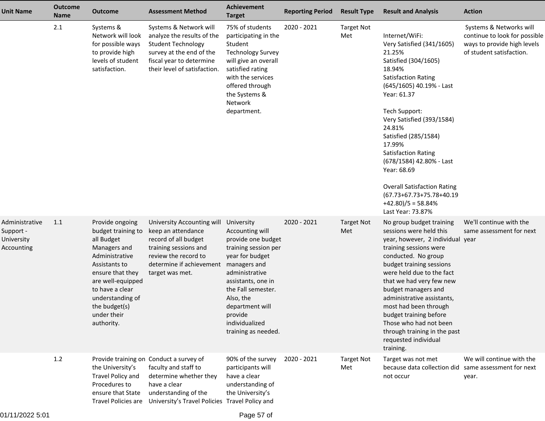| <b>Unit Name</b>                                        | <b>Outcome</b><br><b>Name</b> | <b>Outcome</b>                                                                                                                                                                                                                       | <b>Assessment Method</b>                                                                                                                                                                                | <b>Achievement</b><br><b>Target</b>                                                                                                                                                                                                                              | <b>Reporting Period</b> | <b>Result Type</b>       | <b>Result and Analysis</b>                                                                                                                                                                                                                                                                                                                                                                                                                          | <b>Action</b>                                                                                                       |
|---------------------------------------------------------|-------------------------------|--------------------------------------------------------------------------------------------------------------------------------------------------------------------------------------------------------------------------------------|---------------------------------------------------------------------------------------------------------------------------------------------------------------------------------------------------------|------------------------------------------------------------------------------------------------------------------------------------------------------------------------------------------------------------------------------------------------------------------|-------------------------|--------------------------|-----------------------------------------------------------------------------------------------------------------------------------------------------------------------------------------------------------------------------------------------------------------------------------------------------------------------------------------------------------------------------------------------------------------------------------------------------|---------------------------------------------------------------------------------------------------------------------|
|                                                         | 2.1                           | Systems &<br>Network will look<br>for possible ways<br>to provide high<br>levels of student<br>satisfaction.                                                                                                                         | Systems & Network will<br>analyze the results of the<br><b>Student Technology</b><br>survey at the end of the<br>fiscal year to determine<br>their level of satisfaction.                               | 75% of students<br>participating in the<br>Student<br><b>Technology Survey</b><br>will give an overall<br>satisfied rating<br>with the services<br>offered through<br>the Systems &<br>Network<br>department.                                                    | 2020 - 2021             | <b>Target Not</b><br>Met | Internet/WiFi:<br>Very Satisfied (341/1605)<br>21.25%<br>Satisfied (304/1605)<br>18.94%<br><b>Satisfaction Rating</b><br>(645/1605) 40.19% - Last<br>Year: 61.37<br>Tech Support:<br>Very Satisfied (393/1584)<br>24.81%<br>Satisfied (285/1584)<br>17.99%<br><b>Satisfaction Rating</b><br>(678/1584) 42.80% - Last<br>Year: 68.69<br><b>Overall Satisfaction Rating</b><br>(67.73+67.73+75.78+40.19<br>$+42.80$ )/5 = 58.84%<br>Last Year: 73.87% | Systems & Networks will<br>continue to look for possible<br>ways to provide high levels<br>of student satisfaction. |
| Administrative<br>Support -<br>University<br>Accounting | 1.1                           | Provide ongoing<br>budget training to<br>all Budget<br>Managers and<br>Administrative<br>Assistants to<br>ensure that they<br>are well-equipped<br>to have a clear<br>understanding of<br>the budget(s)<br>under their<br>authority. | University Accounting will<br>keep an attendance<br>record of all budget<br>training sessions and<br>review the record to<br>determine if achievement<br>target was met.                                | University<br>Accounting will<br>provide one budget<br>training session per<br>year for budget<br>managers and<br>administrative<br>assistants, one in<br>the Fall semester.<br>Also, the<br>department will<br>provide<br>individualized<br>training as needed. | 2020 - 2021             | <b>Target Not</b><br>Met | No group budget training<br>sessions were held this<br>year, however, 2 individual year<br>training sessions were<br>conducted. No group<br>budget training sessions<br>were held due to the fact<br>that we had very few new<br>budget managers and<br>administrative assistants,<br>most had been through<br>budget training before<br>Those who had not been<br>through training in the past<br>requested individual<br>training.                | We'll continue with the<br>same assessment for next                                                                 |
|                                                         | 1.2                           | the University's<br>Travel Policy and<br>Procedures to<br>ensure that State                                                                                                                                                          | Provide training on Conduct a survey of<br>faculty and staff to<br>determine whether they<br>have a clear<br>understanding of the<br>Travel Policies are University's Travel Policies Travel Policy and | 90% of the survey<br>participants will<br>have a clear<br>understanding of<br>the University's                                                                                                                                                                   | 2020 - 2021             | <b>Target Not</b><br>Met | Target was not met<br>because data collection did<br>not occur                                                                                                                                                                                                                                                                                                                                                                                      | We will continue with the<br>same assessment for next<br>year.                                                      |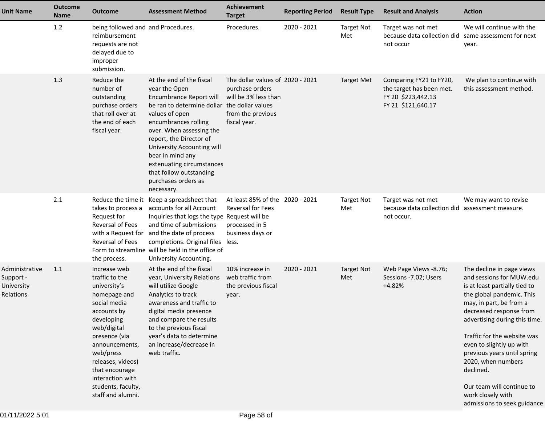| <b>Unit Name</b>                                              | <b>Outcome</b><br>Name | <b>Outcome</b>                                                                                                                                                                                                                                                                   | <b>Assessment Method</b>                                                                                                                                                                                                                                                                                                                                             | Achievement<br><b>Target</b>                                                                                     | <b>Reporting Period</b> | <b>Result Type</b>       | <b>Result and Analysis</b>                                                                      | <b>Action</b>                                                                                                                                                                                                                                                                                                                                                                                                            |
|---------------------------------------------------------------|------------------------|----------------------------------------------------------------------------------------------------------------------------------------------------------------------------------------------------------------------------------------------------------------------------------|----------------------------------------------------------------------------------------------------------------------------------------------------------------------------------------------------------------------------------------------------------------------------------------------------------------------------------------------------------------------|------------------------------------------------------------------------------------------------------------------|-------------------------|--------------------------|-------------------------------------------------------------------------------------------------|--------------------------------------------------------------------------------------------------------------------------------------------------------------------------------------------------------------------------------------------------------------------------------------------------------------------------------------------------------------------------------------------------------------------------|
|                                                               | 1.2                    | being followed and and Procedures.<br>reimbursement<br>requests are not<br>delayed due to<br>improper<br>submission.                                                                                                                                                             |                                                                                                                                                                                                                                                                                                                                                                      | Procedures.                                                                                                      | 2020 - 2021             | <b>Target Not</b><br>Met | Target was not met<br>because data collection did<br>not occur                                  | We will continue with the<br>same assessment for next<br>year.                                                                                                                                                                                                                                                                                                                                                           |
|                                                               | 1.3                    | Reduce the<br>number of<br>outstanding<br>purchase orders<br>that roll over at<br>the end of each<br>fiscal year.                                                                                                                                                                | At the end of the fiscal<br>year the Open<br>Encumbrance Report will<br>be ran to determine dollar the dollar values<br>values of open<br>encumbrances rolling<br>over. When assessing the<br>report, the Director of<br>University Accounting will<br>bear in mind any<br>extenuating circumstances<br>that follow outstanding<br>purchases orders as<br>necessary. | The dollar values of 2020 - 2021<br>purchase orders<br>will be 3% less than<br>from the previous<br>fiscal year. |                         | <b>Target Met</b>        | Comparing FY21 to FY20,<br>the target has been met.<br>FY 20 \$223,442.13<br>FY 21 \$121,640.17 | We plan to continue with<br>this assessment method.                                                                                                                                                                                                                                                                                                                                                                      |
|                                                               | 2.1                    | Reduce the time it<br>takes to process a<br>Request for<br>Reversal of Fees<br><b>Reversal of Fees</b><br>the process.                                                                                                                                                           | Keep a spreadsheet that<br>accounts for all Account<br>Inquiries that logs the type Request will be<br>and time of submissions<br>with a Request for and the date of process<br>completions. Original files less.<br>Form to streamline will be held in the office of<br>University Accounting.                                                                      | At least 85% of the 2020 - 2021<br><b>Reversal for Fees</b><br>processed in 5<br>business days or                |                         | <b>Target Not</b><br>Met | Target was not met<br>because data collection did assessment measure.<br>not occur.             | We may want to revise                                                                                                                                                                                                                                                                                                                                                                                                    |
| Administrative<br>Support -<br>University<br><b>Relations</b> | 1.1                    | Increase web<br>traffic to the<br>university's<br>homepage and<br>social media<br>accounts by<br>developing<br>web/digital<br>presence (via<br>announcements,<br>web/press<br>releases, videos)<br>that encourage<br>interaction with<br>students, faculty,<br>staff and alumni. | At the end of the fiscal<br>year, University Relations<br>will utilize Google<br>Analytics to track<br>awareness and traffic to<br>digital media presence<br>and compare the results<br>to the previous fiscal<br>year's data to determine<br>an increase/decrease in<br>web traffic.                                                                                | 10% increase in<br>web traffic from<br>the previous fiscal<br>year.                                              | 2020 - 2021             | <b>Target Not</b><br>Met | Web Page Views -8.76;<br>Sessions -7.02; Users<br>$+4.82%$                                      | The decline in page views<br>and sessions for MUW.edu<br>is at least partially tied to<br>the global pandemic. This<br>may, in part, be from a<br>decreased response from<br>advertising during this time.<br>Traffic for the website was<br>even to slightly up with<br>previous years until spring<br>2020, when numbers<br>declined.<br>Our team will continue to<br>work closely with<br>admissions to seek guidance |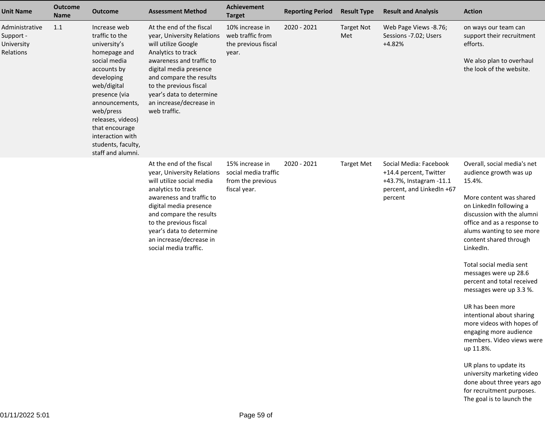| <b>Unit Name</b>                                       | <b>Outcome</b><br><b>Name</b> | <b>Outcome</b>                                                                                                                                                                                                                                                                   | <b>Assessment Method</b>                                                                                                                                                                                                                                                                             | Achievement<br><b>Target</b>                                                 | <b>Reporting Period</b> | <b>Result Type</b>       | <b>Result and Analysis</b>                                                                                          | <b>Action</b>                                                                                                                                                                                                                                                                                                                                                                                                                                                                                                         |
|--------------------------------------------------------|-------------------------------|----------------------------------------------------------------------------------------------------------------------------------------------------------------------------------------------------------------------------------------------------------------------------------|------------------------------------------------------------------------------------------------------------------------------------------------------------------------------------------------------------------------------------------------------------------------------------------------------|------------------------------------------------------------------------------|-------------------------|--------------------------|---------------------------------------------------------------------------------------------------------------------|-----------------------------------------------------------------------------------------------------------------------------------------------------------------------------------------------------------------------------------------------------------------------------------------------------------------------------------------------------------------------------------------------------------------------------------------------------------------------------------------------------------------------|
| Administrative<br>Support -<br>University<br>Relations | 1.1                           | Increase web<br>traffic to the<br>university's<br>homepage and<br>social media<br>accounts by<br>developing<br>web/digital<br>presence (via<br>announcements,<br>web/press<br>releases, videos)<br>that encourage<br>interaction with<br>students, faculty,<br>staff and alumni. | At the end of the fiscal<br>year, University Relations<br>will utilize Google<br>Analytics to track<br>awareness and traffic to<br>digital media presence<br>and compare the results<br>to the previous fiscal<br>year's data to determine<br>an increase/decrease in<br>web traffic.                | 10% increase in<br>web traffic from<br>the previous fiscal<br>year.          | 2020 - 2021             | <b>Target Not</b><br>Met | Web Page Views -8.76;<br>Sessions - 7.02; Users<br>$+4.82%$                                                         | on ways our team can<br>support their recruitment<br>efforts.<br>We also plan to overhaul<br>the look of the website.                                                                                                                                                                                                                                                                                                                                                                                                 |
|                                                        |                               |                                                                                                                                                                                                                                                                                  | At the end of the fiscal<br>year, University Relations<br>will utilize social media<br>analytics to track<br>awareness and traffic to<br>digital media presence<br>and compare the results<br>to the previous fiscal<br>year's data to determine<br>an increase/decrease in<br>social media traffic. | 15% increase in<br>social media traffic<br>from the previous<br>fiscal year. | 2020 - 2021             | <b>Target Met</b>        | Social Media: Facebook<br>+14.4 percent, Twitter<br>+43.7%, Instagram -11.1<br>percent, and LinkedIn +67<br>percent | Overall, social media's net<br>audience growth was up<br>15.4%.<br>More content was shared<br>on LinkedIn following a<br>discussion with the alumni<br>office and as a response to<br>alums wanting to see more<br>content shared through<br>LinkedIn.<br>Total social media sent<br>messages were up 28.6<br>percent and total received<br>messages were up 3.3 %.<br>UR has been more<br>intentional about sharing<br>more videos with hopes of<br>engaging more audience<br>members. Video views were<br>up 11.8%. |
|                                                        |                               |                                                                                                                                                                                                                                                                                  |                                                                                                                                                                                                                                                                                                      |                                                                              |                         |                          |                                                                                                                     | UR plans to update its<br>university marketing video<br>done about three years ago<br>for recruitment purposes.                                                                                                                                                                                                                                                                                                                                                                                                       |

The goal is to launch the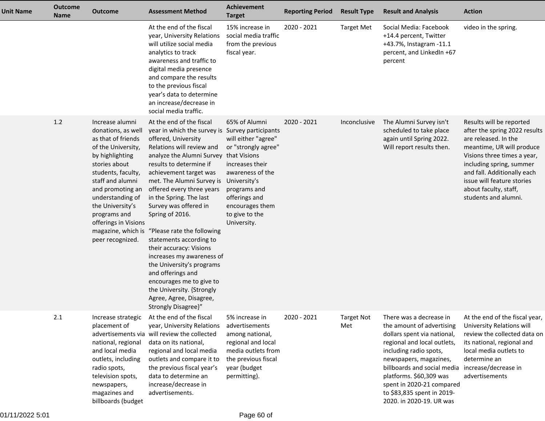| <b>Unit Name</b> | <b>Outcome</b><br>Name | <b>Outcome</b>                                                                                                                                                                                                                                                                                                | <b>Assessment Method</b>                                                                                                                                                                                                                                                                                                                                                                                                                                                                                                                                                                                                                                   | Achievement<br><b>Target</b>                                                                                                                                                            | <b>Reporting Period</b> | <b>Result Type</b>       | <b>Result and Analysis</b>                                                                                                                                                                                                                                                                                              | <b>Action</b>                                                                                                                                                                                                                                                                           |
|------------------|------------------------|---------------------------------------------------------------------------------------------------------------------------------------------------------------------------------------------------------------------------------------------------------------------------------------------------------------|------------------------------------------------------------------------------------------------------------------------------------------------------------------------------------------------------------------------------------------------------------------------------------------------------------------------------------------------------------------------------------------------------------------------------------------------------------------------------------------------------------------------------------------------------------------------------------------------------------------------------------------------------------|-----------------------------------------------------------------------------------------------------------------------------------------------------------------------------------------|-------------------------|--------------------------|-------------------------------------------------------------------------------------------------------------------------------------------------------------------------------------------------------------------------------------------------------------------------------------------------------------------------|-----------------------------------------------------------------------------------------------------------------------------------------------------------------------------------------------------------------------------------------------------------------------------------------|
|                  |                        |                                                                                                                                                                                                                                                                                                               | At the end of the fiscal<br>year, University Relations<br>will utilize social media<br>analytics to track<br>awareness and traffic to<br>digital media presence<br>and compare the results<br>to the previous fiscal<br>year's data to determine<br>an increase/decrease in<br>social media traffic.                                                                                                                                                                                                                                                                                                                                                       | 15% increase in<br>social media traffic<br>from the previous<br>fiscal year.                                                                                                            | 2020 - 2021             | <b>Target Met</b>        | Social Media: Facebook<br>+14.4 percent, Twitter<br>+43.7%, Instagram -11.1<br>percent, and LinkedIn +67<br>percent                                                                                                                                                                                                     | video in the spring.                                                                                                                                                                                                                                                                    |
|                  | $1.2$                  | Increase alumni<br>donations, as well<br>as that of friends<br>of the University,<br>by highlighting<br>stories about<br>students, faculty,<br>staff and alumni<br>and promoting an<br>understanding of<br>the University's<br>programs and<br>offerings in Visions<br>magazine, which is<br>peer recognized. | At the end of the fiscal<br>year in which the survey is Survey participants<br>offered, University<br>Relations will review and<br>analyze the Alumni Survey that Visions<br>results to determine if<br>achievement target was<br>met. The Alumni Survey is University's<br>offered every three years<br>in the Spring. The last<br>Survey was offered in<br>Spring of 2016.<br>"Please rate the following<br>statements according to<br>their accuracy: Visions<br>increases my awareness of<br>the University's programs<br>and offerings and<br>encourages me to give to<br>the University. {Strongly<br>Agree, Agree, Disagree,<br>Strongly Disagree}" | 65% of Alumni<br>will either "agree"<br>or "strongly agree"<br>increases their<br>awareness of the<br>programs and<br>offerings and<br>encourages them<br>to give to the<br>University. | 2020 - 2021             | Inconclusive             | The Alumni Survey isn't<br>scheduled to take place<br>again until Spring 2022.<br>Will report results then.                                                                                                                                                                                                             | Results will be reported<br>after the spring 2022 results<br>are released. In the<br>meantime, UR will produce<br>Visions three times a year,<br>including spring, summer<br>and fall. Additionally each<br>issue will feature stories<br>about faculty, staff,<br>students and alumni. |
|                  | $2.1$                  | Increase strategic<br>placement of<br>national, regional<br>and local media<br>outlets, including<br>radio spots,<br>television spots,<br>newspapers,<br>magazines and<br>billboards (budget                                                                                                                  | At the end of the fiscal<br>year, University Relations<br>advertisements via will review the collected<br>data on its national,<br>regional and local media<br>outlets and compare it to<br>the previous fiscal year's<br>data to determine an<br>increase/decrease in<br>advertisements.                                                                                                                                                                                                                                                                                                                                                                  | 5% increase in<br>advertisements<br>among national,<br>regional and local<br>media outlets from<br>the previous fiscal<br>year (budget<br>permitting).                                  | 2020 - 2021             | <b>Target Not</b><br>Met | There was a decrease in<br>the amount of advertising<br>dollars spent via national,<br>regional and local outlets,<br>including radio spots,<br>newspapers, magazines,<br>billboards and social media<br>platforms. \$60,309 was<br>spent in 2020-21 compared<br>to \$83,835 spent in 2019-<br>2020. in 2020-19. UR was | At the end of the fiscal year,<br>University Relations will<br>review the collected data on<br>its national, regional and<br>local media outlets to<br>determine an<br>increase/decrease in<br>advertisements                                                                           |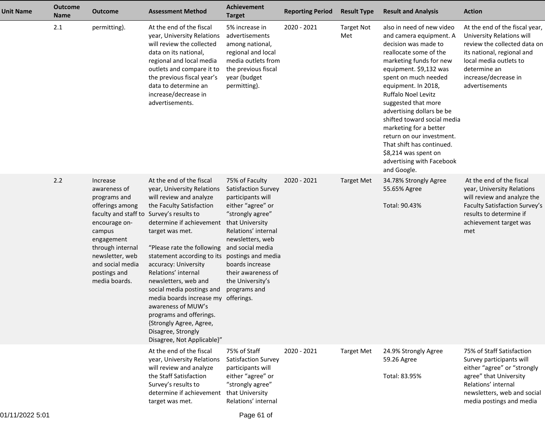| <b>Unit Name</b> | <b>Outcome</b><br><b>Name</b> | <b>Outcome</b>                                                                                                                                                                                                                               | <b>Assessment Method</b>                                                                                                                                                                                                                                                                                                                                                                                                                                                                                                                | <b>Achievement</b><br><b>Target</b>                                                                                                                                                                                                                   | <b>Reporting Period</b> | <b>Result Type</b>       | <b>Result and Analysis</b>                                                                                                                                                                                                                                                                                                                                                                                                                                                   | <b>Action</b>                                                                                                                                                                                                 |
|------------------|-------------------------------|----------------------------------------------------------------------------------------------------------------------------------------------------------------------------------------------------------------------------------------------|-----------------------------------------------------------------------------------------------------------------------------------------------------------------------------------------------------------------------------------------------------------------------------------------------------------------------------------------------------------------------------------------------------------------------------------------------------------------------------------------------------------------------------------------|-------------------------------------------------------------------------------------------------------------------------------------------------------------------------------------------------------------------------------------------------------|-------------------------|--------------------------|------------------------------------------------------------------------------------------------------------------------------------------------------------------------------------------------------------------------------------------------------------------------------------------------------------------------------------------------------------------------------------------------------------------------------------------------------------------------------|---------------------------------------------------------------------------------------------------------------------------------------------------------------------------------------------------------------|
|                  | 2.1                           | permitting).                                                                                                                                                                                                                                 | At the end of the fiscal<br>year, University Relations<br>will review the collected<br>data on its national,<br>regional and local media<br>outlets and compare it to<br>the previous fiscal year's<br>data to determine an<br>increase/decrease in<br>advertisements.                                                                                                                                                                                                                                                                  | 5% increase in<br>advertisements<br>among national,<br>regional and local<br>media outlets from<br>the previous fiscal<br>year (budget<br>permitting).                                                                                                | 2020 - 2021             | <b>Target Not</b><br>Met | also in need of new video<br>and camera equipment. A<br>decision was made to<br>reallocate some of the<br>marketing funds for new<br>equipment. \$9,132 was<br>spent on much needed<br>equipment. In 2018,<br>Ruffalo Noel Levitz<br>suggested that more<br>advertising dollars be be<br>shifted toward social media<br>marketing for a better<br>return on our investment.<br>That shift has continued.<br>\$8,214 was spent on<br>advertising with Facebook<br>and Google. | At the end of the fiscal year,<br>University Relations will<br>review the collected data on<br>its national, regional and<br>local media outlets to<br>determine an<br>increase/decrease in<br>advertisements |
|                  | 2.2                           | Increase<br>awareness of<br>programs and<br>offerings among<br>faculty and staff to Survey's results to<br>encourage on-<br>campus<br>engagement<br>through internal<br>newsletter, web<br>and social media<br>postings and<br>media boards. | At the end of the fiscal<br>year, University Relations<br>will review and analyze<br>the Faculty Satisfaction<br>determine if achievement<br>target was met.<br>"Please rate the following and social media<br>statement according to its postings and media<br>accuracy: University<br>Relations' internal<br>newsletters, web and<br>social media postings and<br>media boards increase my offerings.<br>awareness of MUW's<br>programs and offerings.<br>{Strongly Agree, Agree,<br>Disagree, Strongly<br>Disagree, Not Applicable}" | 75% of Faculty<br><b>Satisfaction Survey</b><br>participants will<br>either "agree" or<br>"strongly agree"<br>that University<br>Relations' internal<br>newsletters, web<br>boards increase<br>their awareness of<br>the University's<br>programs and | $2020 - 2021$           | <b>Target Met</b>        | 34.78% Strongly Agree<br>55.65% Agree<br>Total: 90.43%                                                                                                                                                                                                                                                                                                                                                                                                                       | At the end of the fiscal<br>year, University Relations<br>will review and analyze the<br>Faculty Satisfaction Survey's<br>results to determine if<br>achievement target was<br>met                            |
|                  |                               |                                                                                                                                                                                                                                              | At the end of the fiscal<br>year, University Relations<br>will review and analyze<br>the Staff Satisfaction<br>Survey's results to<br>determine if achievement<br>target was met.                                                                                                                                                                                                                                                                                                                                                       | 75% of Staff<br>Satisfaction Survey<br>participants will<br>either "agree" or<br>"strongly agree"<br>that University<br>Relations' internal                                                                                                           | $2020 - 2021$           | <b>Target Met</b>        | 24.9% Strongly Agree<br>59.26 Agree<br>Total: 83.95%                                                                                                                                                                                                                                                                                                                                                                                                                         | 75% of Staff Satisfaction<br>Survey participants will<br>either "agree" or "strongly<br>agree" that University<br>Relations' internal<br>newsletters, web and social<br>media postings and media              |